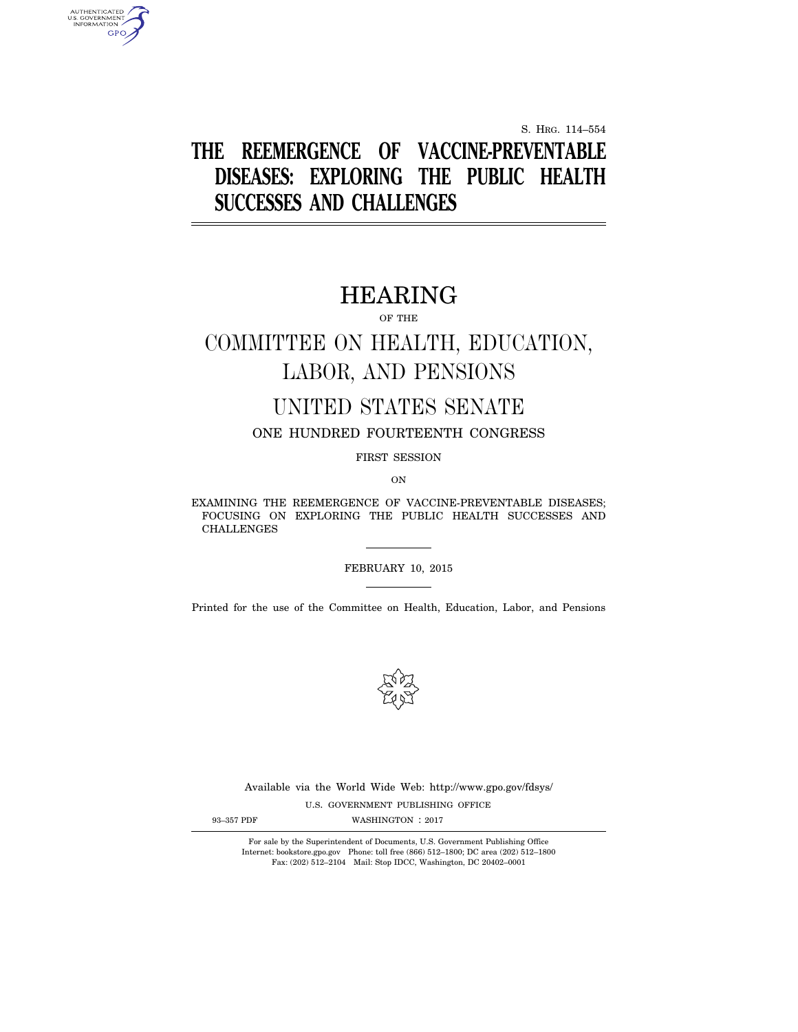S. HRG. 114–554

# **THE REEMERGENCE OF VACCINE-PREVENTABLE DISEASES: EXPLORING THE PUBLIC HEALTH SUCCESSES AND CHALLENGES**

AUTHENTICATED<br>U.S. GOVERNMENT<br>INFORMATION **GPO** 

# HEARING

OF THE

# COMMITTEE ON HEALTH, EDUCATION, LABOR, AND PENSIONS

# UNITED STATES SENATE

ONE HUNDRED FOURTEENTH CONGRESS

FIRST SESSION

ON

EXAMINING THE REEMERGENCE OF VACCINE-PREVENTABLE DISEASES; FOCUSING ON EXPLORING THE PUBLIC HEALTH SUCCESSES AND CHALLENGES

# FEBRUARY 10, 2015

Printed for the use of the Committee on Health, Education, Labor, and Pensions



U.S. GOVERNMENT PUBLISHING OFFICE 93-357 PDF WASHINGTON : 2017 Available via the World Wide Web: http://www.gpo.gov/fdsys/

For sale by the Superintendent of Documents, U.S. Government Publishing Office Internet: bookstore.gpo.gov Phone: toll free (866) 512–1800; DC area (202) 512–1800 Fax: (202) 512–2104 Mail: Stop IDCC, Washington, DC 20402–0001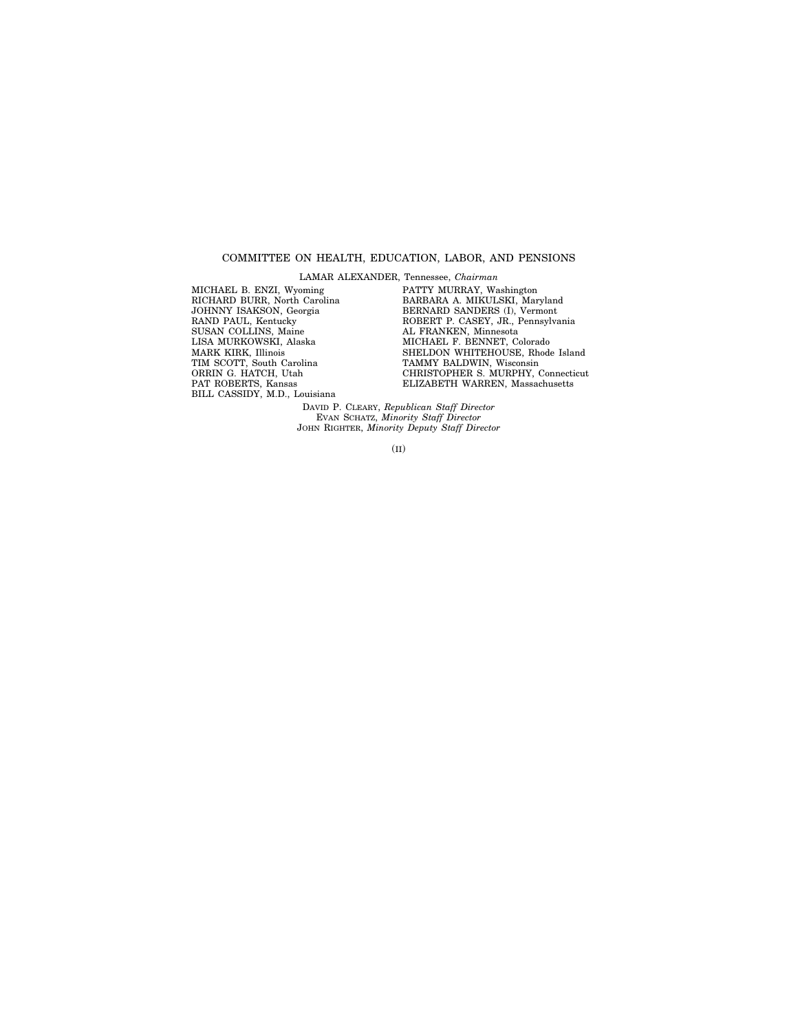# COMMITTEE ON HEALTH, EDUCATION, LABOR, AND PENSIONS

LAMAR ALEXANDER, Tennessee, *Chairman* 

MICHAEL B. ENZI, Wyoming RICHARD BURR, North Carolina JOHNNY ISAKSON, Georgia RAND PAUL, Kentucky SUSAN COLLINS, Maine LISA MURKOWSKI, Alaska MARK KIRK, Illinois TIM SCOTT, South Carolina ORRIN G. HATCH, Utah PAT ROBERTS, Kansas BILL CASSIDY, M.D., Louisiana

PATTY MURRAY, Washington BARBARA A. MIKULSKI, Maryland BERNARD SANDERS (I), Vermont ROBERT P. CASEY, JR., Pennsylvania AL FRANKEN, Minnesota MICHAEL F. BENNET, Colorado SHELDON WHITEHOUSE, Rhode Island TAMMY BALDWIN, Wisconsin CHRISTOPHER S. MURPHY, Connecticut ELIZABETH WARREN, Massachusetts

DAVID P. CLEARY, *Republican Staff Director*  EVAN SCHATZ, *Minority Staff Director*  JOHN RIGHTER, *Minority Deputy Staff Director* 

(II)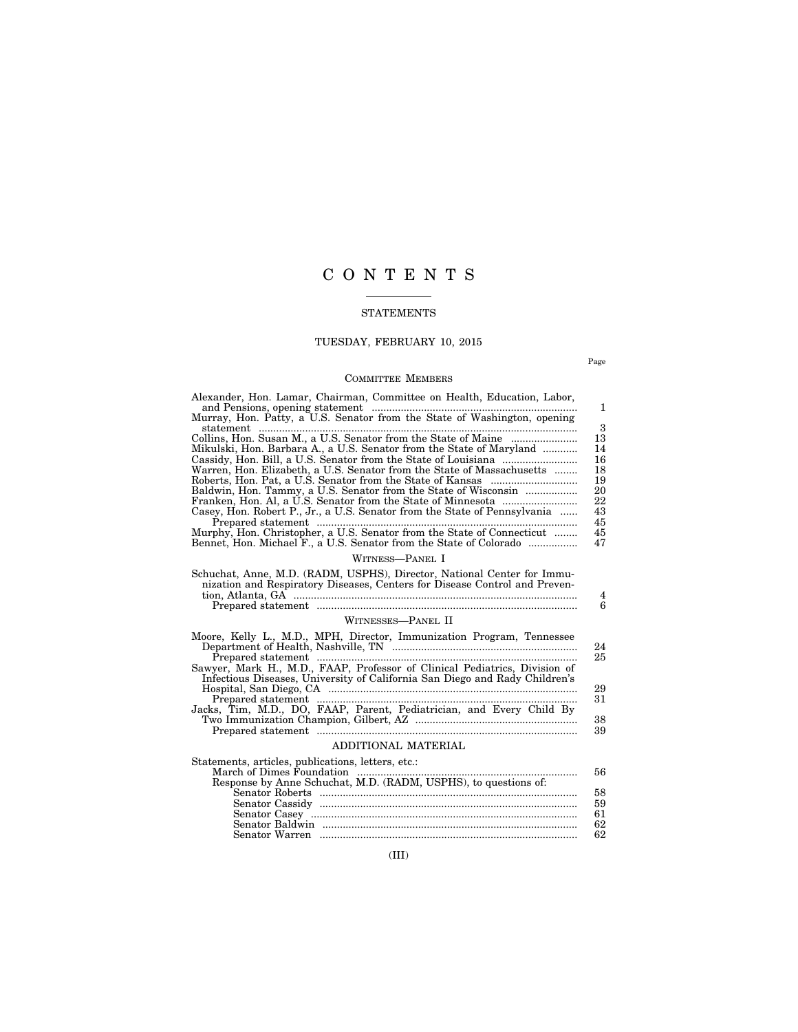# C O N T E N T S

# STATEMENTS

# TUESDAY, FEBRUARY 10, 2015

Page

# COMMITTEE MEMBERS

| Alexander, Hon. Lamar, Chairman, Committee on Health, Education, Labor,                                                                                                                                                                                                                        | $\mathbf{1}$                                            |
|------------------------------------------------------------------------------------------------------------------------------------------------------------------------------------------------------------------------------------------------------------------------------------------------|---------------------------------------------------------|
| Mikulski, Hon. Barbara A., a U.S. Senator from the State of Maryland<br>Warren, Hon. Elizabeth, a U.S. Senator from the State of Massachusetts<br>Baldwin, Hon. Tammy, a U.S. Senator from the State of Wisconsin<br>Casey, Hon. Robert P., Jr., a U.S. Senator from the State of Pennsylvania | 3<br>13<br>14<br>16<br>18<br>19<br>20<br>22<br>43<br>45 |
| Murphy, Hon. Christopher, a U.S. Senator from the State of Connecticut<br>Bennet, Hon. Michael F., a U.S. Senator from the State of Colorado                                                                                                                                                   | 45<br>47                                                |
| WITNESS-PANEL I                                                                                                                                                                                                                                                                                |                                                         |
| Schuchat, Anne, M.D. (RADM, USPHS), Director, National Center for Immu-<br>nization and Respiratory Diseases, Centers for Disease Control and Preven-<br>WITNESSES-PANEL II                                                                                                                    | 4<br>6                                                  |
|                                                                                                                                                                                                                                                                                                |                                                         |
| Moore, Kelly L., M.D., MPH, Director, Immunization Program, Tennessee                                                                                                                                                                                                                          | 24<br>25                                                |
| Sawyer, Mark H., M.D., FAAP, Professor of Clinical Pediatrics, Division of<br>Infectious Diseases, University of California San Diego and Rady Children's                                                                                                                                      | 29                                                      |
| Jacks, Tim, M.D., DO, FAAP, Parent, Pediatrician, and Every Child By                                                                                                                                                                                                                           | 31                                                      |
|                                                                                                                                                                                                                                                                                                | 38<br>39                                                |
| ADDITIONAL MATERIAL                                                                                                                                                                                                                                                                            |                                                         |
| Statements, articles, publications, letters, etc.:                                                                                                                                                                                                                                             | 56                                                      |
| Response by Anne Schuchat, M.D. (RADM, USPHS), to questions of:                                                                                                                                                                                                                                | 58<br>59<br>61                                          |
|                                                                                                                                                                                                                                                                                                | 62<br>62                                                |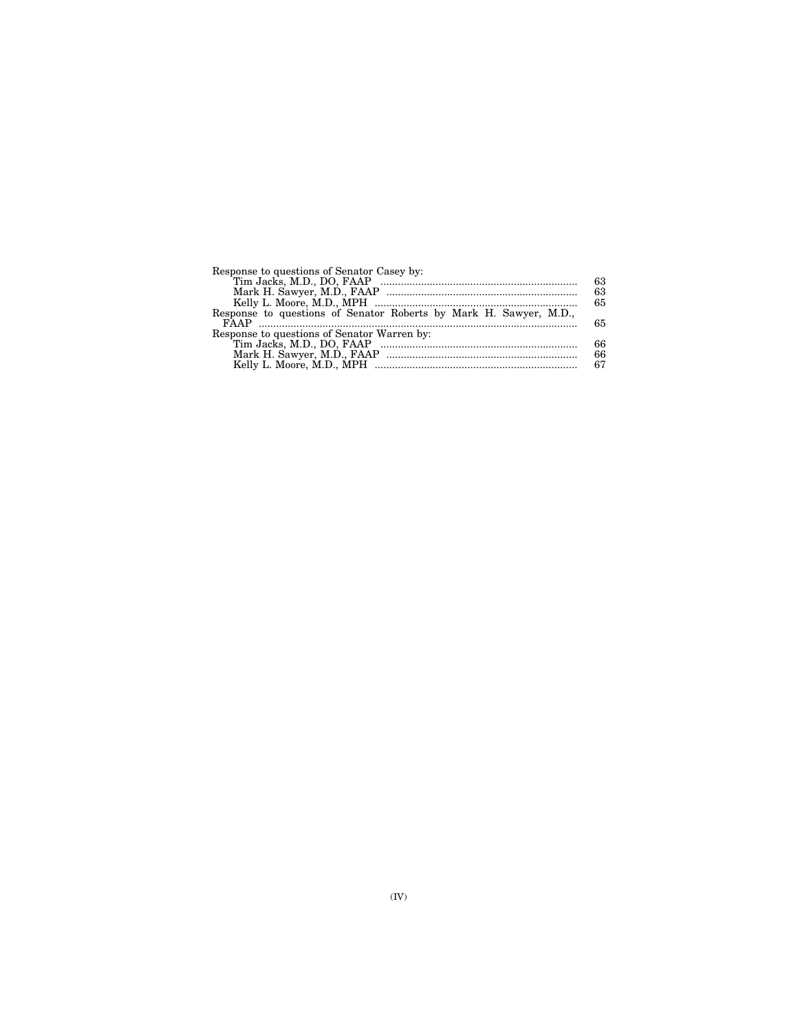| Response to questions of Senator Casey by:                        |    |
|-------------------------------------------------------------------|----|
|                                                                   | 63 |
|                                                                   | 63 |
|                                                                   | 65 |
| Response to questions of Senator Roberts by Mark H. Sawyer, M.D., |    |
|                                                                   | 65 |
| Response to questions of Senator Warren by:                       |    |
|                                                                   | 66 |
|                                                                   | 66 |
|                                                                   | 67 |
|                                                                   |    |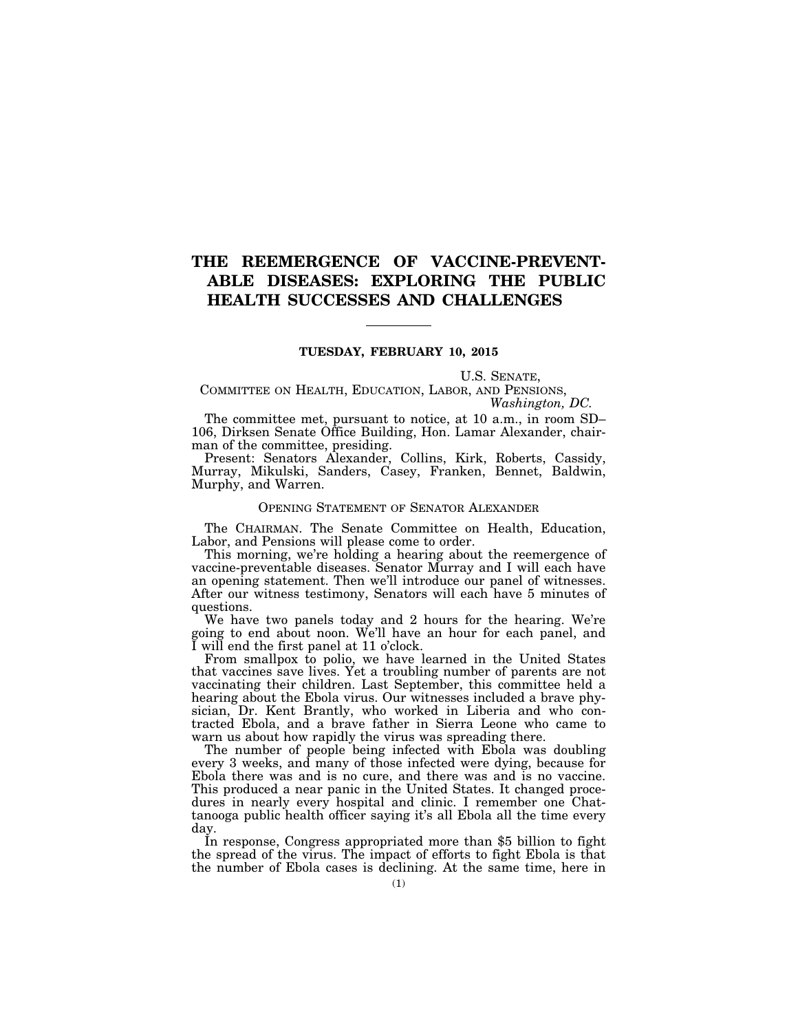# **THE REEMERGENCE OF VACCINE-PREVENT-ABLE DISEASES: EXPLORING THE PUBLIC HEALTH SUCCESSES AND CHALLENGES**

# **TUESDAY, FEBRUARY 10, 2015**

U.S. SENATE,

COMMITTEE ON HEALTH, EDUCATION, LABOR, AND PENSIONS, *Washington, DC.* 

The committee met, pursuant to notice, at 10 a.m., in room SD– 106, Dirksen Senate Office Building, Hon. Lamar Alexander, chairman of the committee, presiding.

Present: Senators Alexander, Collins, Kirk, Roberts, Cassidy, Murray, Mikulski, Sanders, Casey, Franken, Bennet, Baldwin, Murphy, and Warren.

# OPENING STATEMENT OF SENATOR ALEXANDER

The CHAIRMAN. The Senate Committee on Health, Education, Labor, and Pensions will please come to order.

This morning, we're holding a hearing about the reemergence of vaccine-preventable diseases. Senator Murray and I will each have an opening statement. Then we'll introduce our panel of witnesses. After our witness testimony, Senators will each have 5 minutes of questions.

We have two panels today and 2 hours for the hearing. We're going to end about noon. We'll have an hour for each panel, and I will end the first panel at 11 o'clock.

From smallpox to polio, we have learned in the United States that vaccines save lives. Yet a troubling number of parents are not vaccinating their children. Last September, this committee held a hearing about the Ebola virus. Our witnesses included a brave physician, Dr. Kent Brantly, who worked in Liberia and who contracted Ebola, and a brave father in Sierra Leone who came to warn us about how rapidly the virus was spreading there.

The number of people being infected with Ebola was doubling every 3 weeks, and many of those infected were dying, because for Ebola there was and is no cure, and there was and is no vaccine. This produced a near panic in the United States. It changed procedures in nearly every hospital and clinic. I remember one Chattanooga public health officer saying it's all Ebola all the time every day.

In response, Congress appropriated more than \$5 billion to fight the spread of the virus. The impact of efforts to fight Ebola is that the number of Ebola cases is declining. At the same time, here in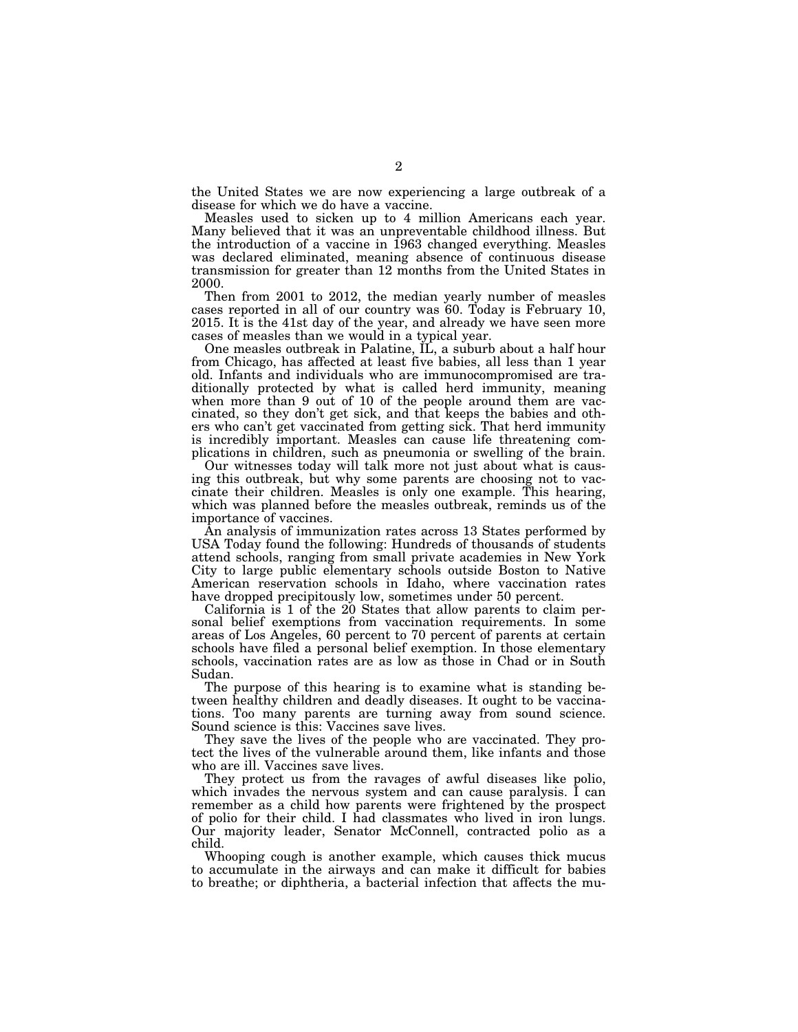the United States we are now experiencing a large outbreak of a disease for which we do have a vaccine.

Measles used to sicken up to 4 million Americans each year. Many believed that it was an unpreventable childhood illness. But the introduction of a vaccine in 1963 changed everything. Measles was declared eliminated, meaning absence of continuous disease transmission for greater than 12 months from the United States in 2000.

Then from 2001 to 2012, the median yearly number of measles cases reported in all of our country was 60. Today is February 10, 2015. It is the 41st day of the year, and already we have seen more cases of measles than we would in a typical year.

One measles outbreak in Palatine, IL, a suburb about a half hour from Chicago, has affected at least five babies, all less than 1 year old. Infants and individuals who are immunocompromised are traditionally protected by what is called herd immunity, meaning when more than 9 out of 10 of the people around them are vaccinated, so they don't get sick, and that keeps the babies and others who can't get vaccinated from getting sick. That herd immunity is incredibly important. Measles can cause life threatening complications in children, such as pneumonia or swelling of the brain.

Our witnesses today will talk more not just about what is causing this outbreak, but why some parents are choosing not to vaccinate their children. Measles is only one example. This hearing, which was planned before the measles outbreak, reminds us of the importance of vaccines.

An analysis of immunization rates across 13 States performed by USA Today found the following: Hundreds of thousands of students attend schools, ranging from small private academies in New York City to large public elementary schools outside Boston to Native American reservation schools in Idaho, where vaccination rates have dropped precipitously low, sometimes under 50 percent.

California is 1 of the 20 States that allow parents to claim personal belief exemptions from vaccination requirements. In some areas of Los Angeles, 60 percent to 70 percent of parents at certain schools have filed a personal belief exemption. In those elementary schools, vaccination rates are as low as those in Chad or in South Sudan.

The purpose of this hearing is to examine what is standing between healthy children and deadly diseases. It ought to be vaccinations. Too many parents are turning away from sound science. Sound science is this: Vaccines save lives.

They save the lives of the people who are vaccinated. They protect the lives of the vulnerable around them, like infants and those who are ill. Vaccines save lives.

They protect us from the ravages of awful diseases like polio, which invades the nervous system and can cause paralysis. I can remember as a child how parents were frightened by the prospect of polio for their child. I had classmates who lived in iron lungs. Our majority leader, Senator McConnell, contracted polio as a child.

Whooping cough is another example, which causes thick mucus to accumulate in the airways and can make it difficult for babies to breathe; or diphtheria, a bacterial infection that affects the mu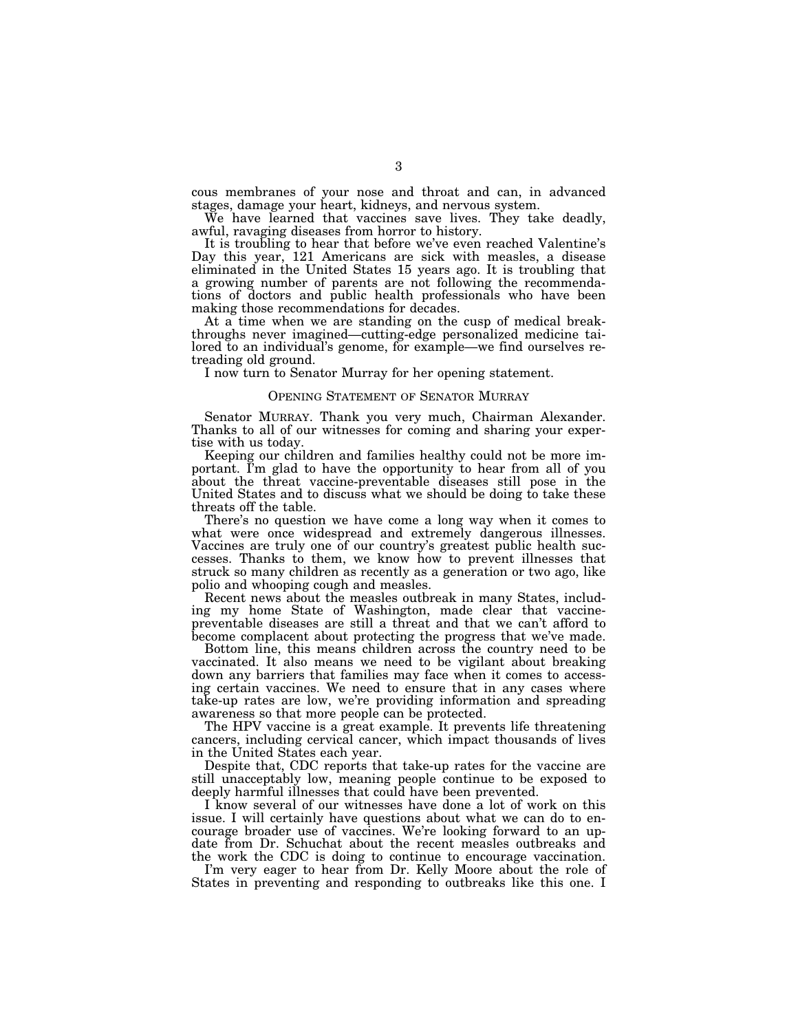cous membranes of your nose and throat and can, in advanced stages, damage your heart, kidneys, and nervous system.

We have learned that vaccines save lives. They take deadly, awful, ravaging diseases from horror to history.

It is troubling to hear that before we've even reached Valentine's Day this year, 121 Americans are sick with measles, a disease eliminated in the United States 15 years ago. It is troubling that a growing number of parents are not following the recommendations of doctors and public health professionals who have been making those recommendations for decades.

At a time when we are standing on the cusp of medical breakthroughs never imagined—cutting-edge personalized medicine tailored to an individual's genome, for example—we find ourselves retreading old ground.

I now turn to Senator Murray for her opening statement.

# OPENING STATEMENT OF SENATOR MURRAY

Senator MURRAY. Thank you very much, Chairman Alexander. Thanks to all of our witnesses for coming and sharing your expertise with us today.

Keeping our children and families healthy could not be more important. I'm glad to have the opportunity to hear from all of you about the threat vaccine-preventable diseases still pose in the United States and to discuss what we should be doing to take these threats off the table.

There's no question we have come a long way when it comes to what were once widespread and extremely dangerous illnesses. Vaccines are truly one of our country's greatest public health successes. Thanks to them, we know how to prevent illnesses that struck so many children as recently as a generation or two ago, like polio and whooping cough and measles.

Recent news about the measles outbreak in many States, including my home State of Washington, made clear that vaccinepreventable diseases are still a threat and that we can't afford to become complacent about protecting the progress that we've made.

Bottom line, this means children across the country need to be vaccinated. It also means we need to be vigilant about breaking down any barriers that families may face when it comes to accessing certain vaccines. We need to ensure that in any cases where take-up rates are low, we're providing information and spreading awareness so that more people can be protected.

The HPV vaccine is a great example. It prevents life threatening cancers, including cervical cancer, which impact thousands of lives in the United States each year.

Despite that, CDC reports that take-up rates for the vaccine are still unacceptably low, meaning people continue to be exposed to deeply harmful illnesses that could have been prevented.

I know several of our witnesses have done a lot of work on this issue. I will certainly have questions about what we can do to encourage broader use of vaccines. We're looking forward to an update from Dr. Schuchat about the recent measles outbreaks and the work the CDC is doing to continue to encourage vaccination.

I'm very eager to hear from Dr. Kelly Moore about the role of States in preventing and responding to outbreaks like this one. I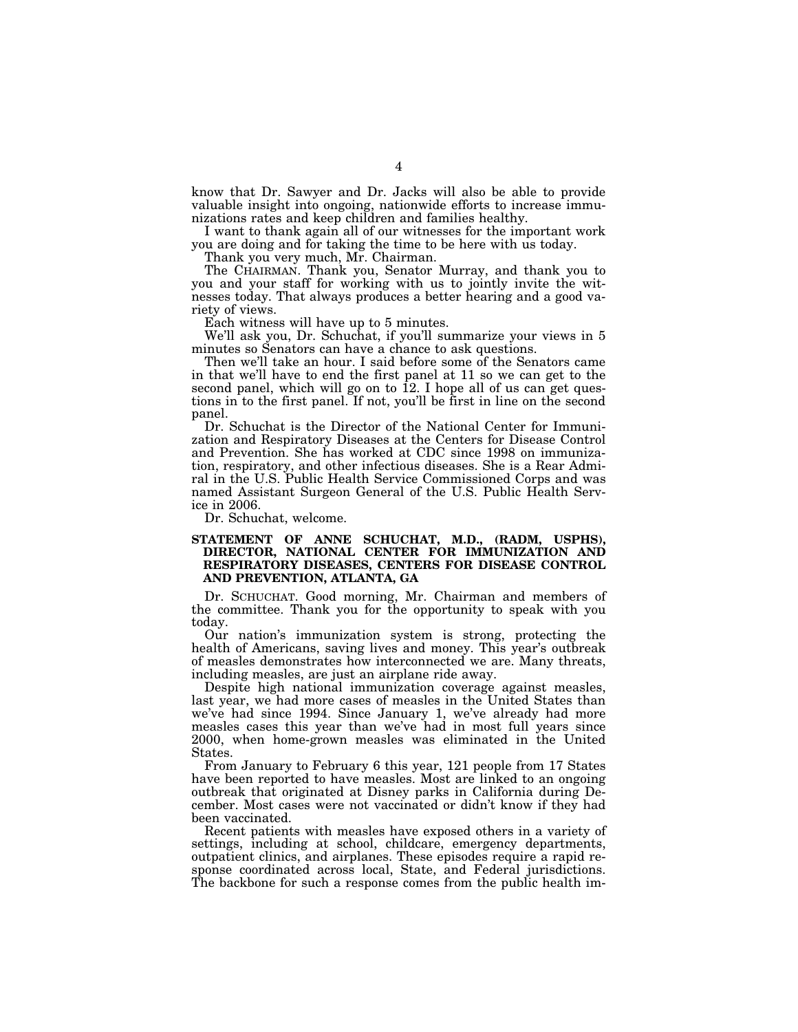know that Dr. Sawyer and Dr. Jacks will also be able to provide valuable insight into ongoing, nationwide efforts to increase immunizations rates and keep children and families healthy.

I want to thank again all of our witnesses for the important work you are doing and for taking the time to be here with us today.

Thank you very much, Mr. Chairman.

The CHAIRMAN. Thank you, Senator Murray, and thank you to you and your staff for working with us to jointly invite the witnesses today. That always produces a better hearing and a good variety of views.

Each witness will have up to 5 minutes.

We'll ask you, Dr. Schuchat, if you'll summarize your views in 5 minutes so Senators can have a chance to ask questions.

Then we'll take an hour. I said before some of the Senators came in that we'll have to end the first panel at 11 so we can get to the second panel, which will go on to 12. I hope all of us can get questions in to the first panel. If not, you'll be first in line on the second panel.

Dr. Schuchat is the Director of the National Center for Immunization and Respiratory Diseases at the Centers for Disease Control and Prevention. She has worked at CDC since 1998 on immunization, respiratory, and other infectious diseases. She is a Rear Admiral in the U.S. Public Health Service Commissioned Corps and was named Assistant Surgeon General of the U.S. Public Health Service in 2006.

Dr. Schuchat, welcome.

# **STATEMENT OF ANNE SCHUCHAT, M.D., (RADM, USPHS), DIRECTOR, NATIONAL CENTER FOR IMMUNIZATION AND RESPIRATORY DISEASES, CENTERS FOR DISEASE CONTROL AND PREVENTION, ATLANTA, GA**

Dr. SCHUCHAT. Good morning, Mr. Chairman and members of the committee. Thank you for the opportunity to speak with you today.

Our nation's immunization system is strong, protecting the health of Americans, saving lives and money. This year's outbreak of measles demonstrates how interconnected we are. Many threats, including measles, are just an airplane ride away.

Despite high national immunization coverage against measles, last year, we had more cases of measles in the United States than we've had since 1994. Since January 1, we've already had more measles cases this year than we've had in most full years since 2000, when home-grown measles was eliminated in the United States.

From January to February 6 this year, 121 people from 17 States have been reported to have measles. Most are linked to an ongoing outbreak that originated at Disney parks in California during December. Most cases were not vaccinated or didn't know if they had been vaccinated.

Recent patients with measles have exposed others in a variety of settings, including at school, childcare, emergency departments, outpatient clinics, and airplanes. These episodes require a rapid response coordinated across local, State, and Federal jurisdictions. The backbone for such a response comes from the public health im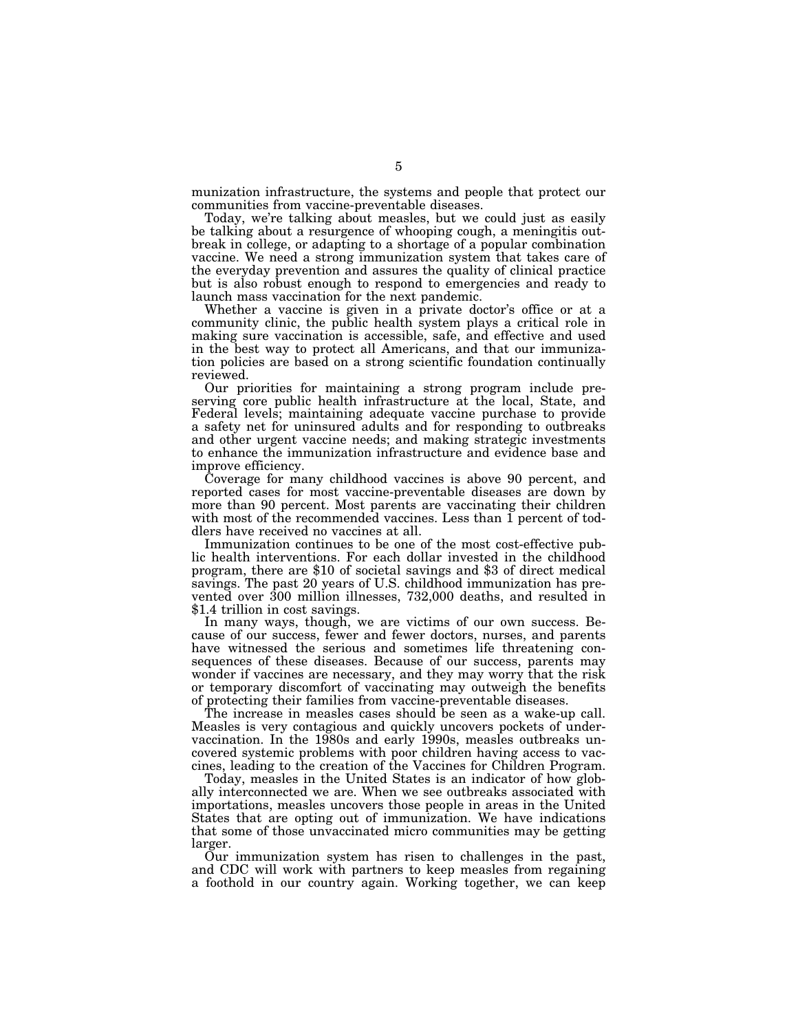munization infrastructure, the systems and people that protect our communities from vaccine-preventable diseases.

Today, we're talking about measles, but we could just as easily be talking about a resurgence of whooping cough, a meningitis outbreak in college, or adapting to a shortage of a popular combination vaccine. We need a strong immunization system that takes care of the everyday prevention and assures the quality of clinical practice but is also robust enough to respond to emergencies and ready to launch mass vaccination for the next pandemic.

Whether a vaccine is given in a private doctor's office or at a community clinic, the public health system plays a critical role in making sure vaccination is accessible, safe, and effective and used in the best way to protect all Americans, and that our immunization policies are based on a strong scientific foundation continually reviewed.

Our priorities for maintaining a strong program include preserving core public health infrastructure at the local, State, and Federal levels; maintaining adequate vaccine purchase to provide a safety net for uninsured adults and for responding to outbreaks and other urgent vaccine needs; and making strategic investments to enhance the immunization infrastructure and evidence base and improve efficiency.

Coverage for many childhood vaccines is above 90 percent, and reported cases for most vaccine-preventable diseases are down by more than 90 percent. Most parents are vaccinating their children with most of the recommended vaccines. Less than 1 percent of toddlers have received no vaccines at all.

Immunization continues to be one of the most cost-effective public health interventions. For each dollar invested in the childhood program, there are \$10 of societal savings and \$3 of direct medical savings. The past 20 years of U.S. childhood immunization has prevented over 300 million illnesses, 732,000 deaths, and resulted in \$1.4 trillion in cost savings.

In many ways, though, we are victims of our own success. Because of our success, fewer and fewer doctors, nurses, and parents have witnessed the serious and sometimes life threatening consequences of these diseases. Because of our success, parents may wonder if vaccines are necessary, and they may worry that the risk or temporary discomfort of vaccinating may outweigh the benefits of protecting their families from vaccine-preventable diseases.

The increase in measles cases should be seen as a wake-up call. Measles is very contagious and quickly uncovers pockets of undervaccination. In the 1980s and early 1990s, measles outbreaks uncovered systemic problems with poor children having access to vaccines, leading to the creation of the Vaccines for Children Program.

Today, measles in the United States is an indicator of how globally interconnected we are. When we see outbreaks associated with importations, measles uncovers those people in areas in the United States that are opting out of immunization. We have indications that some of those unvaccinated micro communities may be getting larger.

Our immunization system has risen to challenges in the past, and CDC will work with partners to keep measles from regaining a foothold in our country again. Working together, we can keep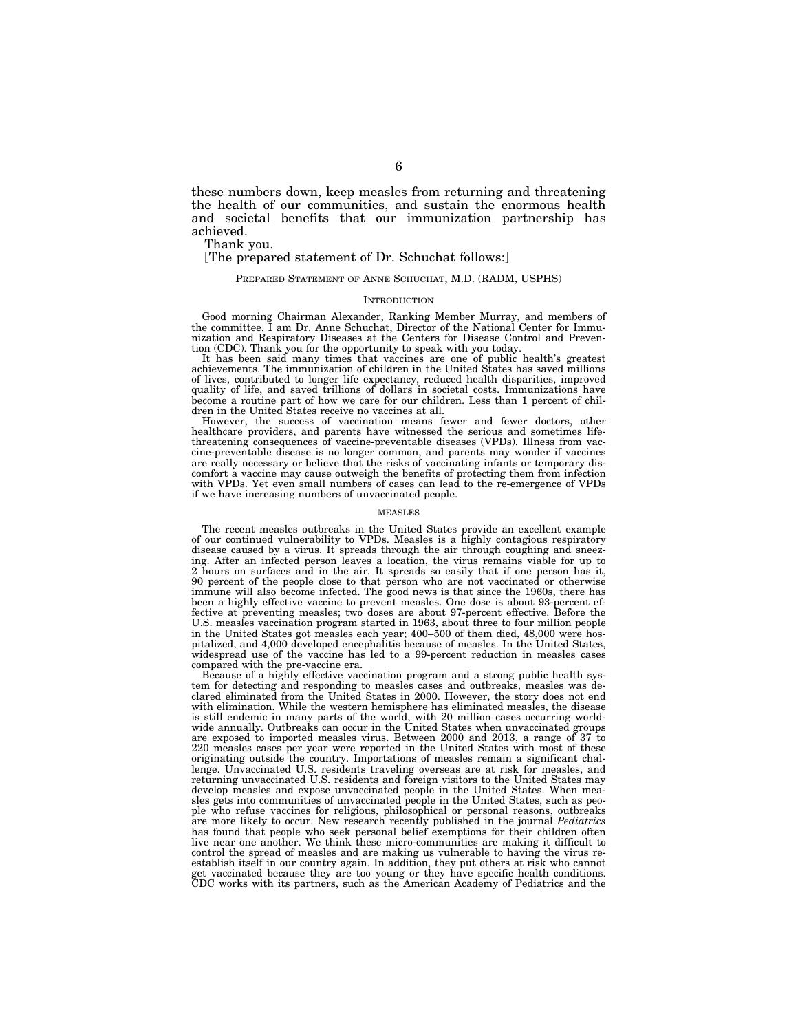these numbers down, keep measles from returning and threatening the health of our communities, and sustain the enormous health and societal benefits that our immunization partnership has achieved.

Thank you.

[The prepared statement of Dr. Schuchat follows:]

## PREPARED STATEMENT OF ANNE SCHUCHAT, M.D. (RADM, USPHS)

#### **INTRODUCTION**

Good morning Chairman Alexander, Ranking Member Murray, and members of the committee. I am Dr. Anne Schuchat, Director of the National Center for Immunization and Respiratory Diseases at the Centers for Disease Control and Prevention (CDC). Thank you for the opportunity to speak with you today.

It has been said many times that vaccines are one of public health's greatest achievements. The immunization of children in the United States has saved millions of lives, contributed to longer life expectancy, reduced health disparities, improved quality of life, and saved trillions of dollars in societal costs. Immunizations have become a routine part of how we care for our children. Less than 1 percent of children in the United States receive no vaccines at all.

However, the success of vaccination means fewer and fewer doctors, other healthcare providers, and parents have witnessed the serious and sometimes lifethreatening consequences of vaccine-preventable diseases (VPDs). Illness from vaccine-preventable disease is no longer common, and parents may wonder if vaccines are really necessary or believe that the risks of vaccinating infants or temporary discomfort a vaccine may cause outweigh the benefits of protecting them from infection with VPDs. Yet even small numbers of cases can lead to the re-emergence of VPDs if we have increasing numbers of unvaccinated people.

## MEASLES

The recent measles outbreaks in the United States provide an excellent example of our continued vulnerability to VPDs. Measles is a highly contagious respiratory disease caused by a virus. It spreads through the air through coughing and sneezing. After an infected person leaves a location, the virus remains viable for up to 2 hours on surfaces and in the air. It spreads so easily that if one person has it, 90 percent of the people close to that person who are not vaccinated or otherwise immune will also become infected. The good news is that since the 1960s, there has been a highly effective vaccine to prevent measles. One dose is about 93-percent effective at preventing measles; two doses are about 97-percent effective. Before the U.S. measles vaccination program started in 1963, about three to four million people in the United States got measles each year; 400–500 of them died, 48,000 were hospitalized, and 4,000 developed encephalitis because of measles. In the United States, widespread use of the vaccine has led to a 99-percent reduction in measles cases compared with the pre-vaccine era.

Because of a highly effective vaccination program and a strong public health system for detecting and responding to measles cases and outbreaks, measles was declared eliminated from the United States in 2000. However, the story does not end with elimination. While the western hemisphere has eliminated measles, the disease is still endemic in many parts of the world, with 20 million cases occurring worldwide annually. Outbreaks can occur in the United States when unvaccinated groups are exposed to imported measles virus. Between 2000 and 2013, a range of 37 to 220 measles cases per year were reported in the United States with most of these originating outside the country. Importations of measles remain a significant challenge. Unvaccinated U.S. residents traveling overseas are at risk for measles, and returning unvaccinated U.S. residents and foreign visitors to the United States may develop measles and expose unvaccinated people in the United States. When measles gets into communities of unvaccinated people in the United States, such as people who refuse vaccines for religious, philosophical or personal reasons, outbreaks are more likely to occur. New research recently published in the journal *Pediatrics*  has found that people who seek personal belief exemptions for their children often live near one another. We think these micro-communities are making it difficult to control the spread of measles and are making us vulnerable to having the virus reestablish itself in our country again. In addition, they put others at risk who cannot get vaccinated because they are too young or they have specific health conditions. CDC works with its partners, such as the American Academy of Pediatrics and the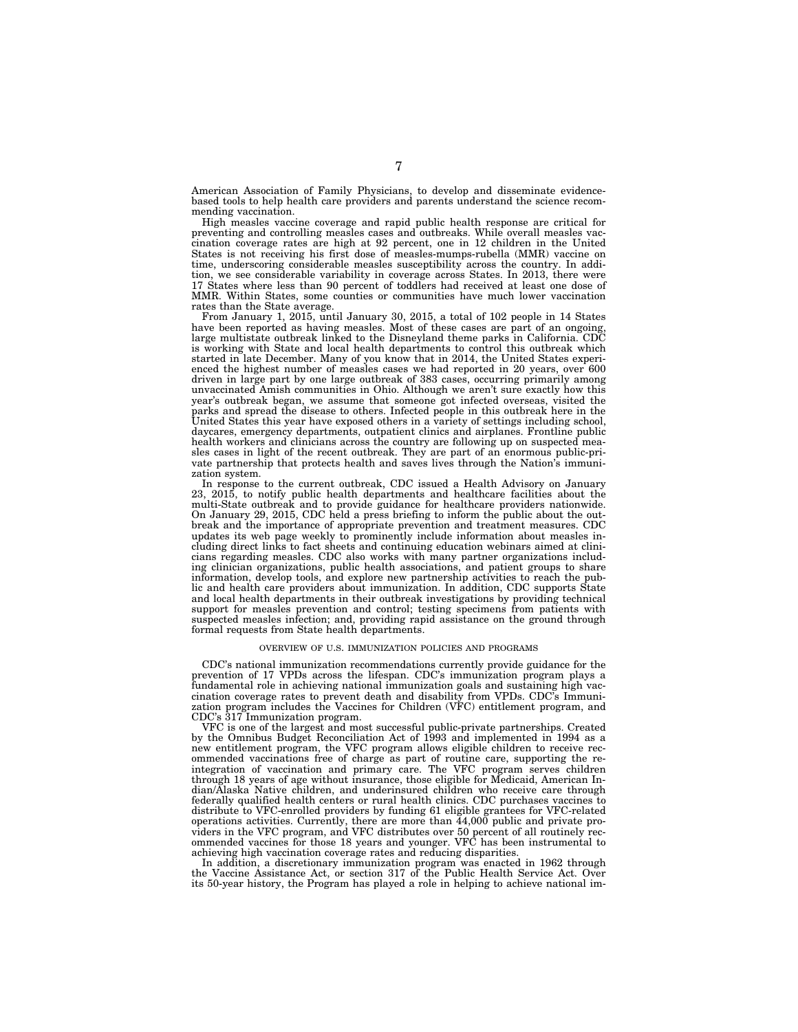American Association of Family Physicians, to develop and disseminate evidencebased tools to help health care providers and parents understand the science recommending vaccination.

High measles vaccine coverage and rapid public health response are critical for preventing and controlling measles cases and outbreaks. While overall measles vaccination coverage rates are high at 92 percent, one in 12 children in the United States is not receiving his first dose of measles-mumps-rubella (MMR) vaccine on time, underscoring considerable measles susceptibility across the country. In addition, we see considerable variability in coverage across States. In 2013, there were 17 States where less than 90 percent of toddlers had received at least one dose of MMR. Within States, some counties or communities have much lower vaccination rates than the State average.

From January 1, 2015, until January 30, 2015, a total of 102 people in 14 States have been reported as having measles. Most of these cases are part of an ongoing, large multistate outbreak linked to the Disneyland theme parks in California. CDC is working with State and local health departments to control this outbreak which started in late December. Many of you know that in 2014, the United States experienced the highest number of measles cases we had reported in 20 years, over 600 driven in large part by one large outbreak of 383 cases, occurring primarily among unvaccinated Amish communities in Ohio. Although we aren't sure exactly how this year's outbreak began, we assume that someone got infected overseas, visited the parks and spread the disease to others. Infected people in this outbreak here in the United States this year have exposed others in a variety of settings including school, daycares, emergency departments, outpatient clinics and airplanes. Frontline public health workers and clinicians across the country are following up on suspected measles cases in light of the recent outbreak. They are part of an enormous public-private partnership that protects health and saves lives through the Nation's immunization system.

In response to the current outbreak, CDC issued a Health Advisory on January 23, 2015, to notify public health departments and healthcare facilities about the multi-State outbreak and to provide guidance for healthcare providers nationwide. On January 29, 2015, CDC held a press briefing to inform the public about the outbreak and the importance of appropriate prevention and treatment measures. CDC updates its web page weekly to prominently include information about measles including direct links to fact sheets and continuing education webinars aimed at clinicians regarding measles. CDC also works with many partner organizations including clinician organizations, public health associations, and patient groups to share information, develop tools, and explore new partnership activities to reach the public and health care providers about immunization. In addition, CDC supports State and local health departments in their outbreak investigations by providing technical support for measles prevention and control; testing specimens from patients with suspected measles infection; and, providing rapid assistance on the ground through formal requests from State health departments.

#### OVERVIEW OF U.S. IMMUNIZATION POLICIES AND PROGRAMS

CDC's national immunization recommendations currently provide guidance for the prevention of 17 VPDs across the lifespan. CDC's immunization program plays a fundamental role in achieving national immunization goals and sustaining high vaccination coverage rates to prevent death and disability from VPDs. CDC's Immunization program includes the Vaccines for Children (VFC) entitlement program, and CDC's 317 Immunization program.

VFC is one of the largest and most successful public-private partnerships. Created by the Omnibus Budget Reconciliation Act of 1993 and implemented in 1994 as a new entitlement program, the VFC program allows eligible children to receive recommended vaccinations free of charge as part of routine care, supporting the reintegration of vaccination and primary care. The VFC program serves children through 18 years of age without insurance, those eligible for Medicaid, American Indian/Alaska Native children, and underinsured children who receive care through federally qualified health centers or rural health clinics. CDC purchases vaccines to distribute to VFC-enrolled providers by funding 61 eligible grantees for VFC-related operations activities. Currently, there are more than 44,000 public and private providers in the VFC program, and VFC distributes over 50 percent of all routinely recommended vaccines for those 18 years and younger. VFC has been instrumental to achieving high vaccination coverage rates and reducing disparities.

In addition, a discretionary immunization program was enacted in 1962 through the Vaccine Assistance Act, or section 317 of the Public Health Service Act. Over its 50-year history, the Program has played a role in helping to achieve national im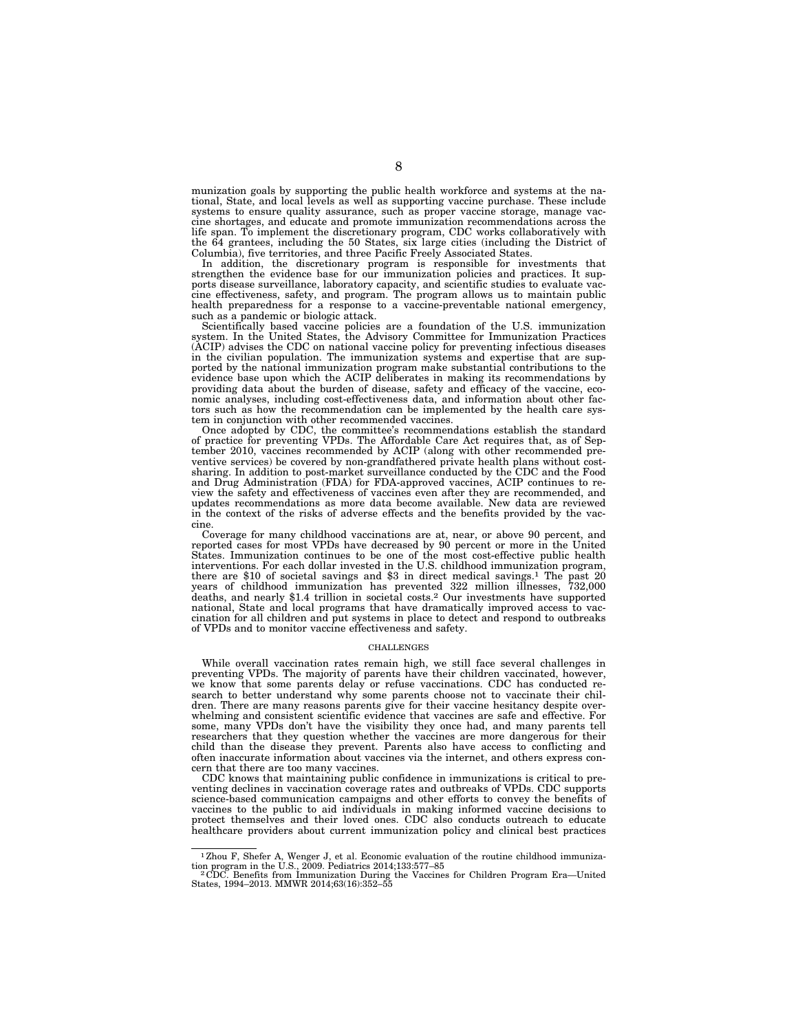munization goals by supporting the public health workforce and systems at the national, State, and local levels as well as supporting vaccine purchase. These include systems to ensure quality assurance, such as proper vaccine storage, manage vaccine shortages, and educate and promote immunization recommendations across the life span. To implement the discretionary program, CDC works collaboratively with the 64 grantees, including the 50 States, six large cities (including the District of Columbia), five territories, and three Pacific Freely Associated States.

In addition, the discretionary program is responsible for investments that strengthen the evidence base for our immunization policies and practices. It supports disease surveillance, laboratory capacity, and scientific studies to evaluate vaccine effectiveness, safety, and program. The program allows us to maintain public health preparedness for a response to a vaccine-preventable national emergency, such as a pandemic or biologic attack.

Scientifically based vaccine policies are a foundation of the U.S. immunization system. In the United States, the Advisory Committee for Immunization Practices (ACIP) advises the CDC on national vaccine policy for preventing infectious diseases in the civilian population. The immunization systems and expertise that are supported by the national immunization program make substantial contributions to the evidence base upon which the ACIP deliberates in making its recommendations by providing data about the burden of disease, safety and efficacy of the vaccine, economic analyses, including cost-effectiveness data, and information about other factors such as how the recommendation can be implemented by the health care system in conjunction with other recommended vaccines.

Once adopted by CDC, the committee's recommendations establish the standard of practice for preventing VPDs. The Affordable Care Act requires that, as of September 2010, vaccines recommended by ACIP (along with other recommended preventive services) be covered by non-grandfathered private health plans without costsharing. In addition to post-market surveillance conducted by the CDC and the Food and Drug Administration (FDA) for FDA-approved vaccines, ACIP continues to review the safety and effectiveness of vaccines even after they are recommended, and updates recommendations as more data become available. New data are reviewed in the context of the risks of adverse effects and the benefits provided by the vaccine.

Coverage for many childhood vaccinations are at, near, or above 90 percent, and reported cases for most VPDs have decreased by 90 percent or more in the United States. Immunization continues to be one of the most cost-effective public health interventions. For each dollar invested in the U.S. childhood immunization program, there are \$10 of societal savings and \$3 in direct medical savings.1 The past 20 years of childhood immunization has prevented 322 million illnesses, 732,000 deaths, and nearly \$1.4 trillion in societal costs.2 Our investments have supported national, State and local programs that have dramatically improved access to vaccination for all children and put systems in place to detect and respond to outbreaks of VPDs and to monitor vaccine effectiveness and safety.

#### **CHALLENGES**

While overall vaccination rates remain high, we still face several challenges in preventing VPDs. The majority of parents have their children vaccinated, however, we know that some parents delay or refuse vaccinations. CDC has conducted research to better understand why some parents choose not to vaccinate their children. There are many reasons parents give for their vaccine hesitancy despite overwhelming and consistent scientific evidence that vaccines are safe and effective. For some, many VPDs don't have the visibility they once had, and many parents tell researchers that they question whether the vaccines are more dangerous for their child than the disease they prevent. Parents also have access to conflicting and often inaccurate information about vaccines via the internet, and others express concern that there are too many vaccines.

CDC knows that maintaining public confidence in immunizations is critical to preventing declines in vaccination coverage rates and outbreaks of VPDs. CDC supports science-based communication campaigns and other efforts to convey the benefits of vaccines to the public to aid individuals in making informed vaccine decisions to protect themselves and their loved ones. CDC also conducts outreach to educate healthcare providers about current immunization policy and clinical best practices

<sup>&</sup>lt;sup>1</sup>Zhou F, Shefer A, Wenger J, et al. Economic evaluation of the routine childhood immunization program in the U.S., 2009. Pediatrics  $2014;133:577-85$ 

tion program in the U.S., 2009. Pediatrics 2014;133:577–85 2 CDC. Benefits from Immunization During the Vaccines for Children Program Era—United States, 1994–2013. MMWR 2014;63(16):352–55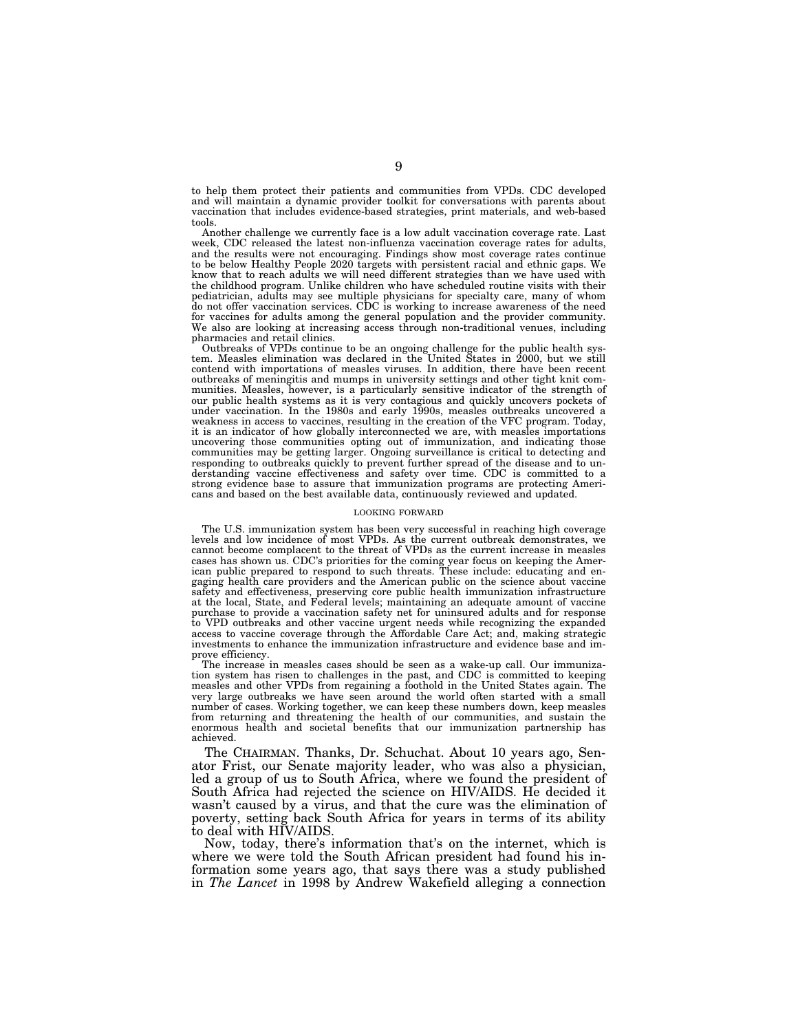to help them protect their patients and communities from VPDs. CDC developed and will maintain a dynamic provider toolkit for conversations with parents about vaccination that includes evidence-based strategies, print materials, and web-based tools.

Another challenge we currently face is a low adult vaccination coverage rate. Last week, CDC released the latest non-influenza vaccination coverage rates for adults, and the results were not encouraging. Findings show most coverage rates continue to be below Healthy People 2020 targets with persistent racial and ethnic gaps. We know that to reach adults we will need different strategies than we have used with the childhood program. Unlike children who have scheduled routine visits with their pediatrician, adults may see multiple physicians for specialty care, many of whom do not offer vaccination services. CDC is working to increase awareness of the need for vaccines for adults among the general population and the provider community. We also are looking at increasing access through non-traditional venues, including pharmacies and retail clinics.

Outbreaks of VPDs continue to be an ongoing challenge for the public health system. Measles elimination was declared in the United States in 2000, but we still contend with importations of measles viruses. In addition, there have been recent outbreaks of meningitis and mumps in university settings and other tight knit communities. Measles, however, is a particularly sensitive indicator of the strength of our public health systems as it is very contagious and quickly uncovers pockets of under vaccination. In the 1980s and early 1990s, measles outbreaks uncovered a weakness in access to vaccines, resulting in the creation of the VFC program. Today, it is an indicator of how globally interconnected we are, with measles importations uncovering those communities opting out of immunization, and indicating those communities may be getting larger. Ongoing surveillance is critical to detecting and responding to outbreaks quickly to prevent further spread of the disease and to understanding vaccine effectiveness and safety over time. CDC is committed to a strong evidence base to assure that immunization programs are protecting Americans and based on the best available data, continuously reviewed and updated.

#### LOOKING FORWARD

The U.S. immunization system has been very successful in reaching high coverage levels and low incidence of most VPDs. As the current outbreak demonstrates, we cannot become complacent to the threat of VPDs as the current increase in measles cases has shown us. CDC's priorities for the coming year focus on keeping the American public prepared to respond to such threats. These include: educating and engaging health care providers and the American public on the science about vaccine safety and effectiveness, preserving core public health immunization infrastructure at the local, State, and Federal levels; maintaining an adequate amount of vaccine purchase to provide a vaccination safety net for uninsured adults and for response to VPD outbreaks and other vaccine urgent needs while recognizing the expanded access to vaccine coverage through the Affordable Care Act; and, making strategic investments to enhance the immunization infrastructure and evidence base and improve efficiency.

The increase in measles cases should be seen as a wake-up call. Our immunization system has risen to challenges in the past, and CDC is committed to keeping measles and other VPDs from regaining a foothold in the United States again. The very large outbreaks we have seen around the world often started with a small number of cases. Working together, we can keep these numbers down, keep measles from returning and threatening the health of our communities, and sustain the enormous health and societal benefits that our immunization partnership has achieved.

The CHAIRMAN. Thanks, Dr. Schuchat. About 10 years ago, Senator Frist, our Senate majority leader, who was also a physician, led a group of us to South Africa, where we found the president of South Africa had rejected the science on HIV/AIDS. He decided it wasn't caused by a virus, and that the cure was the elimination of poverty, setting back South Africa for years in terms of its ability to deal with HIV/AIDS.

Now, today, there's information that's on the internet, which is where we were told the South African president had found his information some years ago, that says there was a study published in *The Lancet* in 1998 by Andrew Wakefield alleging a connection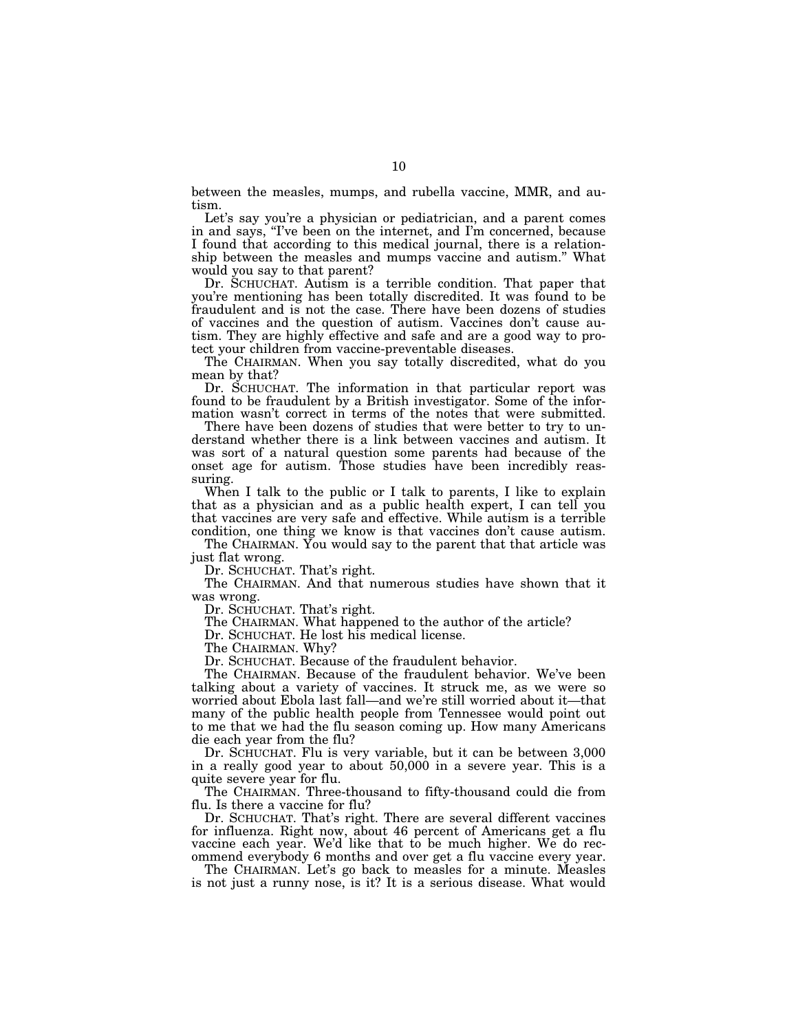between the measles, mumps, and rubella vaccine, MMR, and autism.

Let's say you're a physician or pediatrician, and a parent comes in and says, ''I've been on the internet, and I'm concerned, because I found that according to this medical journal, there is a relationship between the measles and mumps vaccine and autism.'' What would you say to that parent?

Dr. SCHUCHAT. Autism is a terrible condition. That paper that you're mentioning has been totally discredited. It was found to be fraudulent and is not the case. There have been dozens of studies of vaccines and the question of autism. Vaccines don't cause autism. They are highly effective and safe and are a good way to protect your children from vaccine-preventable diseases.

The CHAIRMAN. When you say totally discredited, what do you mean by that?

Dr. SCHUCHAT. The information in that particular report was found to be fraudulent by a British investigator. Some of the information wasn't correct in terms of the notes that were submitted.

There have been dozens of studies that were better to try to understand whether there is a link between vaccines and autism. It was sort of a natural question some parents had because of the onset age for autism. Those studies have been incredibly reassuring.

When I talk to the public or I talk to parents, I like to explain that as a physician and as a public health expert, I can tell you that vaccines are very safe and effective. While autism is a terrible condition, one thing we know is that vaccines don't cause autism.

The CHAIRMAN. You would say to the parent that that article was just flat wrong.

Dr. SCHUCHAT. That's right.

The CHAIRMAN. And that numerous studies have shown that it was wrong.

Dr. SCHUCHAT. That's right.

The CHAIRMAN. What happened to the author of the article?

Dr. SCHUCHAT. He lost his medical license.

The CHAIRMAN. Why?

Dr. SCHUCHAT. Because of the fraudulent behavior.

The CHAIRMAN. Because of the fraudulent behavior. We've been talking about a variety of vaccines. It struck me, as we were so worried about Ebola last fall—and we're still worried about it—that many of the public health people from Tennessee would point out to me that we had the flu season coming up. How many Americans die each year from the flu?

Dr. SCHUCHAT. Flu is very variable, but it can be between 3,000 in a really good year to about 50,000 in a severe year. This is a quite severe year for flu.

The CHAIRMAN. Three-thousand to fifty-thousand could die from flu. Is there a vaccine for flu?

Dr. SCHUCHAT. That's right. There are several different vaccines for influenza. Right now, about 46 percent of Americans get a flu vaccine each year. We'd like that to be much higher. We do recommend everybody 6 months and over get a flu vaccine every year.

The CHAIRMAN. Let's go back to measles for a minute. Measles is not just a runny nose, is it? It is a serious disease. What would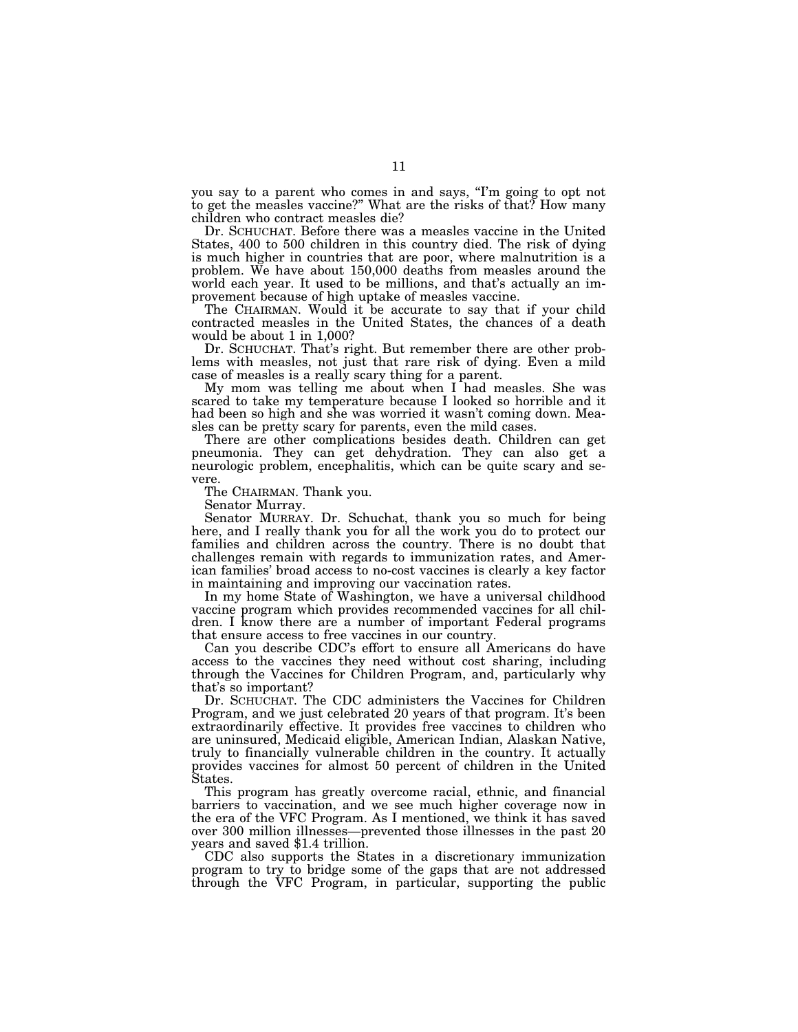you say to a parent who comes in and says, ''I'm going to opt not to get the measles vaccine?'' What are the risks of that? How many children who contract measles die?

Dr. SCHUCHAT. Before there was a measles vaccine in the United States, 400 to 500 children in this country died. The risk of dying is much higher in countries that are poor, where malnutrition is a problem. We have about 150,000 deaths from measles around the world each year. It used to be millions, and that's actually an improvement because of high uptake of measles vaccine.

The CHAIRMAN. Would it be accurate to say that if your child contracted measles in the United States, the chances of a death would be about 1 in 1,000?

Dr. SCHUCHAT. That's right. But remember there are other problems with measles, not just that rare risk of dying. Even a mild case of measles is a really scary thing for a parent.

My mom was telling me about when I had measles. She was scared to take my temperature because I looked so horrible and it had been so high and she was worried it wasn't coming down. Measles can be pretty scary for parents, even the mild cases.

There are other complications besides death. Children can get pneumonia. They can get dehydration. They can also get a neurologic problem, encephalitis, which can be quite scary and severe.

The CHAIRMAN. Thank you.

Senator Murray.

Senator MURRAY. Dr. Schuchat, thank you so much for being here, and I really thank you for all the work you do to protect our families and children across the country. There is no doubt that challenges remain with regards to immunization rates, and American families' broad access to no-cost vaccines is clearly a key factor in maintaining and improving our vaccination rates.

In my home State of Washington, we have a universal childhood vaccine program which provides recommended vaccines for all children. I know there are a number of important Federal programs that ensure access to free vaccines in our country.

Can you describe CDC's effort to ensure all Americans do have access to the vaccines they need without cost sharing, including through the Vaccines for Children Program, and, particularly why that's so important?

Dr. SCHUCHAT. The CDC administers the Vaccines for Children Program, and we just celebrated 20 years of that program. It's been extraordinarily effective. It provides free vaccines to children who are uninsured, Medicaid eligible, American Indian, Alaskan Native, truly to financially vulnerable children in the country. It actually provides vaccines for almost 50 percent of children in the United States.

This program has greatly overcome racial, ethnic, and financial barriers to vaccination, and we see much higher coverage now in the era of the VFC Program. As I mentioned, we think it has saved over 300 million illnesses—prevented those illnesses in the past 20 years and saved \$1.4 trillion.

CDC also supports the States in a discretionary immunization program to try to bridge some of the gaps that are not addressed through the VFC Program, in particular, supporting the public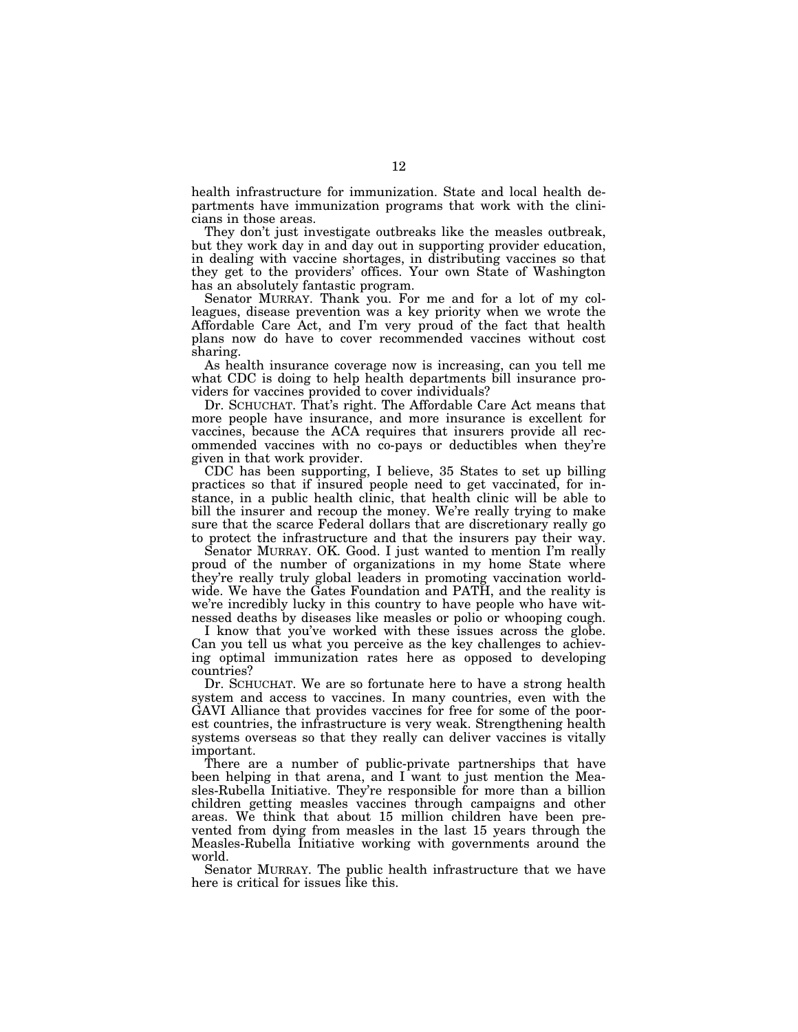health infrastructure for immunization. State and local health departments have immunization programs that work with the clinicians in those areas.

They don't just investigate outbreaks like the measles outbreak, but they work day in and day out in supporting provider education, in dealing with vaccine shortages, in distributing vaccines so that they get to the providers' offices. Your own State of Washington has an absolutely fantastic program.

Senator MURRAY. Thank you. For me and for a lot of my colleagues, disease prevention was a key priority when we wrote the Affordable Care Act, and I'm very proud of the fact that health plans now do have to cover recommended vaccines without cost sharing.

As health insurance coverage now is increasing, can you tell me what CDC is doing to help health departments bill insurance providers for vaccines provided to cover individuals?

Dr. SCHUCHAT. That's right. The Affordable Care Act means that more people have insurance, and more insurance is excellent for vaccines, because the ACA requires that insurers provide all recommended vaccines with no co-pays or deductibles when they're given in that work provider.

CDC has been supporting, I believe, 35 States to set up billing practices so that if insured people need to get vaccinated, for instance, in a public health clinic, that health clinic will be able to bill the insurer and recoup the money. We're really trying to make sure that the scarce Federal dollars that are discretionary really go to protect the infrastructure and that the insurers pay their way.

Senator MURRAY. OK. Good. I just wanted to mention I'm really proud of the number of organizations in my home State where they're really truly global leaders in promoting vaccination worldwide. We have the Gates Foundation and PATH, and the reality is we're incredibly lucky in this country to have people who have witnessed deaths by diseases like measles or polio or whooping cough.

I know that you've worked with these issues across the globe. Can you tell us what you perceive as the key challenges to achieving optimal immunization rates here as opposed to developing countries?

Dr. SCHUCHAT. We are so fortunate here to have a strong health system and access to vaccines. In many countries, even with the GAVI Alliance that provides vaccines for free for some of the poorest countries, the infrastructure is very weak. Strengthening health systems overseas so that they really can deliver vaccines is vitally important.

There are a number of public-private partnerships that have been helping in that arena, and I want to just mention the Measles-Rubella Initiative. They're responsible for more than a billion children getting measles vaccines through campaigns and other areas. We think that about 15 million children have been prevented from dying from measles in the last 15 years through the Measles-Rubella Initiative working with governments around the world.

Senator MURRAY. The public health infrastructure that we have here is critical for issues like this.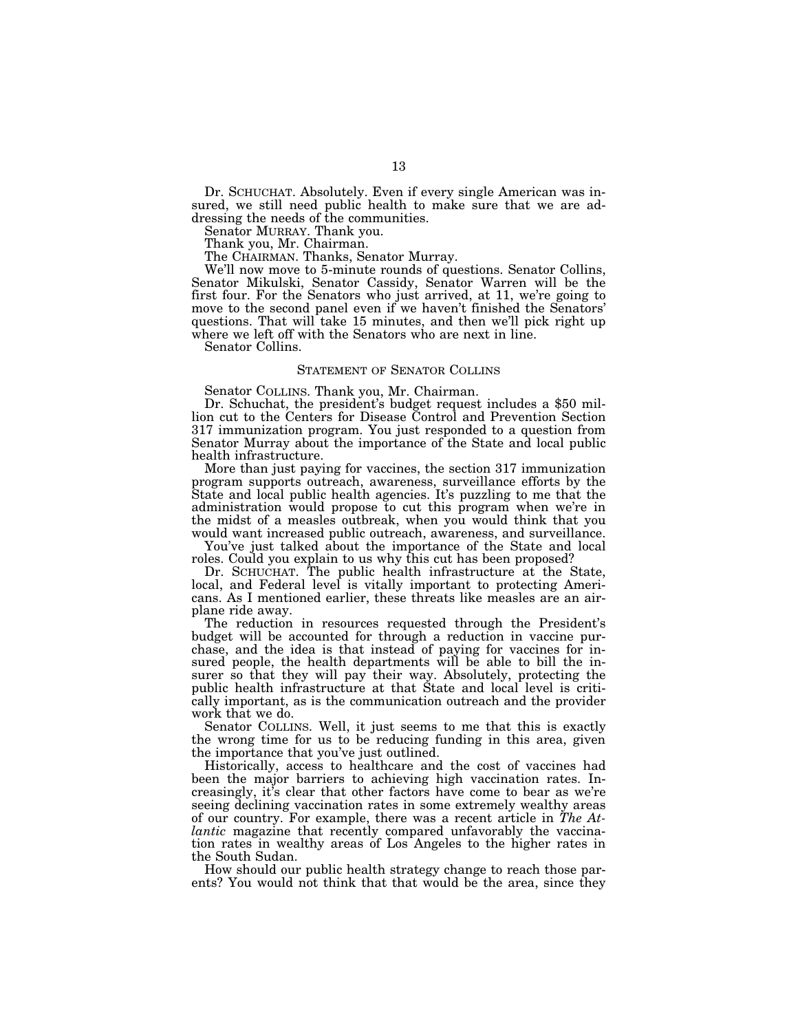Dr. SCHUCHAT. Absolutely. Even if every single American was insured, we still need public health to make sure that we are addressing the needs of the communities.

Senator MURRAY. Thank you.

Thank you, Mr. Chairman.

The CHAIRMAN. Thanks, Senator Murray.

We'll now move to 5-minute rounds of questions. Senator Collins, Senator Mikulski, Senator Cassidy, Senator Warren will be the first four. For the Senators who just arrived, at 11, we're going to move to the second panel even if we haven't finished the Senators' questions. That will take 15 minutes, and then we'll pick right up where we left off with the Senators who are next in line.

Senator Collins.

# STATEMENT OF SENATOR COLLINS

Senator COLLINS. Thank you, Mr. Chairman. Dr. Schuchat, the president's budget request includes a \$50 million cut to the Centers for Disease Control and Prevention Section 317 immunization program. You just responded to a question from Senator Murray about the importance of the State and local public health infrastructure.

More than just paying for vaccines, the section 317 immunization program supports outreach, awareness, surveillance efforts by the State and local public health agencies. It's puzzling to me that the administration would propose to cut this program when we're in the midst of a measles outbreak, when you would think that you would want increased public outreach, awareness, and surveillance.

You've just talked about the importance of the State and local roles. Could you explain to us why this cut has been proposed?

Dr. SCHUCHAT. The public health infrastructure at the State, local, and Federal level is vitally important to protecting Americans. As I mentioned earlier, these threats like measles are an airplane ride away.

The reduction in resources requested through the President's budget will be accounted for through a reduction in vaccine purchase, and the idea is that instead of paying for vaccines for insured people, the health departments will be able to bill the insurer so that they will pay their way. Absolutely, protecting the public health infrastructure at that State and local level is critically important, as is the communication outreach and the provider work that we do.

Senator COLLINS. Well, it just seems to me that this is exactly the wrong time for us to be reducing funding in this area, given the importance that you've just outlined.

Historically, access to healthcare and the cost of vaccines had been the major barriers to achieving high vaccination rates. Increasingly, it's clear that other factors have come to bear as we're seeing declining vaccination rates in some extremely wealthy areas of our country. For example, there was a recent article in *The Atlantic* magazine that recently compared unfavorably the vaccination rates in wealthy areas of Los Angeles to the higher rates in the South Sudan.

How should our public health strategy change to reach those parents? You would not think that that would be the area, since they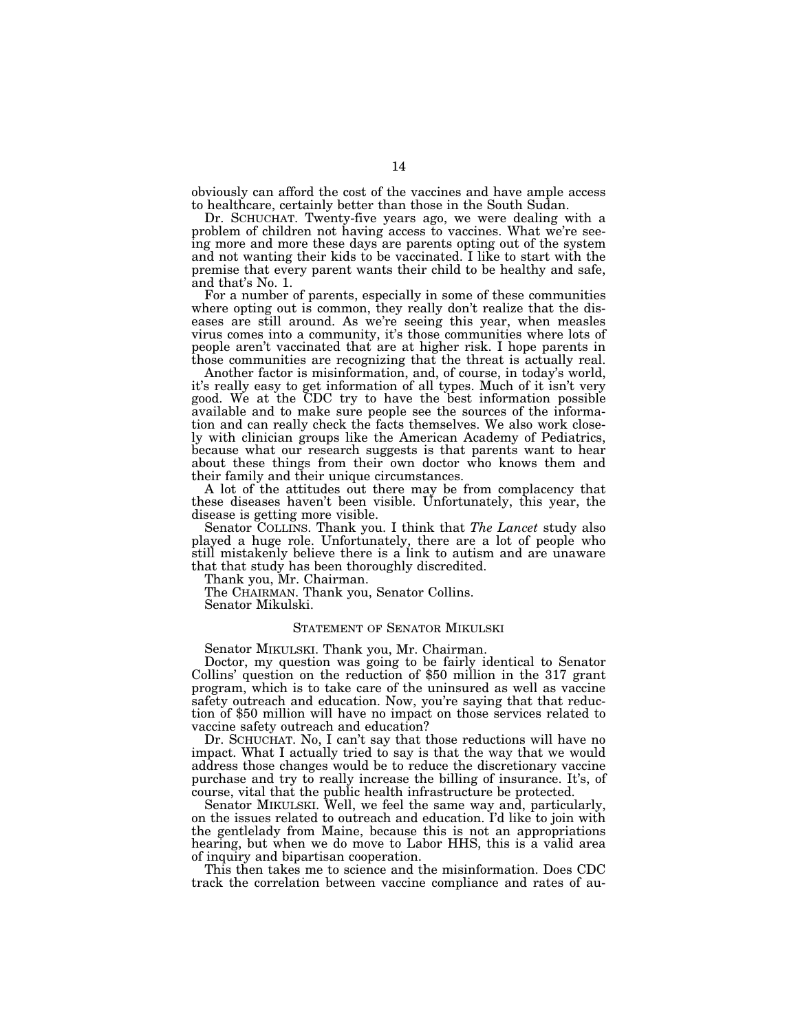obviously can afford the cost of the vaccines and have ample access to healthcare, certainly better than those in the South Sudan.

Dr. SCHUCHAT. Twenty-five years ago, we were dealing with a problem of children not having access to vaccines. What we're seeing more and more these days are parents opting out of the system and not wanting their kids to be vaccinated. I like to start with the premise that every parent wants their child to be healthy and safe, and that's No. 1.

For a number of parents, especially in some of these communities where opting out is common, they really don't realize that the diseases are still around. As we're seeing this year, when measles virus comes into a community, it's those communities where lots of people aren't vaccinated that are at higher risk. I hope parents in those communities are recognizing that the threat is actually real.

Another factor is misinformation, and, of course, in today's world, it's really easy to get information of all types. Much of it isn't very good. We at the CDC try to have the best information possible available and to make sure people see the sources of the information and can really check the facts themselves. We also work closely with clinician groups like the American Academy of Pediatrics, because what our research suggests is that parents want to hear about these things from their own doctor who knows them and their family and their unique circumstances.

A lot of the attitudes out there may be from complacency that these diseases haven't been visible. Unfortunately, this year, the disease is getting more visible.

Senator COLLINS. Thank you. I think that *The Lancet* study also played a huge role. Unfortunately, there are a lot of people who still mistakenly believe there is a link to autism and are unaware that that study has been thoroughly discredited.

Thank you, Mr. Chairman.

The CHAIRMAN. Thank you, Senator Collins. Senator Mikulski.

# STATEMENT OF SENATOR MIKULSKI

Senator MIKULSKI. Thank you, Mr. Chairman.

Doctor, my question was going to be fairly identical to Senator Collins' question on the reduction of \$50 million in the 317 grant program, which is to take care of the uninsured as well as vaccine safety outreach and education. Now, you're saying that that reduction of \$50 million will have no impact on those services related to vaccine safety outreach and education?

Dr. SCHUCHAT. No, I can't say that those reductions will have no impact. What I actually tried to say is that the way that we would address those changes would be to reduce the discretionary vaccine purchase and try to really increase the billing of insurance. It's, of course, vital that the public health infrastructure be protected.

Senator MIKULSKI. Well, we feel the same way and, particularly, on the issues related to outreach and education. I'd like to join with the gentlelady from Maine, because this is not an appropriations hearing, but when we do move to Labor HHS, this is a valid area of inquiry and bipartisan cooperation.

This then takes me to science and the misinformation. Does CDC track the correlation between vaccine compliance and rates of au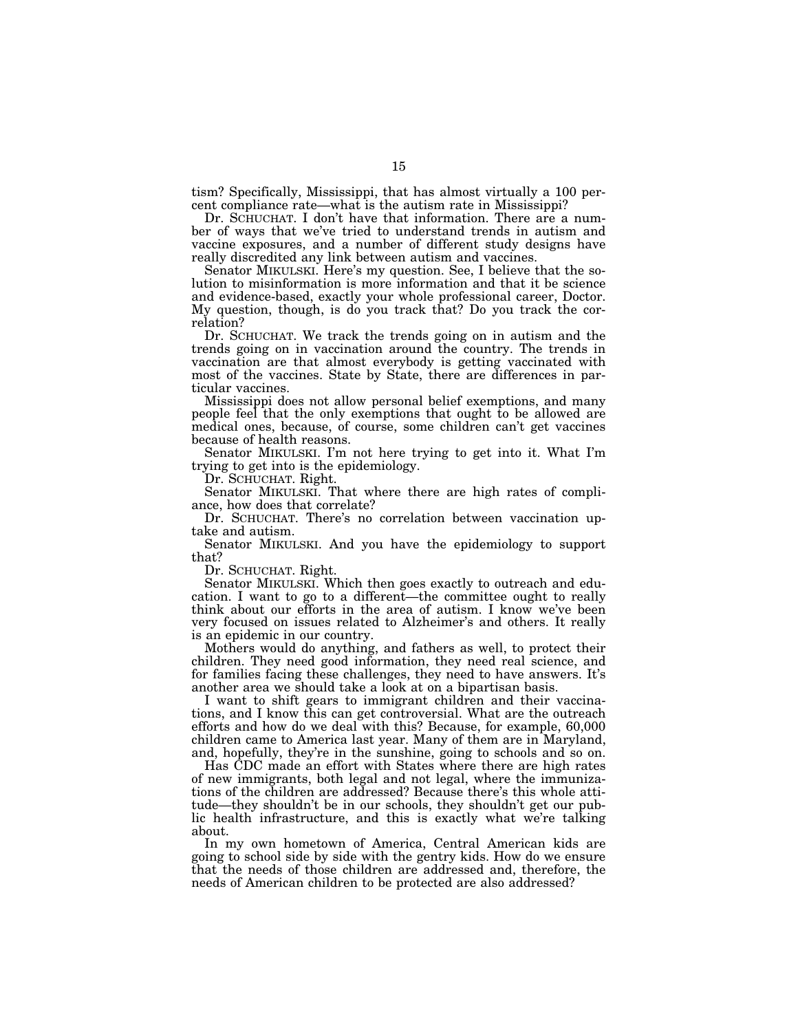tism? Specifically, Mississippi, that has almost virtually a 100 percent compliance rate—what is the autism rate in Mississippi?

Dr. SCHUCHAT. I don't have that information. There are a number of ways that we've tried to understand trends in autism and vaccine exposures, and a number of different study designs have really discredited any link between autism and vaccines.

Senator MIKULSKI. Here's my question. See, I believe that the solution to misinformation is more information and that it be science and evidence-based, exactly your whole professional career, Doctor. My question, though, is do you track that? Do you track the correlation?

Dr. SCHUCHAT. We track the trends going on in autism and the trends going on in vaccination around the country. The trends in vaccination are that almost everybody is getting vaccinated with most of the vaccines. State by State, there are differences in particular vaccines.

Mississippi does not allow personal belief exemptions, and many people feel that the only exemptions that ought to be allowed are medical ones, because, of course, some children can't get vaccines because of health reasons.

Senator MIKULSKI. I'm not here trying to get into it. What I'm trying to get into is the epidemiology.

Dr. SCHUCHAT. Right.

Senator MIKULSKI. That where there are high rates of compliance, how does that correlate?

Dr. SCHUCHAT. There's no correlation between vaccination uptake and autism.

Senator MIKULSKI. And you have the epidemiology to support that?

Dr. SCHUCHAT. Right.

Senator MIKULSKI. Which then goes exactly to outreach and education. I want to go to a different—the committee ought to really think about our efforts in the area of autism. I know we've been very focused on issues related to Alzheimer's and others. It really is an epidemic in our country.

Mothers would do anything, and fathers as well, to protect their children. They need good information, they need real science, and for families facing these challenges, they need to have answers. It's another area we should take a look at on a bipartisan basis.

I want to shift gears to immigrant children and their vaccinations, and I know this can get controversial. What are the outreach efforts and how do we deal with this? Because, for example, 60,000 children came to America last year. Many of them are in Maryland, and, hopefully, they're in the sunshine, going to schools and so on.

Has CDC made an effort with States where there are high rates of new immigrants, both legal and not legal, where the immunizations of the children are addressed? Because there's this whole attitude—they shouldn't be in our schools, they shouldn't get our public health infrastructure, and this is exactly what we're talking about.

In my own hometown of America, Central American kids are going to school side by side with the gentry kids. How do we ensure that the needs of those children are addressed and, therefore, the needs of American children to be protected are also addressed?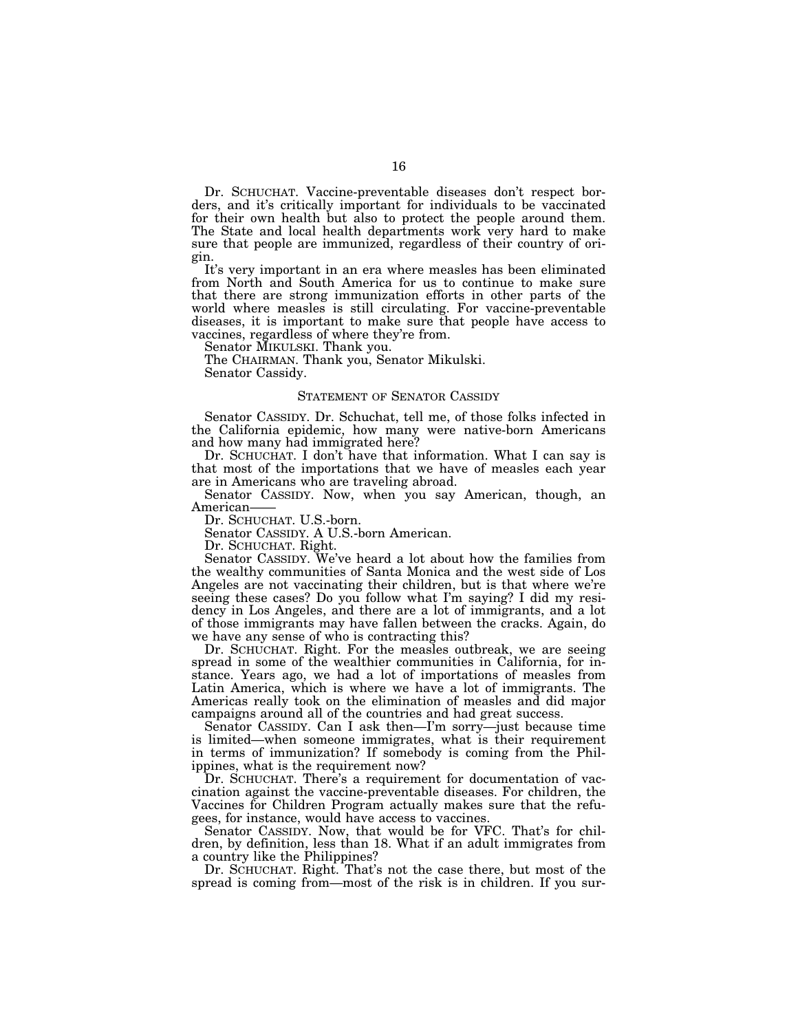Dr. SCHUCHAT. Vaccine-preventable diseases don't respect borders, and it's critically important for individuals to be vaccinated for their own health but also to protect the people around them. The State and local health departments work very hard to make sure that people are immunized, regardless of their country of origin.

It's very important in an era where measles has been eliminated from North and South America for us to continue to make sure that there are strong immunization efforts in other parts of the world where measles is still circulating. For vaccine-preventable diseases, it is important to make sure that people have access to vaccines, regardless of where they're from.

Senator MIKULSKI. Thank you.

The CHAIRMAN. Thank you, Senator Mikulski. Senator Cassidy.

# STATEMENT OF SENATOR CASSIDY

Senator CASSIDY. Dr. Schuchat, tell me, of those folks infected in the California epidemic, how many were native-born Americans and how many had immigrated here?

Dr. SCHUCHAT. I don't have that information. What I can say is that most of the importations that we have of measles each year are in Americans who are traveling abroad.

Senator CASSIDY. Now, when you say American, though, an American——

Dr. SCHUCHAT. U.S.-born.

Senator CASSIDY. A U.S.-born American.

Dr. SCHUCHAT. Right.

Senator CASSIDY. We've heard a lot about how the families from the wealthy communities of Santa Monica and the west side of Los Angeles are not vaccinating their children, but is that where we're seeing these cases? Do you follow what I'm saying? I did my residency in Los Angeles, and there are a lot of immigrants, and a lot of those immigrants may have fallen between the cracks. Again, do we have any sense of who is contracting this?

Dr. SCHUCHAT. Right. For the measles outbreak, we are seeing spread in some of the wealthier communities in California, for instance. Years ago, we had a lot of importations of measles from Latin America, which is where we have a lot of immigrants. The Americas really took on the elimination of measles and did major campaigns around all of the countries and had great success.

Senator CASSIDY. Can I ask then—I'm sorry—just because time is limited—when someone immigrates, what is their requirement in terms of immunization? If somebody is coming from the Philippines, what is the requirement now?

Dr. SCHUCHAT. There's a requirement for documentation of vaccination against the vaccine-preventable diseases. For children, the Vaccines for Children Program actually makes sure that the refugees, for instance, would have access to vaccines.

Senator CASSIDY. Now, that would be for VFC. That's for children, by definition, less than 18. What if an adult immigrates from a country like the Philippines?

Dr. SCHUCHAT. Right. That's not the case there, but most of the spread is coming from—most of the risk is in children. If you sur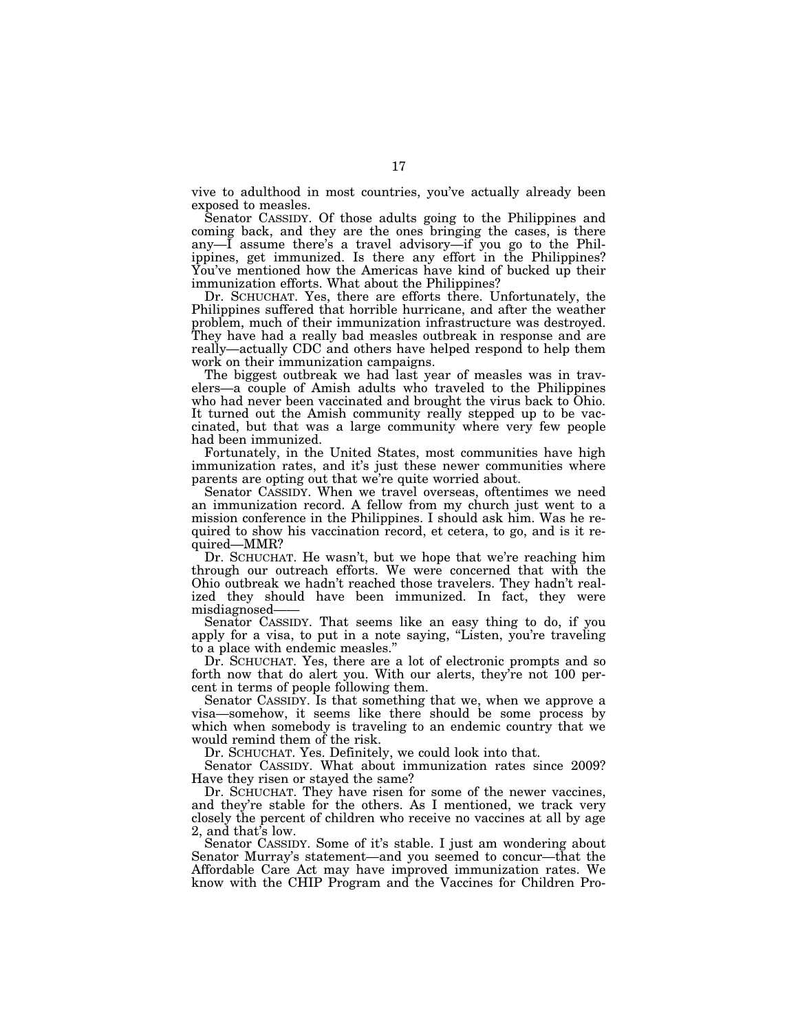vive to adulthood in most countries, you've actually already been exposed to measles.

Senator CASSIDY. Of those adults going to the Philippines and coming back, and they are the ones bringing the cases, is there any—I assume there's a travel advisory—if you go to the Philippines, get immunized. Is there any effort in the Philippines? You've mentioned how the Americas have kind of bucked up their immunization efforts. What about the Philippines?

Dr. SCHUCHAT. Yes, there are efforts there. Unfortunately, the Philippines suffered that horrible hurricane, and after the weather problem, much of their immunization infrastructure was destroyed. They have had a really bad measles outbreak in response and are really—actually CDC and others have helped respond to help them work on their immunization campaigns.

The biggest outbreak we had last year of measles was in travelers—a couple of Amish adults who traveled to the Philippines who had never been vaccinated and brought the virus back to Ohio. It turned out the Amish community really stepped up to be vaccinated, but that was a large community where very few people had been immunized.

Fortunately, in the United States, most communities have high immunization rates, and it's just these newer communities where parents are opting out that we're quite worried about.

Senator CASSIDY. When we travel overseas, oftentimes we need an immunization record. A fellow from my church just went to a mission conference in the Philippines. I should ask him. Was he required to show his vaccination record, et cetera, to go, and is it required—MMR?

Dr. SCHUCHAT. He wasn't, but we hope that we're reaching him through our outreach efforts. We were concerned that with the Ohio outbreak we hadn't reached those travelers. They hadn't realized they should have been immunized. In fact, they were misdiagnosed——

Senator CASSIDY. That seems like an easy thing to do, if you apply for a visa, to put in a note saying, ''Listen, you're traveling to a place with endemic measles.''

Dr. SCHUCHAT. Yes, there are a lot of electronic prompts and so forth now that do alert you. With our alerts, they're not 100 percent in terms of people following them.

Senator CASSIDY. Is that something that we, when we approve a visa—somehow, it seems like there should be some process by which when somebody is traveling to an endemic country that we would remind them of the risk.

Dr. SCHUCHAT. Yes. Definitely, we could look into that.

Senator CASSIDY. What about immunization rates since 2009? Have they risen or stayed the same?

Dr. SCHUCHAT. They have risen for some of the newer vaccines, and they're stable for the others. As I mentioned, we track very closely the percent of children who receive no vaccines at all by age 2, and that's low.

Senator CASSIDY. Some of it's stable. I just am wondering about Senator Murray's statement—and you seemed to concur—that the Affordable Care Act may have improved immunization rates. We know with the CHIP Program and the Vaccines for Children Pro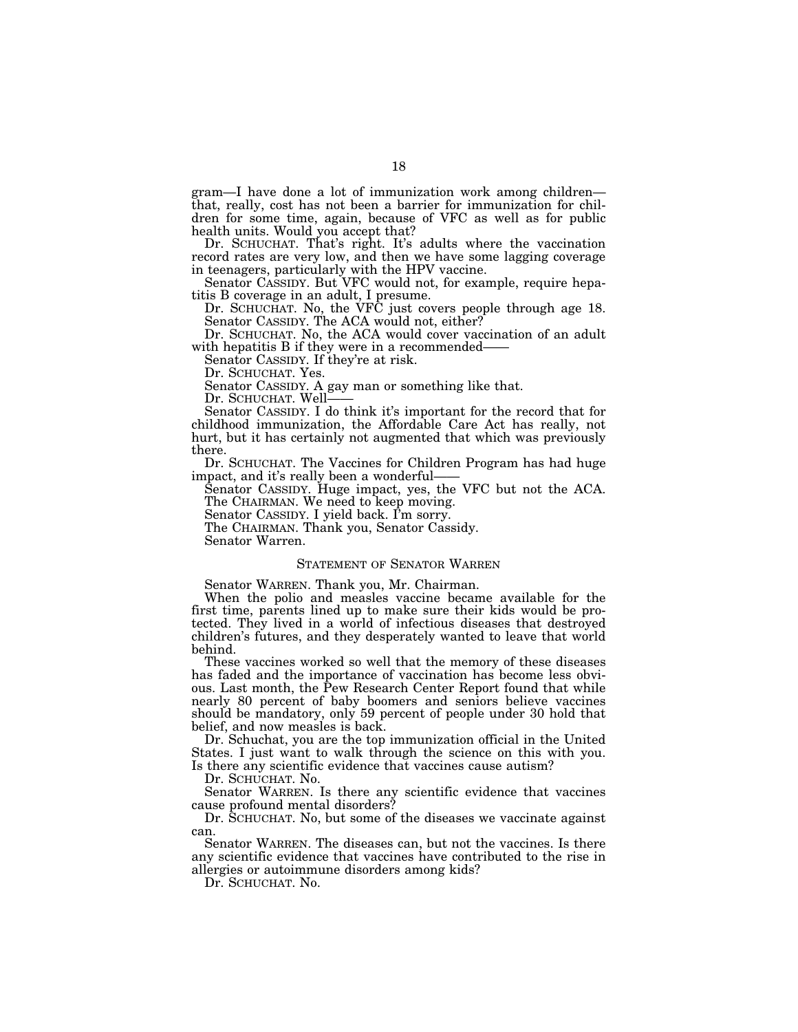gram—I have done a lot of immunization work among children that, really, cost has not been a barrier for immunization for children for some time, again, because of VFC as well as for public health units. Would you accept that?

Dr. SCHUCHAT. That's right. It's adults where the vaccination record rates are very low, and then we have some lagging coverage in teenagers, particularly with the HPV vaccine.

Senator CASSIDY. But VFC would not, for example, require hepatitis B coverage in an adult, I presume.

Dr. SCHUCHAT. No, the VFC just covers people through age 18. Senator CASSIDY. The ACA would not, either?

Dr. SCHUCHAT. No, the ACA would cover vaccination of an adult with hepatitis B if they were in a recommended-

Senator CASSIDY. If they're at risk.

Dr. SCHUCHAT. Yes.

Senator CASSIDY. A gay man or something like that.

Dr. SCHUCHAT. Well-

Senator CASSIDY. I do think it's important for the record that for childhood immunization, the Affordable Care Act has really, not hurt, but it has certainly not augmented that which was previously there.

Dr. SCHUCHAT. The Vaccines for Children Program has had huge impact, and it's really been a wonderful-

Senator CASSIDY. Huge impact, yes, the VFC but not the ACA. The CHAIRMAN. We need to keep moving.

Senator CASSIDY. I yield back. I'm sorry.

The CHAIRMAN. Thank you, Senator Cassidy. Senator Warren.

## STATEMENT OF SENATOR WARREN

Senator WARREN. Thank you, Mr. Chairman.

When the polio and measles vaccine became available for the first time, parents lined up to make sure their kids would be protected. They lived in a world of infectious diseases that destroyed children's futures, and they desperately wanted to leave that world behind.

These vaccines worked so well that the memory of these diseases has faded and the importance of vaccination has become less obvious. Last month, the Pew Research Center Report found that while nearly 80 percent of baby boomers and seniors believe vaccines should be mandatory, only 59 percent of people under 30 hold that belief, and now measles is back.

Dr. Schuchat, you are the top immunization official in the United States. I just want to walk through the science on this with you. Is there any scientific evidence that vaccines cause autism?

Dr. SCHUCHAT. No.

Senator WARREN. Is there any scientific evidence that vaccines cause profound mental disorders?

Dr. SCHUCHAT. No, but some of the diseases we vaccinate against can.

Senator WARREN. The diseases can, but not the vaccines. Is there any scientific evidence that vaccines have contributed to the rise in allergies or autoimmune disorders among kids?

Dr. SCHUCHAT. No.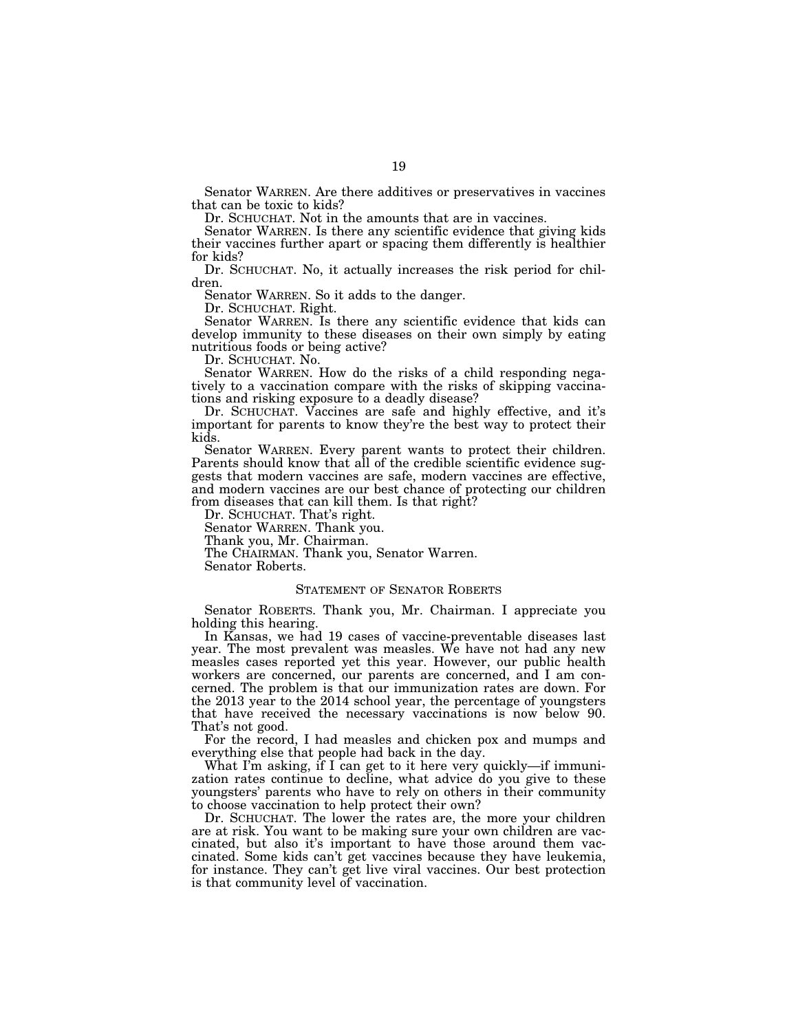Senator WARREN. Are there additives or preservatives in vaccines that can be toxic to kids?

Dr. SCHUCHAT. Not in the amounts that are in vaccines.

Senator WARREN. Is there any scientific evidence that giving kids their vaccines further apart or spacing them differently is healthier for kids?

Dr. SCHUCHAT. No, it actually increases the risk period for children.

Senator WARREN. So it adds to the danger.

Dr. SCHUCHAT. Right.

Senator WARREN. Is there any scientific evidence that kids can develop immunity to these diseases on their own simply by eating nutritious foods or being active?

Dr. SCHUCHAT. No.

Senator WARREN. How do the risks of a child responding negatively to a vaccination compare with the risks of skipping vaccinations and risking exposure to a deadly disease?

Dr. SCHUCHAT. Vaccines are safe and highly effective, and it's important for parents to know they're the best way to protect their kids.

Senator WARREN. Every parent wants to protect their children. Parents should know that all of the credible scientific evidence suggests that modern vaccines are safe, modern vaccines are effective, and modern vaccines are our best chance of protecting our children from diseases that can kill them. Is that right?

Dr. SCHUCHAT. That's right.

Senator WARREN. Thank you.

Thank you, Mr. Chairman.

The CHAIRMAN. Thank you, Senator Warren.

Senator Roberts.

# STATEMENT OF SENATOR ROBERTS

Senator ROBERTS. Thank you, Mr. Chairman. I appreciate you holding this hearing.

In Kansas, we had 19 cases of vaccine-preventable diseases last year. The most prevalent was measles. We have not had any new measles cases reported yet this year. However, our public health workers are concerned, our parents are concerned, and I am concerned. The problem is that our immunization rates are down. For the 2013 year to the 2014 school year, the percentage of youngsters that have received the necessary vaccinations is now below 90. That's not good.

For the record, I had measles and chicken pox and mumps and everything else that people had back in the day.

What I'm asking, if I can get to it here very quickly—if immunization rates continue to decline, what advice do you give to these youngsters' parents who have to rely on others in their community to choose vaccination to help protect their own?

Dr. SCHUCHAT. The lower the rates are, the more your children are at risk. You want to be making sure your own children are vaccinated, but also it's important to have those around them vaccinated. Some kids can't get vaccines because they have leukemia, for instance. They can't get live viral vaccines. Our best protection is that community level of vaccination.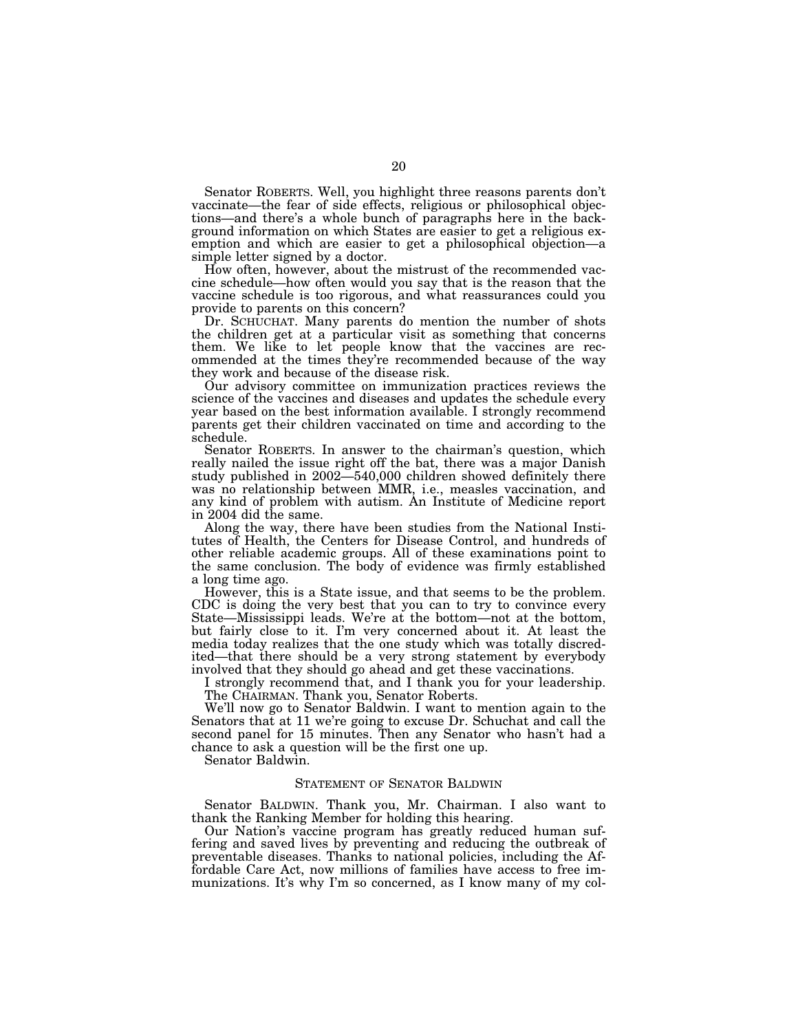Senator ROBERTS. Well, you highlight three reasons parents don't vaccinate—the fear of side effects, religious or philosophical objections—and there's a whole bunch of paragraphs here in the background information on which States are easier to get a religious exemption and which are easier to get a philosophical objection—a simple letter signed by a doctor.

How often, however, about the mistrust of the recommended vaccine schedule—how often would you say that is the reason that the vaccine schedule is too rigorous, and what reassurances could you provide to parents on this concern?

Dr. SCHUCHAT. Many parents do mention the number of shots the children get at a particular visit as something that concerns them. We like to let people know that the vaccines are recommended at the times they're recommended because of the way they work and because of the disease risk.

Our advisory committee on immunization practices reviews the science of the vaccines and diseases and updates the schedule every year based on the best information available. I strongly recommend parents get their children vaccinated on time and according to the schedule.

Senator ROBERTS. In answer to the chairman's question, which really nailed the issue right off the bat, there was a major Danish study published in 2002—540,000 children showed definitely there was no relationship between MMR, i.e., measles vaccination, and any kind of problem with autism. An Institute of Medicine report in 2004 did the same.

Along the way, there have been studies from the National Institutes of Health, the Centers for Disease Control, and hundreds of other reliable academic groups. All of these examinations point to the same conclusion. The body of evidence was firmly established a long time ago.

However, this is a State issue, and that seems to be the problem. CDC is doing the very best that you can to try to convince every State—Mississippi leads. We're at the bottom—not at the bottom, but fairly close to it. I'm very concerned about it. At least the media today realizes that the one study which was totally discredited—that there should be a very strong statement by everybody involved that they should go ahead and get these vaccinations.

I strongly recommend that, and I thank you for your leadership. The CHAIRMAN. Thank you, Senator Roberts.

We'll now go to Senator Baldwin. I want to mention again to the Senators that at 11 we're going to excuse Dr. Schuchat and call the second panel for 15 minutes. Then any Senator who hasn't had a chance to ask a question will be the first one up.

Senator Baldwin.

# STATEMENT OF SENATOR BALDWIN

Senator BALDWIN. Thank you, Mr. Chairman. I also want to thank the Ranking Member for holding this hearing.

Our Nation's vaccine program has greatly reduced human suffering and saved lives by preventing and reducing the outbreak of preventable diseases. Thanks to national policies, including the Affordable Care Act, now millions of families have access to free immunizations. It's why I'm so concerned, as I know many of my col-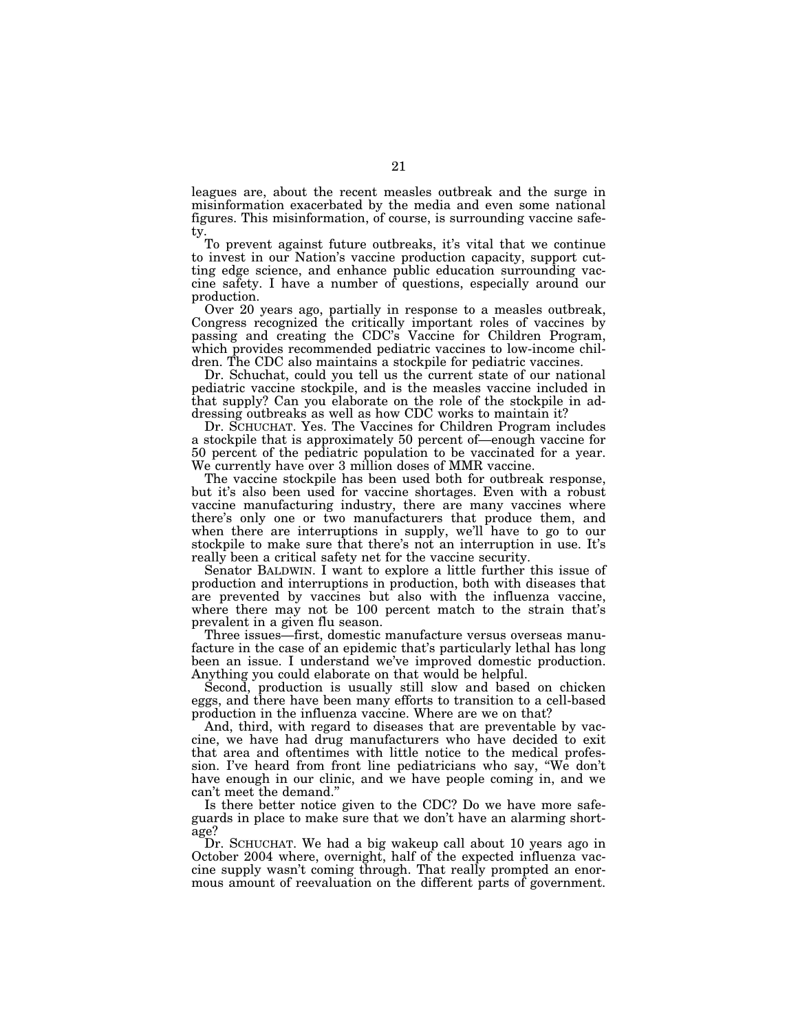leagues are, about the recent measles outbreak and the surge in misinformation exacerbated by the media and even some national figures. This misinformation, of course, is surrounding vaccine safety.

To prevent against future outbreaks, it's vital that we continue to invest in our Nation's vaccine production capacity, support cutting edge science, and enhance public education surrounding vaccine safety. I have a number of questions, especially around our production.

Over 20 years ago, partially in response to a measles outbreak, Congress recognized the critically important roles of vaccines by passing and creating the CDC's Vaccine for Children Program, which provides recommended pediatric vaccines to low-income children. The CDC also maintains a stockpile for pediatric vaccines.

Dr. Schuchat, could you tell us the current state of our national pediatric vaccine stockpile, and is the measles vaccine included in that supply? Can you elaborate on the role of the stockpile in addressing outbreaks as well as how CDC works to maintain it?

Dr. SCHUCHAT. Yes. The Vaccines for Children Program includes a stockpile that is approximately 50 percent of—enough vaccine for 50 percent of the pediatric population to be vaccinated for a year. We currently have over 3 million doses of MMR vaccine.

The vaccine stockpile has been used both for outbreak response, but it's also been used for vaccine shortages. Even with a robust vaccine manufacturing industry, there are many vaccines where there's only one or two manufacturers that produce them, and when there are interruptions in supply, we'll have to go to our stockpile to make sure that there's not an interruption in use. It's really been a critical safety net for the vaccine security.

Senator BALDWIN. I want to explore a little further this issue of production and interruptions in production, both with diseases that are prevented by vaccines but also with the influenza vaccine, where there may not be 100 percent match to the strain that's prevalent in a given flu season.

Three issues—first, domestic manufacture versus overseas manufacture in the case of an epidemic that's particularly lethal has long been an issue. I understand we've improved domestic production. Anything you could elaborate on that would be helpful.

Second, production is usually still slow and based on chicken eggs, and there have been many efforts to transition to a cell-based production in the influenza vaccine. Where are we on that?

And, third, with regard to diseases that are preventable by vaccine, we have had drug manufacturers who have decided to exit that area and oftentimes with little notice to the medical profession. I've heard from front line pediatricians who say, ''We don't have enough in our clinic, and we have people coming in, and we can't meet the demand.''

Is there better notice given to the CDC? Do we have more safeguards in place to make sure that we don't have an alarming shortage?

Dr. SCHUCHAT. We had a big wakeup call about 10 years ago in October 2004 where, overnight, half of the expected influenza vaccine supply wasn't coming through. That really prompted an enormous amount of reevaluation on the different parts of government.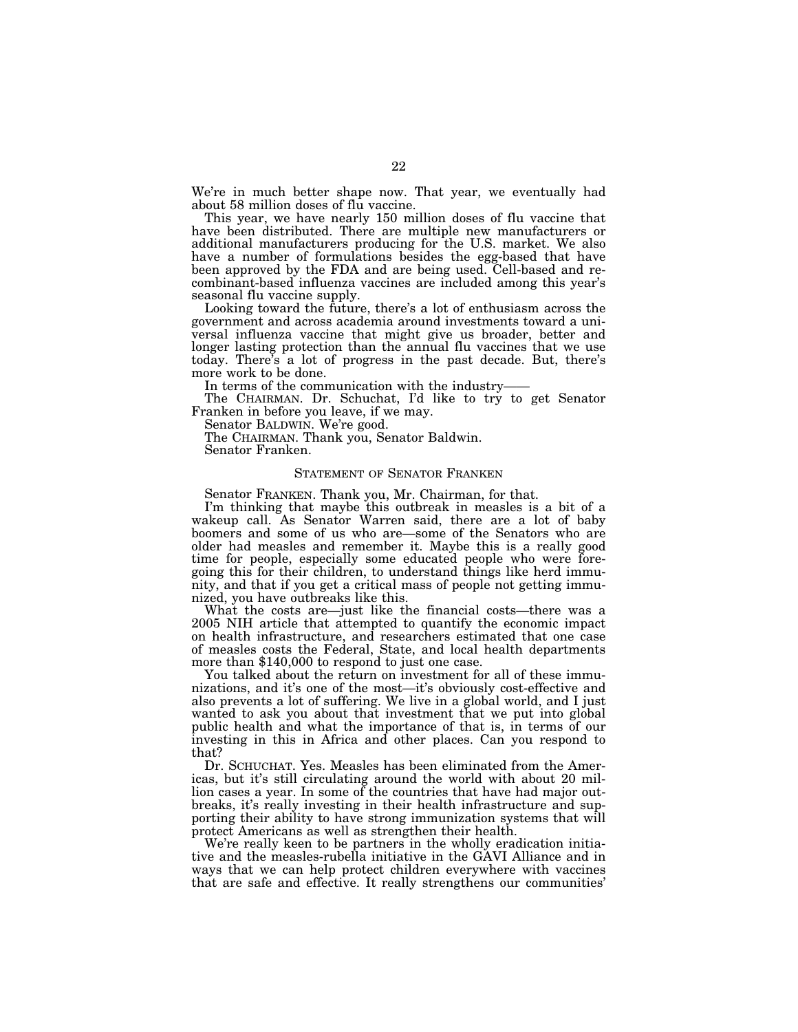We're in much better shape now. That year, we eventually had about 58 million doses of flu vaccine.

This year, we have nearly 150 million doses of flu vaccine that have been distributed. There are multiple new manufacturers or additional manufacturers producing for the U.S. market. We also have a number of formulations besides the egg-based that have been approved by the FDA and are being used. Cell-based and recombinant-based influenza vaccines are included among this year's seasonal flu vaccine supply.

Looking toward the future, there's a lot of enthusiasm across the government and across academia around investments toward a universal influenza vaccine that might give us broader, better and longer lasting protection than the annual flu vaccines that we use today. There's a lot of progress in the past decade. But, there's more work to be done.

In terms of the communication with the industry-

The CHAIRMAN. Dr. Schuchat, I'd like to try to get Senator Franken in before you leave, if we may.

Senator BALDWIN. We're good.

The CHAIRMAN. Thank you, Senator Baldwin. Senator Franken.

# STATEMENT OF SENATOR FRANKEN

Senator FRANKEN. Thank you, Mr. Chairman, for that.

I'm thinking that maybe this outbreak in measles is a bit of a wakeup call. As Senator Warren said, there are a lot of baby boomers and some of us who are—some of the Senators who are older had measles and remember it. Maybe this is a really good time for people, especially some educated people who were foregoing this for their children, to understand things like herd immunity, and that if you get a critical mass of people not getting immunized, you have outbreaks like this.

What the costs are—just like the financial costs—there was a 2005 NIH article that attempted to quantify the economic impact on health infrastructure, and researchers estimated that one case of measles costs the Federal, State, and local health departments more than \$140,000 to respond to just one case.

You talked about the return on investment for all of these immunizations, and it's one of the most—it's obviously cost-effective and also prevents a lot of suffering. We live in a global world, and I just wanted to ask you about that investment that we put into global public health and what the importance of that is, in terms of our investing in this in Africa and other places. Can you respond to that?

Dr. SCHUCHAT. Yes. Measles has been eliminated from the Americas, but it's still circulating around the world with about 20 million cases a year. In some of the countries that have had major outbreaks, it's really investing in their health infrastructure and supporting their ability to have strong immunization systems that will protect Americans as well as strengthen their health.

We're really keen to be partners in the wholly eradication initiative and the measles-rubella initiative in the GAVI Alliance and in ways that we can help protect children everywhere with vaccines that are safe and effective. It really strengthens our communities'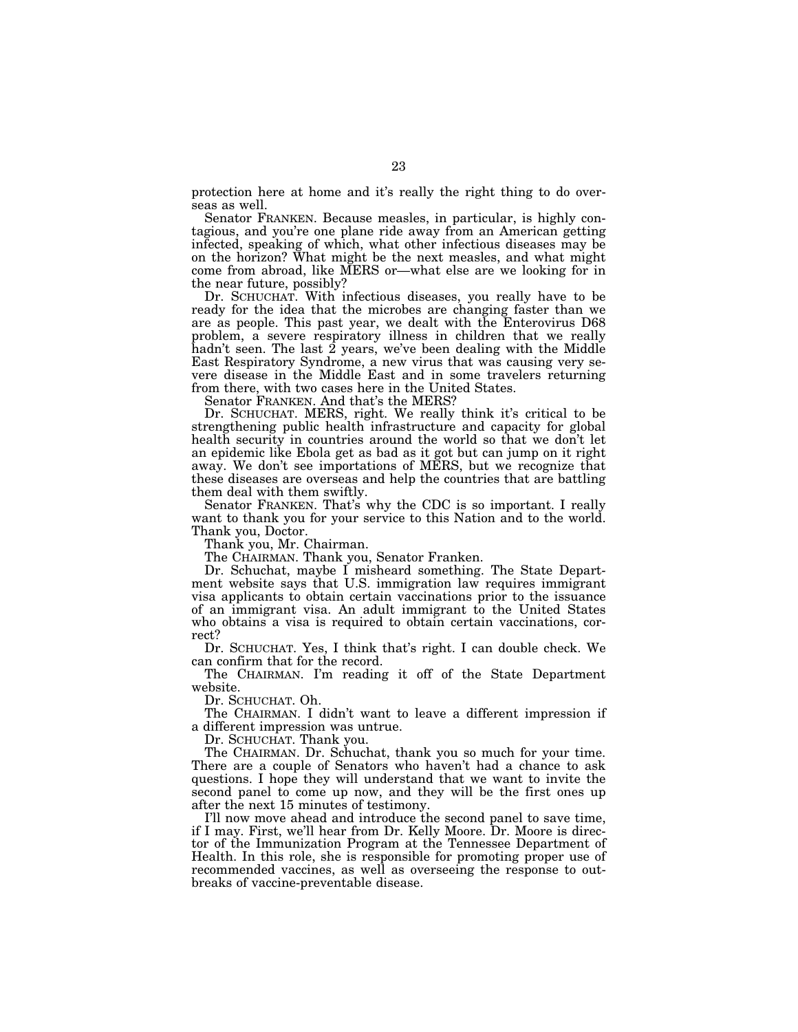protection here at home and it's really the right thing to do overseas as well.

Senator FRANKEN. Because measles, in particular, is highly contagious, and you're one plane ride away from an American getting infected, speaking of which, what other infectious diseases may be on the horizon? What might be the next measles, and what might come from abroad, like MERS or—what else are we looking for in the near future, possibly?

Dr. SCHUCHAT. With infectious diseases, you really have to be ready for the idea that the microbes are changing faster than we are as people. This past year, we dealt with the Enterovirus D68 problem, a severe respiratory illness in children that we really hadn't seen. The last  $\dot{2}$  years, we've been dealing with the Middle East Respiratory Syndrome, a new virus that was causing very severe disease in the Middle East and in some travelers returning from there, with two cases here in the United States.

Senator FRANKEN. And that's the MERS?

Dr. SCHUCHAT. MERS, right. We really think it's critical to be strengthening public health infrastructure and capacity for global health security in countries around the world so that we don't let an epidemic like Ebola get as bad as it got but can jump on it right away. We don't see importations of MERS, but we recognize that these diseases are overseas and help the countries that are battling them deal with them swiftly.

Senator FRANKEN. That's why the CDC is so important. I really want to thank you for your service to this Nation and to the world. Thank you, Doctor.

Thank you, Mr. Chairman.

The CHAIRMAN. Thank you, Senator Franken.

Dr. Schuchat, maybe I misheard something. The State Department website says that U.S. immigration law requires immigrant visa applicants to obtain certain vaccinations prior to the issuance of an immigrant visa. An adult immigrant to the United States who obtains a visa is required to obtain certain vaccinations, correct?

Dr. SCHUCHAT. Yes, I think that's right. I can double check. We can confirm that for the record.

The CHAIRMAN. I'm reading it off of the State Department website.

Dr. SCHUCHAT. Oh.

The CHAIRMAN. I didn't want to leave a different impression if a different impression was untrue.

Dr. SCHUCHAT. Thank you.

The CHAIRMAN. Dr. Schuchat, thank you so much for your time. There are a couple of Senators who haven't had a chance to ask questions. I hope they will understand that we want to invite the second panel to come up now, and they will be the first ones up after the next 15 minutes of testimony.

I'll now move ahead and introduce the second panel to save time, if I may. First, we'll hear from Dr. Kelly Moore. Dr. Moore is director of the Immunization Program at the Tennessee Department of Health. In this role, she is responsible for promoting proper use of recommended vaccines, as well as overseeing the response to outbreaks of vaccine-preventable disease.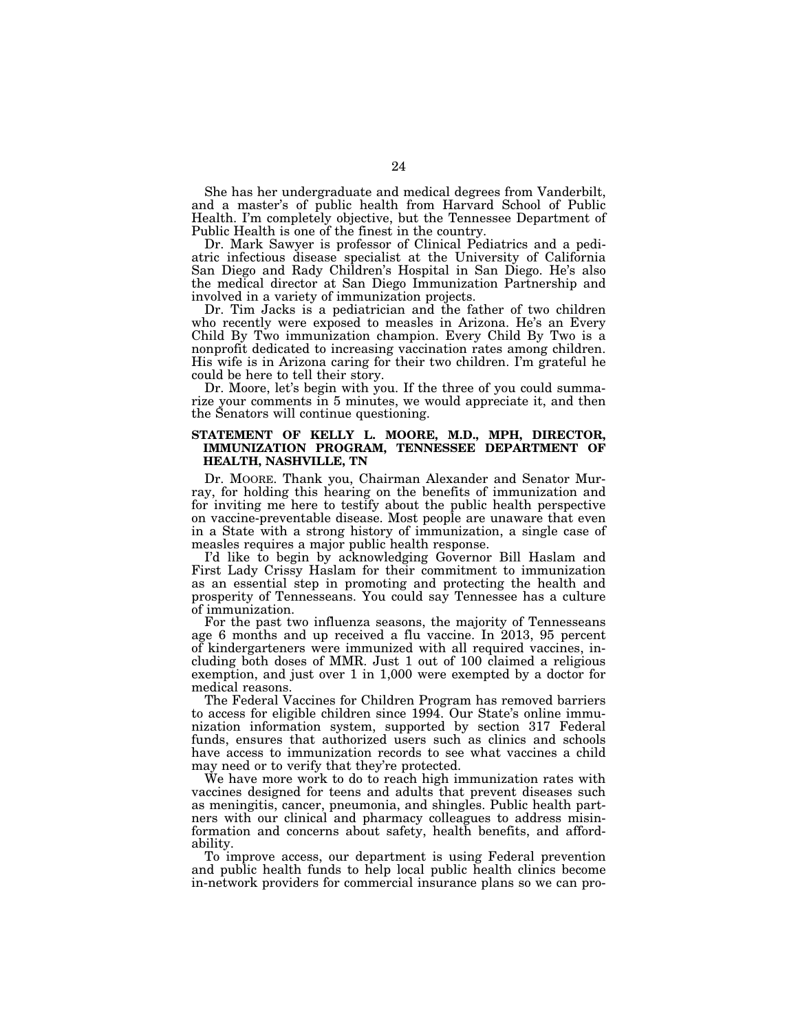She has her undergraduate and medical degrees from Vanderbilt, and a master's of public health from Harvard School of Public Health. I'm completely objective, but the Tennessee Department of Public Health is one of the finest in the country.

Dr. Mark Sawyer is professor of Clinical Pediatrics and a pediatric infectious disease specialist at the University of California San Diego and Rady Children's Hospital in San Diego. He's also the medical director at San Diego Immunization Partnership and involved in a variety of immunization projects.

Dr. Tim Jacks is a pediatrician and the father of two children who recently were exposed to measles in Arizona. He's an Every Child By Two immunization champion. Every Child By Two is a nonprofit dedicated to increasing vaccination rates among children. His wife is in Arizona caring for their two children. I'm grateful he could be here to tell their story.

Dr. Moore, let's begin with you. If the three of you could summarize your comments in 5 minutes, we would appreciate it, and then the Senators will continue questioning.

# **STATEMENT OF KELLY L. MOORE, M.D., MPH, DIRECTOR, IMMUNIZATION PROGRAM, TENNESSEE DEPARTMENT OF HEALTH, NASHVILLE, TN**

Dr. MOORE. Thank you, Chairman Alexander and Senator Murray, for holding this hearing on the benefits of immunization and for inviting me here to testify about the public health perspective on vaccine-preventable disease. Most people are unaware that even in a State with a strong history of immunization, a single case of measles requires a major public health response.

I'd like to begin by acknowledging Governor Bill Haslam and First Lady Crissy Haslam for their commitment to immunization as an essential step in promoting and protecting the health and prosperity of Tennesseans. You could say Tennessee has a culture of immunization.

For the past two influenza seasons, the majority of Tennesseans age 6 months and up received a flu vaccine. In 2013, 95 percent of kindergarteners were immunized with all required vaccines, including both doses of MMR. Just 1 out of 100 claimed a religious exemption, and just over 1 in 1,000 were exempted by a doctor for medical reasons.

The Federal Vaccines for Children Program has removed barriers to access for eligible children since 1994. Our State's online immunization information system, supported by section 317 Federal funds, ensures that authorized users such as clinics and schools have access to immunization records to see what vaccines a child may need or to verify that they're protected.

We have more work to do to reach high immunization rates with vaccines designed for teens and adults that prevent diseases such as meningitis, cancer, pneumonia, and shingles. Public health partners with our clinical and pharmacy colleagues to address misinformation and concerns about safety, health benefits, and affordability.

To improve access, our department is using Federal prevention and public health funds to help local public health clinics become in-network providers for commercial insurance plans so we can pro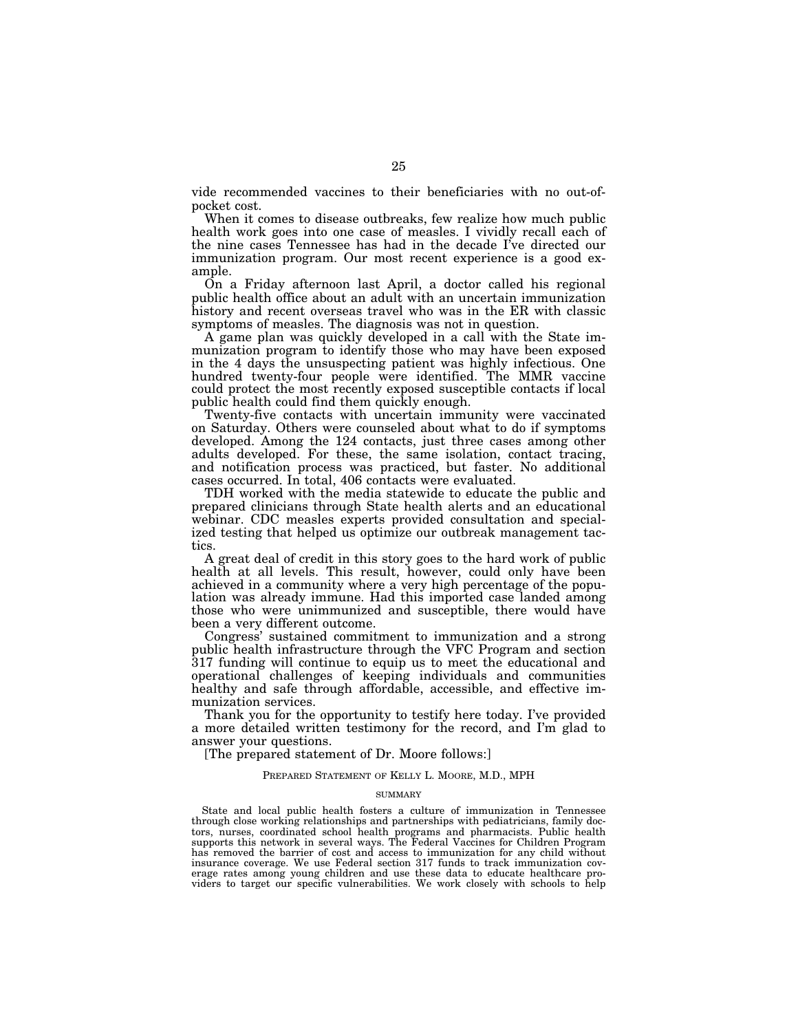vide recommended vaccines to their beneficiaries with no out-ofpocket cost.

When it comes to disease outbreaks, few realize how much public health work goes into one case of measles. I vividly recall each of the nine cases Tennessee has had in the decade I've directed our immunization program. Our most recent experience is a good example.

On a Friday afternoon last April, a doctor called his regional public health office about an adult with an uncertain immunization history and recent overseas travel who was in the ER with classic symptoms of measles. The diagnosis was not in question.

A game plan was quickly developed in a call with the State immunization program to identify those who may have been exposed in the 4 days the unsuspecting patient was highly infectious. One hundred twenty-four people were identified. The MMR vaccine could protect the most recently exposed susceptible contacts if local public health could find them quickly enough.

Twenty-five contacts with uncertain immunity were vaccinated on Saturday. Others were counseled about what to do if symptoms developed. Among the 124 contacts, just three cases among other adults developed. For these, the same isolation, contact tracing, and notification process was practiced, but faster. No additional cases occurred. In total, 406 contacts were evaluated.

TDH worked with the media statewide to educate the public and prepared clinicians through State health alerts and an educational webinar. CDC measles experts provided consultation and specialized testing that helped us optimize our outbreak management tactics.

A great deal of credit in this story goes to the hard work of public health at all levels. This result, however, could only have been achieved in a community where a very high percentage of the population was already immune. Had this imported case landed among those who were unimmunized and susceptible, there would have been a very different outcome.

Congress' sustained commitment to immunization and a strong public health infrastructure through the VFC Program and section 317 funding will continue to equip us to meet the educational and operational challenges of keeping individuals and communities healthy and safe through affordable, accessible, and effective immunization services.

Thank you for the opportunity to testify here today. I've provided a more detailed written testimony for the record, and I'm glad to answer your questions.

[The prepared statement of Dr. Moore follows:]

# PREPARED STATEMENT OF KELLY L. MOORE, M.D., MPH

## SUMMARY

State and local public health fosters a culture of immunization in Tennessee through close working relationships and partnerships with pediatricians, family doctors, nurses, coordinated school health programs and pharmacists. Public health supports this network in several ways. The Federal Vaccines for Children Program has removed the barrier of cost and access to immunization for any child without insurance coverage. We use Federal section 317 funds to track immunization coverage rates among young children and use these data to educate healthcare providers to target our specific vulnerabilities. We work closely with schools to help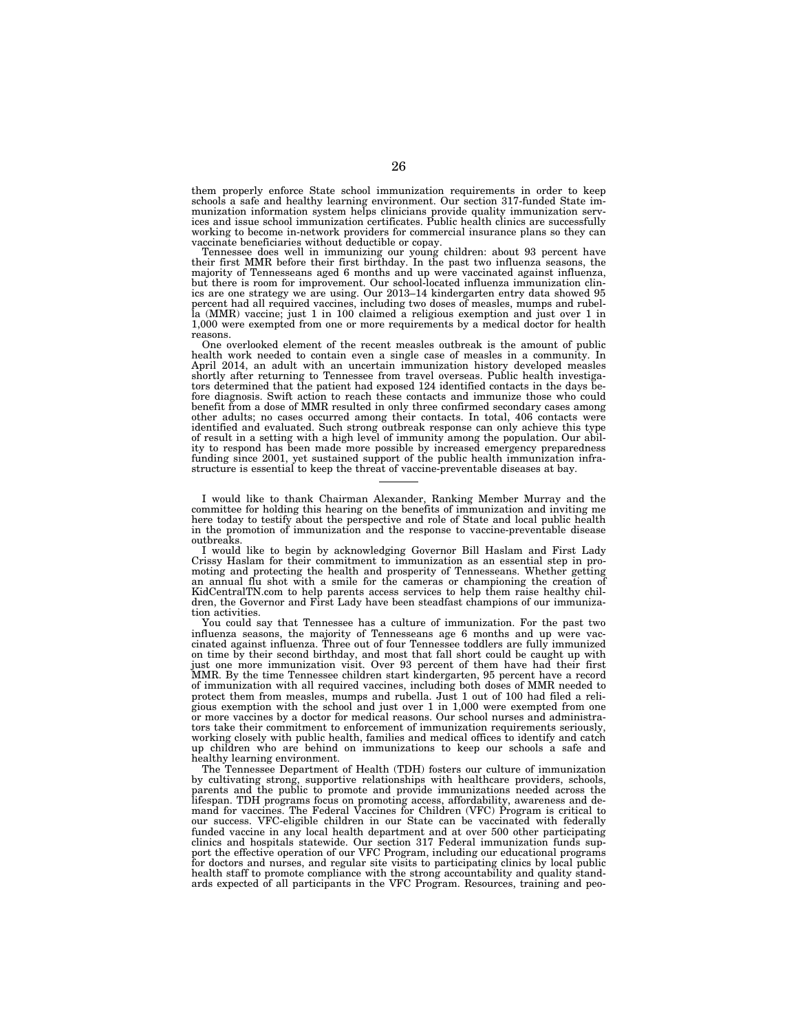them properly enforce State school immunization requirements in order to keep schools a safe and healthy learning environment. Our section 317-funded State immunization information system helps clinicians provide quality immunization serv-ices and issue school immunization certificates. Public health clinics are successfully working to become in-network providers for commercial insurance plans so they can vaccinate beneficiaries without deductible or copay.

Tennessee does well in immunizing our young children: about 93 percent have their first MMR before their first birthday. In the past two influenza seasons, the majority of Tennesseans aged 6 months and up were vaccinated against influenza, but there is room for improvement. Our school-located influenza immunization clinics are one strategy we are using. Our 2013–14 kindergarten entry data showed 95 percent had all required vaccines, including two doses of measles, mumps and rubel-la (MMR) vaccine; just 1 in 100 claimed a religious exemption and just over 1 in 1,000 were exempted from one or more requirements by a medical doctor for health

reasons. One overlooked element of the recent measles outbreak is the amount of public health work needed to contain even a single case of measles in a community. In April 2014, an adult with an uncertain immunization history developed measles shortly after returning to Tennessee from travel overseas. Public health investigators determined that the patient had exposed 124 identified contacts in the days before diagnosis. Swift action to reach these contacts and immunize those who could benefit from a dose of MMR resulted in only three confirmed secondary cases among other adults; no cases occurred among their contacts. In total, 406 contacts were identified and evaluated. Such strong outbreak response can only achieve this type of result in a setting with a high level of immunity among the population. Our ability to respond has been made more possible by increased emergency preparedness funding since 2001, yet sustained support of the public health immunization infra-structure is essential to keep the threat of vaccine-preventable diseases at bay.

I would like to thank Chairman Alexander, Ranking Member Murray and the committee for holding this hearing on the benefits of immunization and inviting me here today to testify about the perspective and role of State and local public health in the promotion of immunization and the response to vaccine-preventable disease outbreaks.

I would like to begin by acknowledging Governor Bill Haslam and First Lady Crissy Haslam for their commitment to immunization as an essential step in promoting and protecting the health and prosperity of Tennesseans. Whether getting an annual flu shot with a smile for the cameras or championing the creation of KidCentralTN.com to help parents access services to help them raise healthy children, the Governor and First Lady have been steadfast champions of our immunization activities.

You could say that Tennessee has a culture of immunization. For the past two influenza seasons, the majority of Tennesseans age 6 months and up were vaccinated against influenza. Three out of four Tennessee toddlers are fully immunized on time by their second birthday, and most that fall short could be caught up with just one more immunization visit. Over 93 percent of them have had their first MMR. By the time Tennessee children start kindergarten, 95 percent have a record of immunization with all required vaccines, including both doses of MMR needed to protect them from measles, mumps and rubella. Just 1 out of 100 had filed a religious exemption with the school and just over 1 in 1,000 were exempted from one or more vaccines by a doctor for medical reasons. Our school nurses and administrators take their commitment to enforcement of immunization requirements seriously, working closely with public health, families and medical offices to identify and catch up children who are behind on immunizations to keep our schools a safe and healthy learning environment.

The Tennessee Department of Health (TDH) fosters our culture of immunization by cultivating strong, supportive relationships with healthcare providers, schools, parents and the public to promote and provide immunizations needed across the lifespan. TDH programs focus on promoting access, affordability, awareness and demand for vaccines. The Federal Vaccines for Children (VFC) Program is critical to our success. VFC-eligible children in our State can be vaccinated with federally funded vaccine in any local health department and at over 500 other participating clinics and hospitals statewide. Our section 317 Federal immunization funds support the effective operation of our VFC Program, including our educational programs for doctors and nurses, and regular site visits to participating clinics by local public health staff to promote compliance with the strong accountability and quality standards expected of all participants in the VFC Program. Resources, training and peo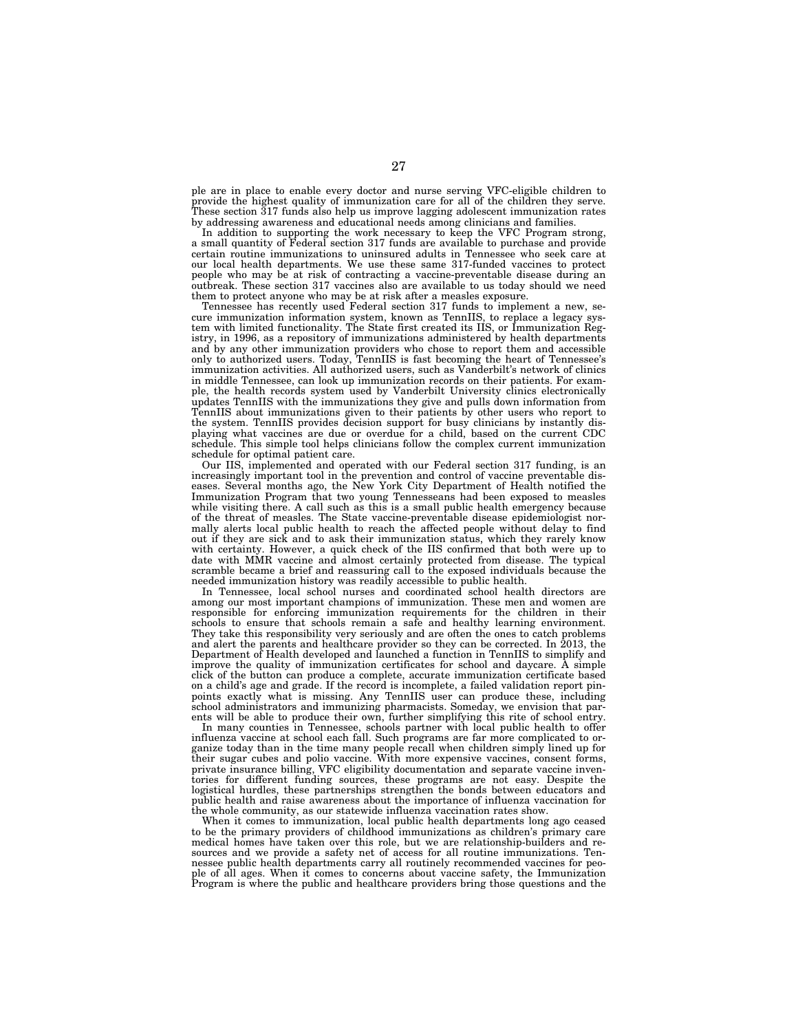ple are in place to enable every doctor and nurse serving VFC-eligible children to provide the highest quality of immunization care for all of the children they serve. These section 317 funds also help us improve lagging adolescent immunization rates by addressing awareness and educational needs among clinicians and families.

In addition to supporting the work necessary to keep the VFC Program strong, a small quantity of Federal section 317 funds are available to purchase and provide certain routine immunizations to uninsured adults in Tennessee who seek care at our local health departments. We use these same 317-funded vaccines to protect people who may be at risk of contracting a vaccine-preventable disease during an outbreak. These section 317 vaccines also are available to us today should we need them to protect anyone who may be at risk after a measles exposure.

Tennessee has recently used Federal section 317 funds to implement a new, secure immunization information system, known as TennIIS, to replace a legacy system with limited functionality. The State first created its IIS, or Immunization Registry, in 1996, as a repository of immunizations administered by health departments and by any other immunization providers who chose to report them and accessible only to authorized users. Today, TennIIS is fast becoming the heart of Tennessee's immunization activities. All authorized users, such as Vanderbilt's network of clinics in middle Tennessee, can look up immunization records on their patients. For example, the health records system used by Vanderbilt University clinics electronically updates TennIIS with the immunizations they give and pulls down information from TennIIS about immunizations given to their patients by other users who report to the system. TennIIS provides decision support for busy clinicians by instantly displaying what vaccines are due or overdue for a child, based on the current CDC schedule. This simple tool helps clinicians follow the complex current immunization schedule for optimal patient care.

Our IIS, implemented and operated with our Federal section 317 funding, is an increasingly important tool in the prevention and control of vaccine preventable diseases. Several months ago, the New York City Department of Health notified the Immunization Program that two young Tennesseans had been exposed to measles while visiting there. A call such as this is a small public health emergency because of the threat of measles. The State vaccine-preventable disease epidemiologist normally alerts local public health to reach the affected people without delay to find out if they are sick and to ask their immunization status, which they rarely know with certainty. However, a quick check of the IIS confirmed that both were up to date with MMR vaccine and almost certainly protected from disease. The typical scramble became a brief and reassuring call to the exposed individuals because the needed immunization history was readily accessible to public health.

In Tennessee, local school nurses and coordinated school health directors are among our most important champions of immunization. These men and women are responsible for enforcing immunization requirements for the children in their schools to ensure that schools remain a safe and healthy learning environment. They take this responsibility very seriously and are often the ones to catch problems and alert the parents and healthcare provider so they can be corrected. In 2013, the Department of Health developed and launched a function in TennIIS to simplify and improve the quality of immunization certificates for school and daycare.  $\hat{A}$  simple click of the button can produce a complete, accurate immunization certificate based on a child's age and grade. If the record is incomplete, a failed validation report pinpoints exactly what is missing. Any TennIIS user can produce these, including school administrators and immunizing pharmacists. Someday, we envision that parents will be able to produce their own, further simplifying this rite of school entry.

In many counties in Tennessee, schools partner with local public health to offer influenza vaccine at school each fall. Such programs are far more complicated to organize today than in the time many people recall when children simply lined up for their sugar cubes and polio vaccine. With more expensive vaccines, consent forms, private insurance billing, VFC eligibility documentation and separate vaccine inventories for different funding sources, these programs are not easy. Despite the logistical hurdles, these partnerships strengthen the bonds between educators and public health and raise awareness about the importance of influenza vaccination for the whole community, as our statewide influenza vaccination rates show.

When it comes to immunization, local public health departments long ago ceased to be the primary providers of childhood immunizations as children's primary care medical homes have taken over this role, but we are relationship-builders and resources and we provide a safety net of access for all routine immunizations. Tennessee public health departments carry all routinely recommended vaccines for people of all ages. When it comes to concerns about vaccine safety, the Immunization Program is where the public and healthcare providers bring those questions and the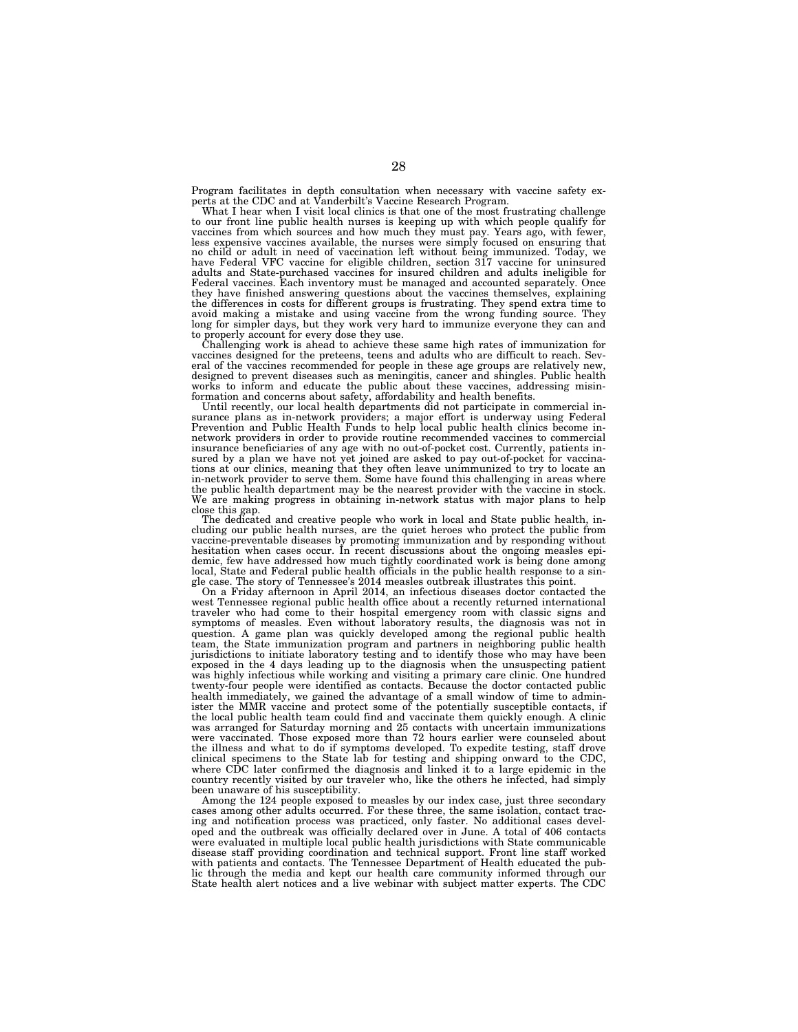Program facilitates in depth consultation when necessary with vaccine safety experts at the CDC and at Vanderbilt's Vaccine Research Program.

What I hear when I visit local clinics is that one of the most frustrating challenge to our front line public health nurses is keeping up with which people qualify for vaccines from which sources and how much they must pay. Years ago, with fewer, less expensive vaccines available, the nurses were simply focused on ensuring that<br>no child or adult in need of vaccination left without being immunized. Today, we<br>have Federal VFC vaccine for eligible children, section 31 adults and State-purchased vaccines for insured children and adults ineligible for Federal vaccines. Each inventory must be managed and accounted separately. Once they have finished answering questions about the vaccines themselves, explaining the differences in costs for different groups is frustrating. They spend extra time to avoid making a mistake and using vaccine from the wrong funding source. They long for simpler days, but they work very hard to immunize everyone they can and to properly account for every dose they use.

Challenging work is ahead to achieve these same high rates of immunization for vaccines designed for the preteens, teens and adults who are difficult to reach. Several of the vaccines recommended for people in these age groups are relatively new, designed to prevent diseases such as meningitis, cancer and shingles. Public health works to inform and educate the public about these vaccines, addressing misin-formation and concerns about safety, affordability and health benefits.

Until recently, our local health departments did not participate in commercial in-surance plans as in-network providers; a major effort is underway using Federal Prevention and Public Health Funds to help local public health clinics become in-network providers in order to provide routine recommended vaccines to commercial insurance beneficiaries of any age with no out-of-pocket cost. Currently, patients insured by a plan we have not yet joined are asked to pay out-of-pocket for vaccina-tions at our clinics, meaning that they often leave unimmunized to try to locate an in-network provider to serve them. Some have found this challenging in areas where<br>the public health department may be the nearest provider with the vaccine in stock.<br>We are making progress in obtaining in-network status w close this gap.

The dedicated and creative people who work in local and State public health, including our public health nurses, are the quiet heroes who protect the public from vaccine-preventable diseases by promoting immunization and by responding without hesitation when cases occur. In recent discussions about the ongoing measles epidemic, few have addressed how much tightly coordinated work is being done among local, State and Federal public health officials in the public health response to a single case. The story of Tennessee's 2014 measles outbreak illustrates this point.

On a Friday afternoon in April 2014, an infectious diseases doctor contacted the west Tennessee regional public health office about a recently returned international traveler who had come to their hospital emergency room with classic signs and symptoms of measles. Even without laboratory results, the diagnosis was not in question. A game plan was quickly developed among the regional public health team, the State immunization program and partners in neighboring public health jurisdictions to initiate laboratory testing and to identify those who may have been exposed in the 4 days leading up to the diagnosis when the unsuspecting patient was highly infectious while working and visiting a primary care clinic. One hundred twenty-four people were identified as contacts. Because the doctor contacted public health immediately, we gained the advantage of a small window of time to administer the MMR vaccine and protect some of the potentially susceptible contacts, if the local public health team could find and vaccinate them quickly enough. A clinic was arranged for Saturday morning and 25 contacts with uncertain immunizations were vaccinated. Those exposed more than 72 hours earlier were counseled about the illness and what to do if symptoms developed. To expedite testing, staff drove clinical specimens to the State lab for testing and shipping onward to the CDC, where CDC later confirmed the diagnosis and linked it to a large epidemic in the country recently visited by our traveler who, like the others he infected, had simply been unaware of his susceptibility.

Among the 124 people exposed to measles by our index case, just three secondary cases among other adults occurred. For these three, the same isolation, contact tracing and notification process was practiced, only faster. No additional cases developed and the outbreak was officially declared over in June. A total of 406 contacts were evaluated in multiple local public health jurisdictions with State communicable disease staff providing coordination and technical support. Front line staff worked with patients and contacts. The Tennessee Department of Health educated the public through the media and kept our health care community informed through State health alert notices and a live webinar with subject matter experts. The CDC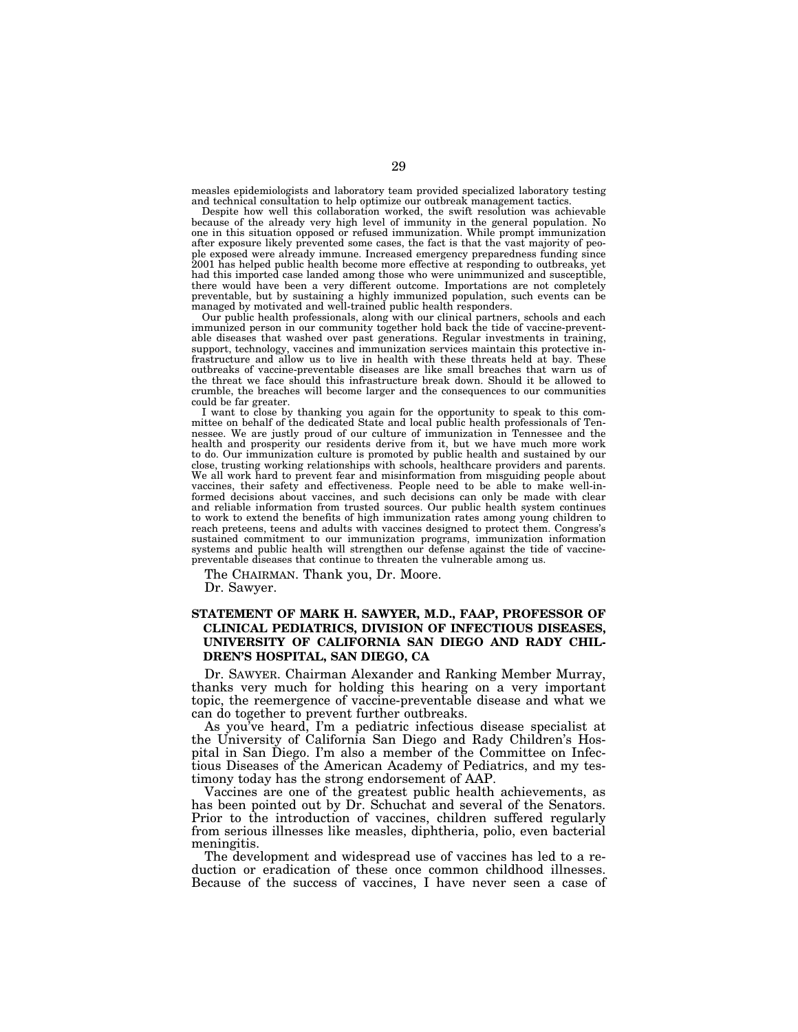measles epidemiologists and laboratory team provided specialized laboratory testing and technical consultation to help optimize our outbreak management tactics.

Despite how well this collaboration worked, the swift resolution was achievable because of the already very high level of immunity in the general population. No one in this situation opposed or refused immunization. While prompt immunization after exposure likely prevented some cases, the fact is that the vast majority of people exposed were already immune. Increased emergency preparedness funding since 2001 has helped public health become more effective at responding to outbreaks, yet had this imported case landed among those who were unimmunized and susceptible, there would have been a very different outcome. Importations are not completely preventable, but by sustaining a highly immunized population, such events can be managed by motivated and well-trained public health responders.

Our public health professionals, along with our clinical partners, schools and each immunized person in our community together hold back the tide of vaccine-preventable diseases that washed over past generations. Regular investments in training, support, technology, vaccines and immunization services maintain this protective infrastructure and allow us to live in health with these threats held at bay. These outbreaks of vaccine-preventable diseases are like small breaches that warn us of the threat we face should this infrastructure break down. Should it be allowed to crumble, the breaches will become larger and the consequences to our communities could be far greater.

I want to close by thanking you again for the opportunity to speak to this committee on behalf of the dedicated State and local public health professionals of Tennessee. We are justly proud of our culture of immunization in Tennessee and the health and prosperity our residents derive from it, but we have much more work to do. Our immunization culture is promoted by public health and sustained by our close, trusting working relationships with schools, healthcare providers and parents. We all work hard to prevent fear and misinformation from misguiding people about vaccines, their safety and effectiveness. People need to be able to make well-informed decisions about vaccines, and such decisions can only be made with clear and reliable information from trusted sources. Our public health system continues to work to extend the benefits of high immunization rates among young children to reach preteens, teens and adults with vaccines designed to protect them. Congress's sustained commitment to our immunization programs, immunization information systems and public health will strengthen our defense against the tide of vaccinepreventable diseases that continue to threaten the vulnerable among us.

The CHAIRMAN. Thank you, Dr. Moore.

Dr. Sawyer.

# **STATEMENT OF MARK H. SAWYER, M.D., FAAP, PROFESSOR OF CLINICAL PEDIATRICS, DIVISION OF INFECTIOUS DISEASES, UNIVERSITY OF CALIFORNIA SAN DIEGO AND RADY CHIL-DREN'S HOSPITAL, SAN DIEGO, CA**

Dr. SAWYER. Chairman Alexander and Ranking Member Murray, thanks very much for holding this hearing on a very important topic, the reemergence of vaccine-preventable disease and what we can do together to prevent further outbreaks.

As you've heard, I'm a pediatric infectious disease specialist at the University of California San Diego and Rady Children's Hospital in San Diego. I'm also a member of the Committee on Infectious Diseases of the American Academy of Pediatrics, and my testimony today has the strong endorsement of AAP.

Vaccines are one of the greatest public health achievements, as has been pointed out by Dr. Schuchat and several of the Senators. Prior to the introduction of vaccines, children suffered regularly from serious illnesses like measles, diphtheria, polio, even bacterial meningitis.

The development and widespread use of vaccines has led to a reduction or eradication of these once common childhood illnesses. Because of the success of vaccines, I have never seen a case of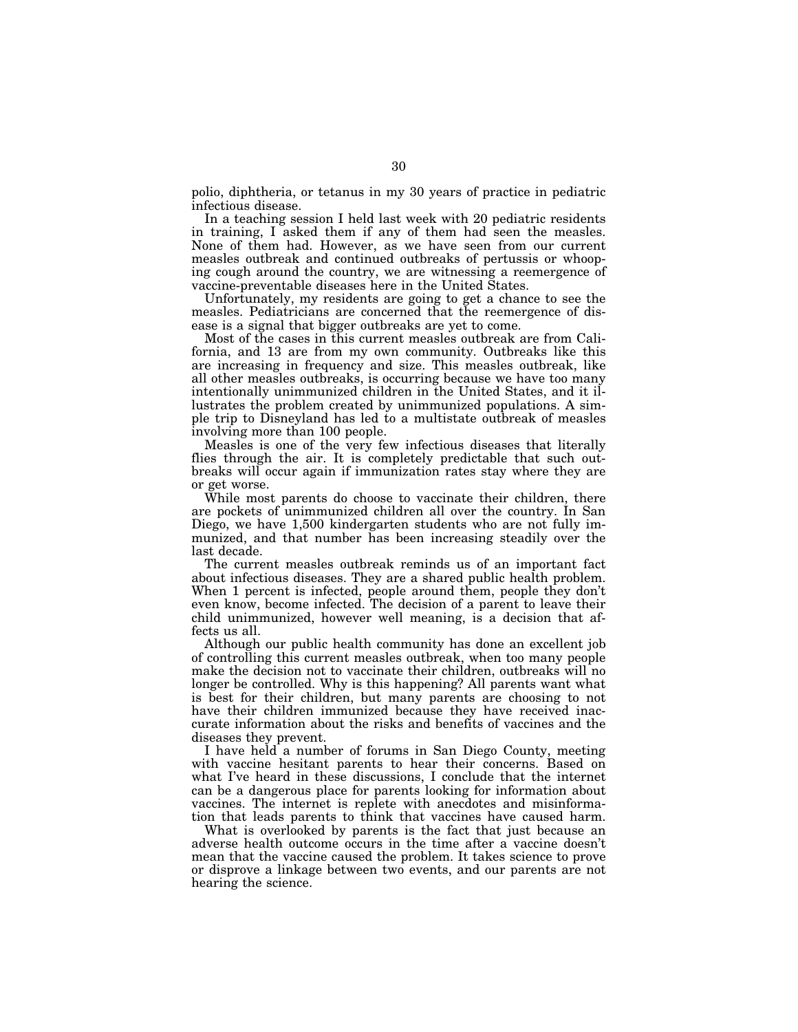polio, diphtheria, or tetanus in my 30 years of practice in pediatric infectious disease.

In a teaching session I held last week with 20 pediatric residents in training, I asked them if any of them had seen the measles. None of them had. However, as we have seen from our current measles outbreak and continued outbreaks of pertussis or whooping cough around the country, we are witnessing a reemergence of vaccine-preventable diseases here in the United States.

Unfortunately, my residents are going to get a chance to see the measles. Pediatricians are concerned that the reemergence of disease is a signal that bigger outbreaks are yet to come.

Most of the cases in this current measles outbreak are from California, and 13 are from my own community. Outbreaks like this are increasing in frequency and size. This measles outbreak, like all other measles outbreaks, is occurring because we have too many intentionally unimmunized children in the United States, and it illustrates the problem created by unimmunized populations. A simple trip to Disneyland has led to a multistate outbreak of measles involving more than 100 people.

Measles is one of the very few infectious diseases that literally flies through the air. It is completely predictable that such outbreaks will occur again if immunization rates stay where they are or get worse.

While most parents do choose to vaccinate their children, there are pockets of unimmunized children all over the country. In San Diego, we have 1,500 kindergarten students who are not fully immunized, and that number has been increasing steadily over the last decade.

The current measles outbreak reminds us of an important fact about infectious diseases. They are a shared public health problem. When 1 percent is infected, people around them, people they don't even know, become infected. The decision of a parent to leave their child unimmunized, however well meaning, is a decision that affects us all.

Although our public health community has done an excellent job of controlling this current measles outbreak, when too many people make the decision not to vaccinate their children, outbreaks will no longer be controlled. Why is this happening? All parents want what is best for their children, but many parents are choosing to not have their children immunized because they have received inaccurate information about the risks and benefits of vaccines and the diseases they prevent.

I have held a number of forums in San Diego County, meeting with vaccine hesitant parents to hear their concerns. Based on what I've heard in these discussions, I conclude that the internet can be a dangerous place for parents looking for information about vaccines. The internet is replete with anecdotes and misinformation that leads parents to think that vaccines have caused harm.

What is overlooked by parents is the fact that just because an adverse health outcome occurs in the time after a vaccine doesn't mean that the vaccine caused the problem. It takes science to prove or disprove a linkage between two events, and our parents are not hearing the science.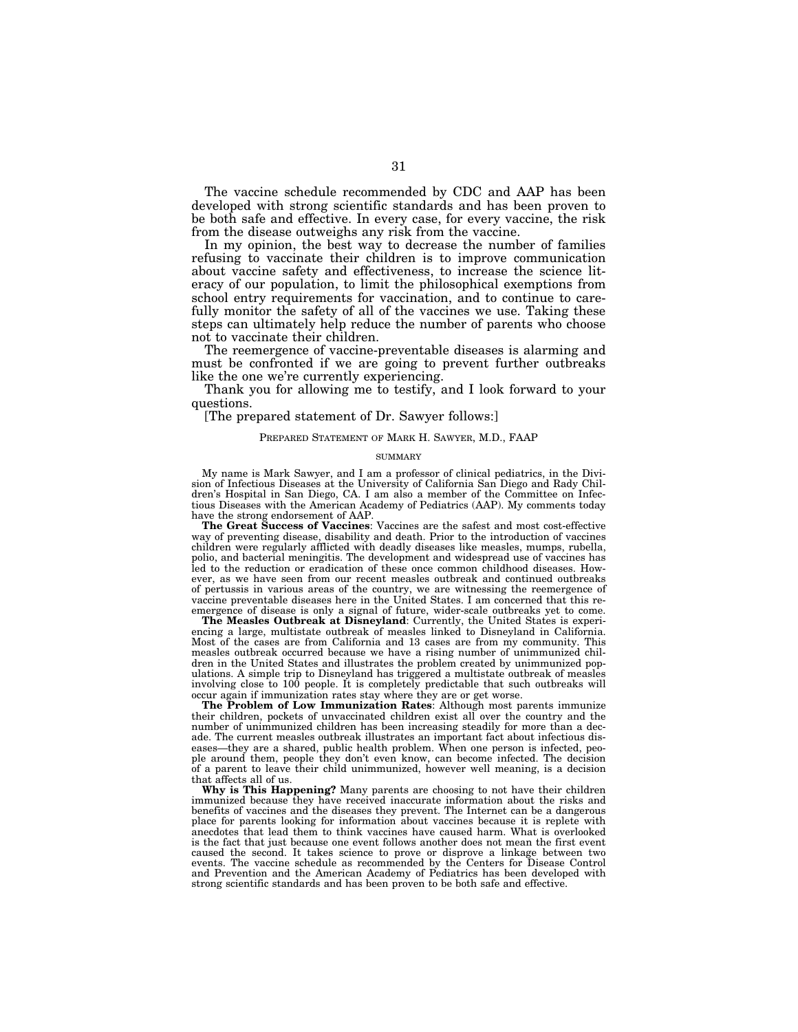The vaccine schedule recommended by CDC and AAP has been developed with strong scientific standards and has been proven to be both safe and effective. In every case, for every vaccine, the risk from the disease outweighs any risk from the vaccine.

In my opinion, the best way to decrease the number of families refusing to vaccinate their children is to improve communication about vaccine safety and effectiveness, to increase the science literacy of our population, to limit the philosophical exemptions from school entry requirements for vaccination, and to continue to carefully monitor the safety of all of the vaccines we use. Taking these steps can ultimately help reduce the number of parents who choose not to vaccinate their children.

The reemergence of vaccine-preventable diseases is alarming and must be confronted if we are going to prevent further outbreaks like the one we're currently experiencing.

Thank you for allowing me to testify, and I look forward to your questions.

[The prepared statement of Dr. Sawyer follows:]

# PREPARED STATEMENT OF MARK H. SAWYER, M.D., FAAP

#### SUMMARY

My name is Mark Sawyer, and I am a professor of clinical pediatrics, in the Division of Infectious Diseases at the University of California San Diego and Rady Children's Hospital in San Diego, CA. I am also a member of the Committee on Infectious Diseases with the American Academy of Pediatrics (AAP). My comments today have the strong endorsement of AAP.

**The Great Success of Vaccines**: Vaccines are the safest and most cost-effective way of preventing disease, disability and death. Prior to the introduction of vaccines children were regularly afflicted with deadly diseases like measles, mumps, rubella, polio, and bacterial meningitis. The development and widespread use of vaccines has led to the reduction or eradication of these once common childhood diseases. However, as we have seen from our recent measles outbreak and continued outbreaks of pertussis in various areas of the country, we are witnessing the reemergence of vaccine preventable diseases here in the United States. I am concerned that this reemergence of disease is only a signal of future, wider-scale outbreaks yet to come.

**The Measles Outbreak at Disneyland**: Currently, the United States is experiencing a large, multistate outbreak of measles linked to Disneyland in California. Most of the cases are from California and 13 cases are from my community. This measles outbreak occurred because we have a rising number of unimmunized children in the United States and illustrates the problem created by unimmunized populations. A simple trip to Disneyland has triggered a multistate outbreak of measles involving close to 100 people. It is completely predictable that such outbreaks will occur again if immunization rates stay where they are or get worse.

**The Problem of Low Immunization Rates**: Although most parents immunize their children, pockets of unvaccinated children exist all over the country and the number of unimmunized children has been increasing steadily for more than a decade. The current measles outbreak illustrates an important fact about infectious diseases—they are a shared, public health problem. When one person is infected, people around them, people they don't even know, can become infected. The decision of a parent to leave their child unimmunized, however well meaning, is a decision that affects all of us.

**Why is This Happening?** Many parents are choosing to not have their children immunized because they have received inaccurate information about the risks and benefits of vaccines and the diseases they prevent. The Internet can be a dangerous place for parents looking for information about vaccines because it is replete with anecdotes that lead them to think vaccines have caused harm. What is overlooked is the fact that just because one event follows another does not mean the first event caused the second. It takes science to prove or disprove a linkage between two events. The vaccine schedule as recommended by the Centers for Disease Control and Prevention and the American Academy of Pediatrics has been developed with strong scientific standards and has been proven to be both safe and effective.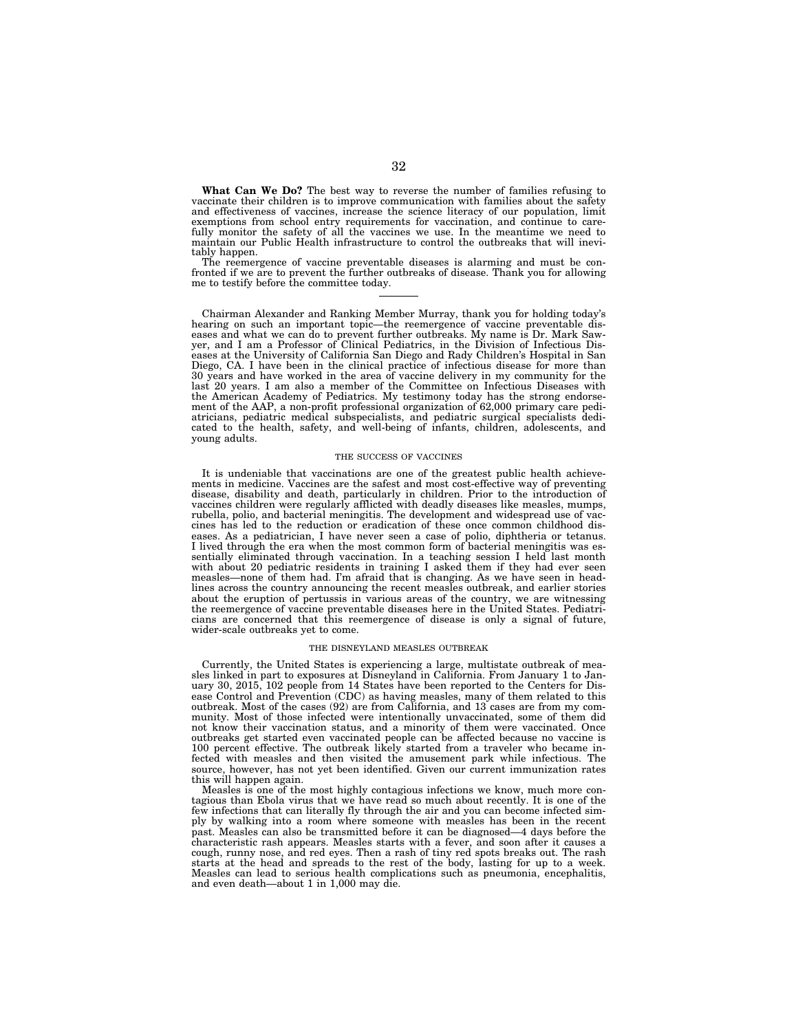**What Can We Do?** The best way to reverse the number of families refusing to vaccinate their children is to improve communication with families about the safety and effectiveness of vaccines, increase the science literacy of our population, limit exemptions from school entry requirements for vaccination, and continue to care-fully monitor the safety of all the vaccines we use. In the meantime we need to maintain our Public Health infrastructure to control the outbreaks that will inevitably happen.

The reemergence of vaccine preventable diseases is alarming and must be confronted if we are to prevent the further outbreaks of disease. Thank you for allowing me to testify before the committee today.

Chairman Alexander and Ranking Member Murray, thank you for holding today's hearing on such an important topic—the reemergence of vaccine preventable diseases and what we can do to prevent further outbreaks. My name is Dr. Mark Saw-yer, and I am a Professor of Clinical Pediatrics, in the Division of Infectious Diseases at the University of California San Diego and Rady Children's Hospital in San Diego, CA. I have been in the clinical practice of infectious disease for more than 30 years and have worked in the area of vaccine delivery in my community for the last 20 years. I am also a member of the Committee on Infectious Diseases with the American Academy of Pediatrics. My testimony today has the strong endorsement of the AAP, a non-profit professional organization of 62,000 primary care pediatricians, pediatric medical subspecialists, and pediatric surgical specialists dedicated to the health, safety, and well-being of infants, children, adolescents, and young adults.

## THE SUCCESS OF VACCINES

It is undeniable that vaccinations are one of the greatest public health achievements in medicine. Vaccines are the safest and most cost-effective way of preventing disease, disability and death, particularly in children. Prior to the introduction of vaccines children were regularly afflicted with deadly diseases like measles, mumps, rubella, polio, and bacterial meningitis. The development and widespread use of vaccines has led to the reduction or eradication of these once common childhood diseases. As a pediatrician, I have never seen a case of polio, diphtheria or tetanus. I lived through the era when the most common form of bacterial meningitis was essentially eliminated through vaccination. In a teaching session I held last month with about 20 pediatric residents in training I asked them if they had ever seen measles—none of them had. I'm afraid that is changing. As we have seen in headlines across the country announcing the recent measles outbreak, and earlier stories about the eruption of pertussis in various areas of the country, we are witnessing the reemergence of vaccine preventable diseases here in the United States. Pediatricians are concerned that this reemergence of disease is only a signal of future, wider-scale outbreaks yet to come.

#### THE DISNEYLAND MEASLES OUTBREAK

Currently, the United States is experiencing a large, multistate outbreak of measles linked in part to exposures at Disneyland in California. From January 1 to January 30, 2015, 102 people from 14 States have been reported to the Centers for Disease Control and Prevention (CDC) as having measles, many of them related to this outbreak. Most of the cases (92) are from California, and 13 cases are from my community. Most of those infected were intentionally unvaccinated, some of them did not know their vaccination status, and a minority of them were vaccinated. Once outbreaks get started even vaccinated people can be affected because no vaccine is 100 percent effective. The outbreak likely started from a traveler who became infected with measles and then visited the amusement park while infectious. The source, however, has not yet been identified. Given our current immunization rates this will happen again.

Measles is one of the most highly contagious infections we know, much more contagious than Ebola virus that we have read so much about recently. It is one of the few infections that can literally fly through the air and you can become infected simply by walking into a room where someone with measles has been in the recent past. Measles can also be transmitted before it can be diagnosed—4 days before the characteristic rash appears. Measles starts with a fever, and soon after it causes a cough, runny nose, and red eyes. Then a rash of tiny red spots breaks out. The rash starts at the head and spreads to the rest of the body, lasting for up to a week. Measles can lead to serious health complications such as pneumonia, encephalitis, and even death—about 1 in 1,000 may die.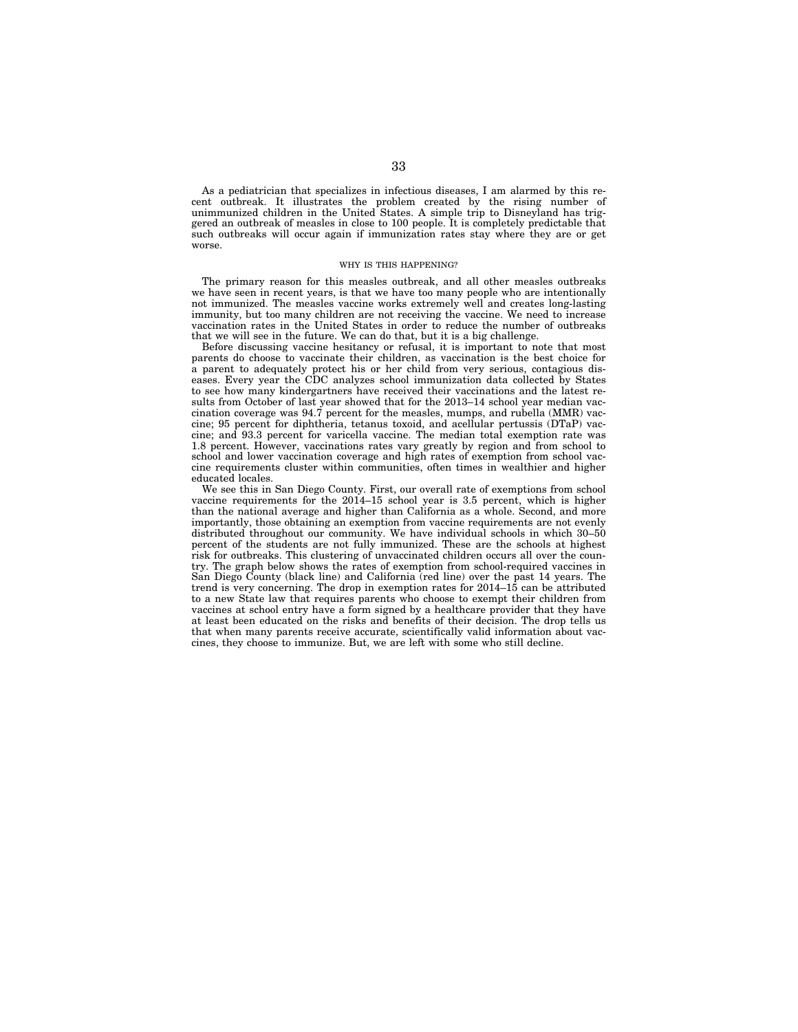As a pediatrician that specializes in infectious diseases, I am alarmed by this recent outbreak. It illustrates the problem created by the rising number of unimmunized children in the United States. A simple trip to Disneyland has triggered an outbreak of measles in close to 100 people. It is completely predictable that such outbreaks will occur again if immunization rates stay where they are or get worse.

## WHY IS THIS HAPPENING?

The primary reason for this measles outbreak, and all other measles outbreaks we have seen in recent years, is that we have too many people who are intentionally not immunized. The measles vaccine works extremely well and creates long-lasting immunity, but too many children are not receiving the vaccine. We need to increase vaccination rates in the United States in order to reduce the number of outbreaks that we will see in the future. We can do that, but it is a big challenge.

Before discussing vaccine hesitancy or refusal, it is important to note that most parents do choose to vaccinate their children, as vaccination is the best choice for a parent to adequately protect his or her child from very serious, contagious diseases. Every year the CDC analyzes school immunization data collected by States to see how many kindergartners have received their vaccinations and the latest results from October of last year showed that for the 2013–14 school year median vaccination coverage was  $94.7$  percent for the measles, mumps, and rubella (MMR) vaccine; 95 percent for diphtheria, tetanus toxoid, and acellular pertussis (DTaP) vaccine; and 93.3 percent for varicella vaccine. The median total exemption rate was 1.8 percent. However, vaccinations rates vary greatly by region and from school to school and lower vaccination coverage and high rates of exemption from school vaccine requirements cluster within communities, often times in wealthier and higher educated locales.

We see this in San Diego County. First, our overall rate of exemptions from school vaccine requirements for the 2014–15 school year is 3.5 percent, which is higher than the national average and higher than California as a whole. Second, and more importantly, those obtaining an exemption from vaccine requirements are not evenly distributed throughout our community. We have individual schools in which 30–50 percent of the students are not fully immunized. These are the schools at highest risk for outbreaks. This clustering of unvaccinated children occurs all over the country. The graph below shows the rates of exemption from school-required vaccines in San Diego County (black line) and California (red line) over the past 14 years. The trend is very concerning. The drop in exemption rates for 2014–15 can be attributed to a new State law that requires parents who choose to exempt their children from vaccines at school entry have a form signed by a healthcare provider that they have at least been educated on the risks and benefits of their decision. The drop tells us that when many parents receive accurate, scientifically valid information about vaccines, they choose to immunize. But, we are left with some who still decline.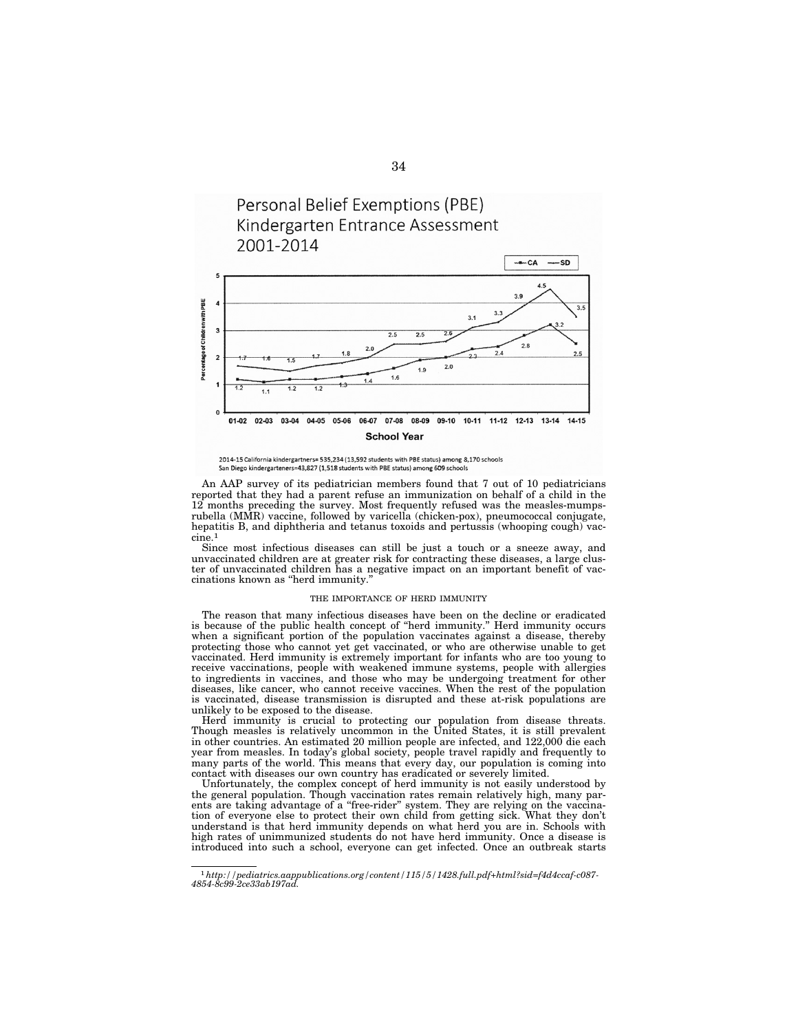

2014-15 California kindergartners= 535,234 (13,592 students with PBE status) among 8,170 schools San Diego kindergarteners=43,827 (1,518 stude nts with PBE status) an

An AAP survey of its pediatrician members found that 7 out of 10 pediatricians reported that they had a parent refuse an immunization on behalf of a child in the 12 months preceding the survey. Most frequently refused was the measles-mumpsrubella (MMR) vaccine, followed by varicella (chicken-pox), pneumococcal conjugate, hepatitis B, and diphtheria and tetanus toxoids and pertussis (whooping cough) vaccine.1

Since most infectious diseases can still be just a touch or a sneeze away, and unvaccinated children are at greater risk for contracting these diseases, a large cluster of unvaccinated children has a negative impact on an important benefit of vaccinations known as ''herd immunity.''

#### THE IMPORTANCE OF HERD IMMUNITY

The reason that many infectious diseases have been on the decline or eradicated is because of the public health concept of ''herd immunity.'' Herd immunity occurs when a significant portion of the population vaccinates against a disease, thereby protecting those who cannot yet get vaccinated, or who are otherwise unable to get vaccinated. Herd immunity is extremely important for infants who are too young to receive vaccinations, people with weakened immune systems, people with allergies to ingredients in vaccines, and those who may be undergoing treatment for other diseases, like cancer, who cannot receive vaccines. When the rest of the population is vaccinated, disease transmission is disrupted and these at-risk populations are unlikely to be exposed to the disease.

Herd immunity is crucial to protecting our population from disease threats. Though measles is relatively uncommon in the United States, it is still prevalent in other countries. An estimated 20 million people are infected, and 122,000 die each year from measles. In today's global society, people travel rapidly and frequently to many parts of the world. This means that every day, our population is coming into contact with diseases our own country has eradicated or severely limited.

Unfortunately, the complex concept of herd immunity is not easily understood by the general population. Though vaccination rates remain relatively high, many parents are taking advantage of a ''free-rider'' system. They are relying on the vaccination of everyone else to protect their own child from getting sick. What they don't understand is that herd immunity depends on what herd you are in. Schools with high rates of unimmunized students do not have herd immunity. Once a disease is introduced into such a school, everyone can get infected. Once an outbreak starts

<sup>1</sup>*http://pediatrics.aappublications.org/content/115/5/1428.full.pdf+html?sid=f4d4ccaf-c087- 4854-8c99-2ce33ab197ad.*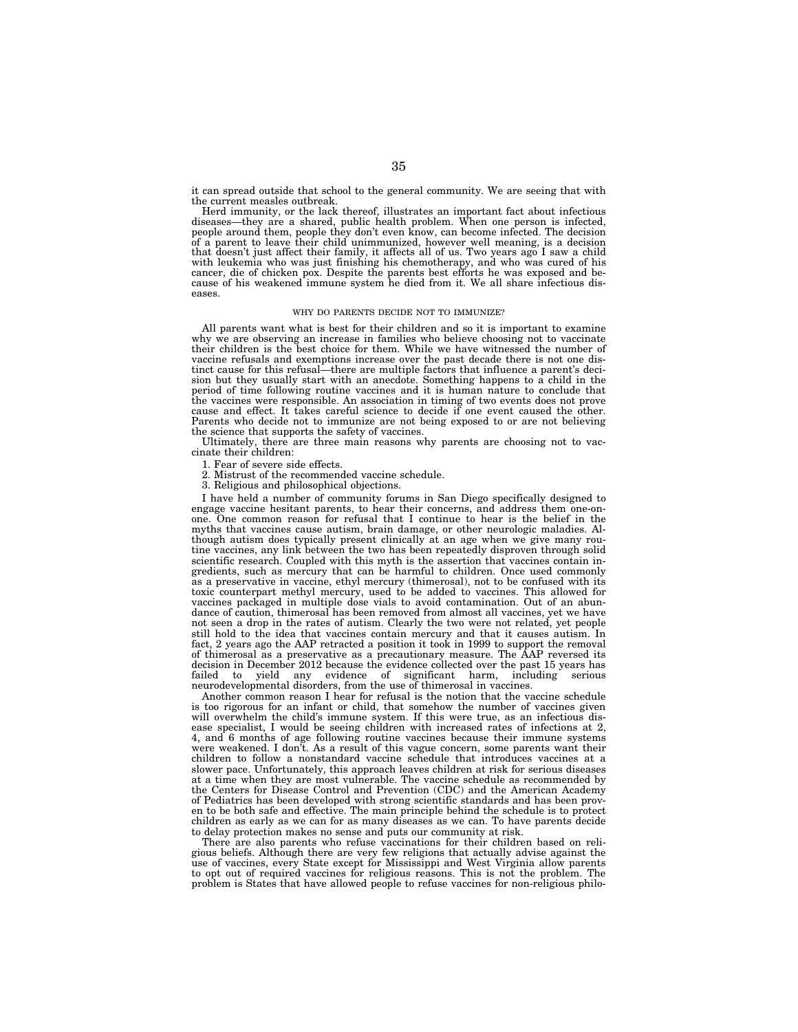it can spread outside that school to the general community. We are seeing that with the current measles outbreak.

Herd immunity, or the lack thereof, illustrates an important fact about infectious diseases—they are a shared, public health problem. When one person is infected, people around them, people they don't even know, can become infected. The decision of a parent to leave their child unimmunized, however well with leukemia who was just finishing his chemotherapy, and who was cured of his cancer, die of chicken pox. Despite the parents best efforts he was exposed and be-cause of his weakened immune system he died from it. We all share infectious diseases.

### WHY DO PARENTS DECIDE NOT TO IMMUNIZE?

All parents want what is best for their children and so it is important to examine why we are observing an increase in families who believe choosing not to vaccinate their children is the best choice for them. While we have witnessed the number of vaccine refusals and exemptions increase over the past decade there is not one distinct cause for this refusal—there are multiple factors that influence a parent's decision but they usually start with an anecdote. Something happens to a child in the period of time following routine vaccines and it is human nature to conclude that the vaccines were responsible. An association in timing of two events does not prove cause and effect. It takes careful science to decide if one event caused the other. Parents who decide not to immunize are not being exposed to or are not believing the science that supports the safety of vaccines.

Ultimately, there are three main reasons why parents are choosing not to vaccinate their children:

1. Fear of severe side effects.

2. Mistrust of the recommended vaccine schedule.

3. Religious and philosophical objections.

I have held a number of community forums in San Diego specifically designed to engage vaccine hesitant parents, to hear their concerns, and address them one-onone. One common reason for refusal that I continue to hear is the belief in the myths that vaccines cause autism, brain damage, or other neurologic maladies. Although autism does typically present clinically at an age when we give many routine vaccines, any link between the two has been repeatedly disproven through solid scientific research. Coupled with this myth is the assertion that vaccines contain ingredients, such as mercury that can be harmful to children. Once used commonly as a preservative in vaccine, ethyl mercury (thimerosal), not to be confused with its toxic counterpart methyl mercury, used to be added to vaccines. This allowed for vaccines packaged in multiple dose vials to avoid contamination. Out of an abundance of caution, thimerosal has been removed from almost all vaccines, yet we have not seen a drop in the rates of autism. Clearly the two were not related, yet people still hold to the idea that vaccines contain mercury and that it causes autism. In fact, 2 years ago the AAP retracted a position it took in 1999 to support the removal of thimerosal as a preservative as a precautionary measure. The AAP reversed its decision in December 2012 because the evidence collected over the past 15 years has failed to yield any evidence of significant harm, including serious neurodevelopmental disorders, from the use of thimerosal in vaccines.

Another common reason I hear for refusal is the notion that the vaccine schedule is too rigorous for an infant or child, that somehow the number of vaccines given will overwhelm the child's immune system. If this were true, as an infectious disease specialist, I would be seeing children with increased rates of infections at 2, 4, and 6 months of age following routine vaccines because their immune systems were weakened. I don't. As a result of this vague concern, some parents want their children to follow a nonstandard vaccine schedule that introduces vaccines at a slower pace. Unfortunately, this approach leaves children at risk for serious diseases at a time when they are most vulnerable. The vaccine schedule as recommended by the Centers for Disease Control and Prevention (CDC) and the American Academy of Pediatrics has been developed with strong scientific standards and has been proven to be both safe and effective. The main principle behind the schedule is to protect children as early as we can for as many diseases as we can. To have parents decide to delay protection makes no sense and puts our community at risk.

There are also parents who refuse vaccinations for their children based on religious beliefs. Although there are very few religions that actually advise against the use of vaccines, every State except for Mississippi and West Virginia allow parents to opt out of required vaccines for religious reasons. This is not the problem. The problem is States that have allowed people to refuse vaccines for non-religious philo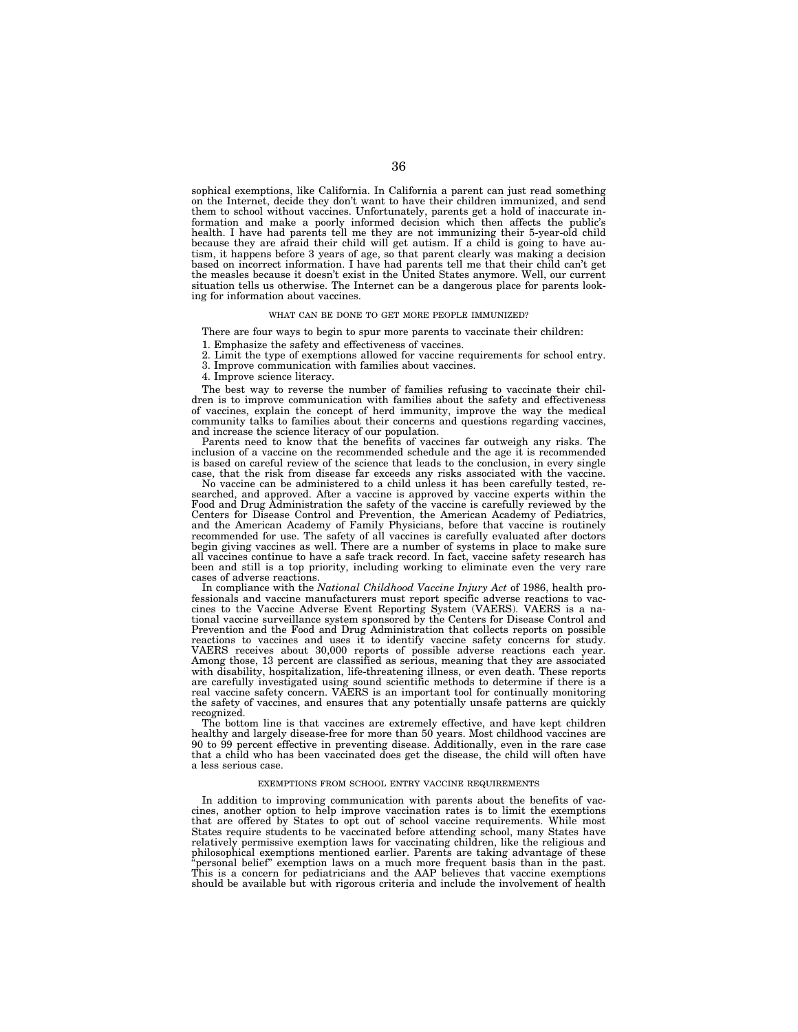sophical exemptions, like California. In California a parent can just read something on the Internet, decide they don't want to have their children immunized, and send them to school without vaccines. Unfortunately, parents get a hold of inaccurate information and make a poorly informed decision which then affects the public's health. I have had parents tell me they are not immunizing their 5-year-old child because they are afraid their child will get autism. If a child is going to have autism, it happens before 3 years of age, so that parent clearly was making a decision based on incorrect information. I have had parents tell me that their child can't get the measles because it doesn't exist in the United States anymore. Well, our current situation tells us otherwise. The Internet can be a dangerous place for parents looking for information about vaccines.

# WHAT CAN BE DONE TO GET MORE PEOPLE IMMUNIZED?

There are four ways to begin to spur more parents to vaccinate their children:

1. Emphasize the safety and effectiveness of vaccines.

2. Limit the type of exemptions allowed for vaccine requirements for school entry.

3. Improve communication with families about vaccines.

4. Improve science literacy.

The best way to reverse the number of families refusing to vaccinate their children is to improve communication with families about the safety and effectiveness of vaccines, explain the concept of herd immunity, improve the way the medical community talks to families about their concerns and questions regarding vaccines, and increase the science literacy of our population.

Parents need to know that the benefits of vaccines far outweigh any risks. The inclusion of a vaccine on the recommended schedule and the age it is recommended is based on careful review of the science that leads to the conclusion, in every single case, that the risk from disease far exceeds any risks associated with the vaccine.

No vaccine can be administered to a child unless it has been carefully tested, researched, and approved. After a vaccine is approved by vaccine experts within the Food and Drug Administration the safety of the vaccine is carefully reviewed by the Centers for Disease Control and Prevention, the American Academy of Pediatrics, and the American Academy of Family Physicians, before that vaccine is routinely recommended for use. The safety of all vaccines is carefully evaluated after doctors begin giving vaccines as well. There are a number of systems in place to make sure all vaccines continue to have a safe track record. In fact, vaccine safety research has been and still is a top priority, including working to eliminate even the very rare cases of adverse reactions.

In compliance with the *National Childhood Vaccine Injury Act* of 1986, health professionals and vaccine manufacturers must report specific adverse reactions to vaccines to the Vaccine Adverse Event Reporting System (VAERS). VAERS is a national vaccine surveillance system sponsored by the Centers for Disease Control and Prevention and the Food and Drug Administration that collects reports on possible reactions to vaccines and uses it to identify vaccine safety concerns for study. VAERS receives about 30,000 reports of possible adverse reactions each year. Among those, 13 percent are classified as serious, meaning that they are associated with disability, hospitalization, life-threatening illness, or even death. These reports are carefully investigated using sound scientific methods to determine if there is a real vaccine safety concern. VAERS is an important tool for continually monitoring the safety of vaccines, and ensures that any potentially unsafe patterns are quickly recognized.

The bottom line is that vaccines are extremely effective, and have kept children healthy and largely disease-free for more than 50 years. Most childhood vaccines are 90 to 99 percent effective in preventing disease. Additionally, even in the rare case that a child who has been vaccinated does get the disease, the child will often have a less serious case.

#### EXEMPTIONS FROM SCHOOL ENTRY VACCINE REQUIREMENTS

In addition to improving communication with parents about the benefits of vaccines, another option to help improve vaccination rates is to limit the exemptions that are offered by States to opt out of school vaccine requirements. While most States require students to be vaccinated before attending school, many States have relatively permissive exemption laws for vaccinating children, like the religious and philosophical exemptions mentioned earlier. Parents are taking advantage of these ''personal belief'' exemption laws on a much more frequent basis than in the past. This is a concern for pediatricians and the AAP believes that vaccine exemptions should be available but with rigorous criteria and include the involvement of health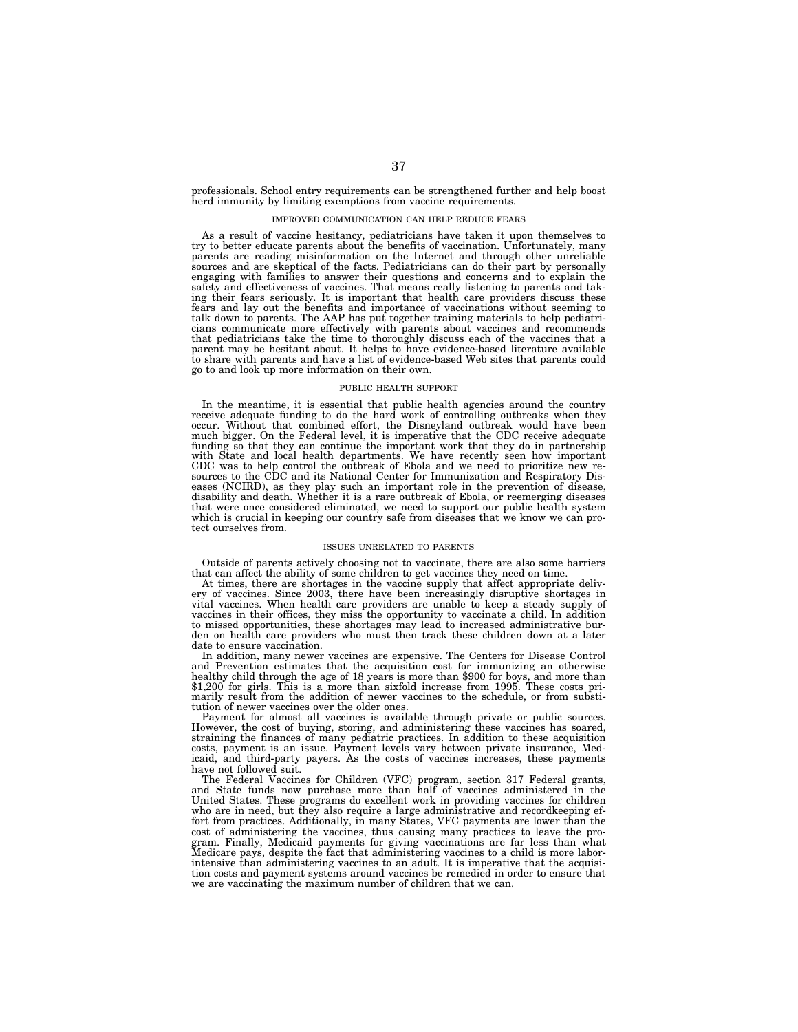professionals. School entry requirements can be strengthened further and help boost herd immunity by limiting exemptions from vaccine requirements.

## IMPROVED COMMUNICATION CAN HELP REDUCE FEARS

As a result of vaccine hesitancy, pediatricians have taken it upon themselves to try to better educate parents about the benefits of vaccination. Unfortunately, many parents are reading misinformation on the Internet and through other unreliable sources and are skeptical of the facts. Pediatricians can do their part by personally engaging with families to answer their questions and concerns and to explain the safety and effectiveness of vaccines. That means really listening to parents and taking their fears seriously. It is important that health care providers discuss these fears and lay out the benefits and importance of vaccinations without seeming to talk down to parents. The AAP has put together training materials to help pediatricians communicate more effectively with parents about vaccines and recommends<br>that pediatricians take the time to thoroughly discuss each of the vaccines that a<br>parent may be hesitant about. It helps to have evidence-based to share with parents and have a list of evidence-based Web sites that parents could go to and look up more information on their own.

## PUBLIC HEALTH SUPPORT

In the meantime, it is essential that public health agencies around the country receive adequate funding to do the hard work of controlling outbreaks when they occur. Without that combined effort, the Disneyland outbreak would have been much bigger. On the Federal level, it is imperative that the CDC receive adequate funding so that they can continue the important work that they do in partnership with State and local health departments. We have recently seen how important CDC was to help control the outbreak of Ebola and we need to prioritize new re-sources to the CDC and its National Center for Immunization and Respiratory Diseases (NCIRD), as they play such an important role in the prevention of disease, disability and death. Whether it is a rare outbreak of Ebola, or reemerging diseases that were once considered eliminated, we need to support our public health system which is crucial in keeping our country safe from diseases that we know we can protect ourselves from.

## ISSUES UNRELATED TO PARENTS

Outside of parents actively choosing not to vaccinate, there are also some barriers that can affect the ability of some children to get vaccines they need on time.

At times, there are shortages in the vaccine supply that affect appropriate delivery of vaccines. Since 2003, there have been increasingly disruptive shortages in vital vaccines. When health care providers are unable to keep a steady supply of vaccines in their offices, they miss the opportunity to vaccinate a child. In addition to missed opportunities, these shortages may lead to increased administrative burden on health care providers who must then track these children down at a later date to ensure vaccination.

In addition, many newer vaccines are expensive. The Centers for Disease Control and Prevention estimates that the acquisition cost for immunizing an otherwise healthy child through the age of 18 years is more than \$900 for boys, and more than \$1,200 for girls. This is a more than sixfold increase from 1995. These costs primarily result from the addition of newer vaccines to the schedule, or from substitution of newer vaccines over the older ones.

Payment for almost all vaccines is available through private or public sources. However, the cost of buying, storing, and administering these vaccines has soared, straining the finances of many pediatric practices. In addition to these acquisition costs, payment is an issue. Payment levels vary between private insurance, Medicaid, and third-party payers. As the costs of vaccines increases, these payments have not followed suit.

The Federal Vaccines for Children (VFC) program, section 317 Federal grants, and State funds now purchase more than half of vaccines administered in the United States. These programs do excellent work in providing vaccines for children who are in need, but they also require a large administrative and recordkeeping effort from practices. Additionally, in many States, VFC payments are lower than the cost of administering the vaccines, thus causing many practices to leave the program. Finally, Medicaid payments for giving vaccinations are far less than what Medicare pays, despite the fact that administering vaccines to a child is more laborintensive than administering vaccines to an adult. It is imperative that the acquisition costs and payment systems around vaccines be remedied in order to ensure that we are vaccinating the maximum number of children that we can.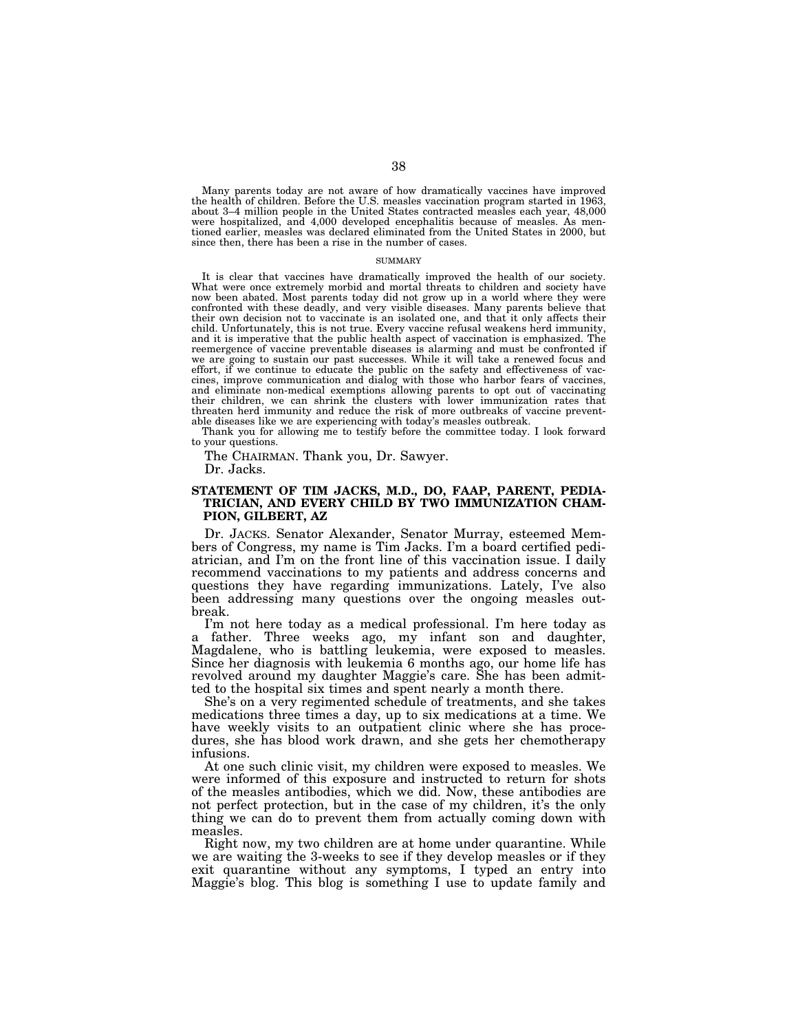Many parents today are not aware of how dramatically vaccines have improved the health of children. Before the U.S. measles vaccination program started in 1963, about 3–4 million people in the United States contracted measles each year, 48,000 were hospitalized, and 4,000 developed encephalitis because of measles. As mentioned earlier, measles was declared eliminated from the United States in 2000, but since then, there has been a rise in the number of cases.

#### **SUMMARY**

It is clear that vaccines have dramatically improved the health of our society. What were once extremely morbid and mortal threats to children and society have now been abated. Most parents today did not grow up in a world where they were confronted with these deadly, and very visible diseases. Many parents believe that their own decision not to vaccinate is an isolated one, and that it only affects their child. Unfortunately, this is not true. Every vaccine refusal weakens herd immunity, and it is imperative that the public health aspect of vaccination is emphasized. The reemergence of vaccine preventable diseases is alarming and must be confronted if we are going to sustain our past successes. While it will take a renewed focus and effort, if we continue to educate the public on the safety and effectiveness of vaccines, improve communication and dialog with those who harbor fears of vaccines, and eliminate non-medical exemptions allowing parents to opt out of vaccinating<br>their children, we can shrink the clusters with lower immunization rates that<br>threaten herd immunity and reduce the risk of more outbreaks of able diseases like we are experiencing with today's measles outbreak.

Thank you for allowing me to testify before the committee today. I look forward to your questions.

The CHAIRMAN. Thank you, Dr. Sawyer. Dr. Jacks.

# **STATEMENT OF TIM JACKS, M.D., DO, FAAP, PARENT, PEDIA-TRICIAN, AND EVERY CHILD BY TWO IMMUNIZATION CHAM-PION, GILBERT, AZ**

Dr. JACKS. Senator Alexander, Senator Murray, esteemed Members of Congress, my name is Tim Jacks. I'm a board certified pediatrician, and I'm on the front line of this vaccination issue. I daily recommend vaccinations to my patients and address concerns and questions they have regarding immunizations. Lately, I've also been addressing many questions over the ongoing measles outbreak.

I'm not here today as a medical professional. I'm here today as a father. Three weeks ago, my infant son and daughter, Magdalene, who is battling leukemia, were exposed to measles. Since her diagnosis with leukemia 6 months ago, our home life has revolved around my daughter Maggie's care. She has been admitted to the hospital six times and spent nearly a month there.

She's on a very regimented schedule of treatments, and she takes medications three times a day, up to six medications at a time. We have weekly visits to an outpatient clinic where she has procedures, she has blood work drawn, and she gets her chemotherapy infusions.

At one such clinic visit, my children were exposed to measles. We were informed of this exposure and instructed to return for shots of the measles antibodies, which we did. Now, these antibodies are not perfect protection, but in the case of my children, it's the only thing we can do to prevent them from actually coming down with measles.

Right now, my two children are at home under quarantine. While we are waiting the 3-weeks to see if they develop measles or if they exit quarantine without any symptoms, I typed an entry into Maggie's blog. This blog is something I use to update family and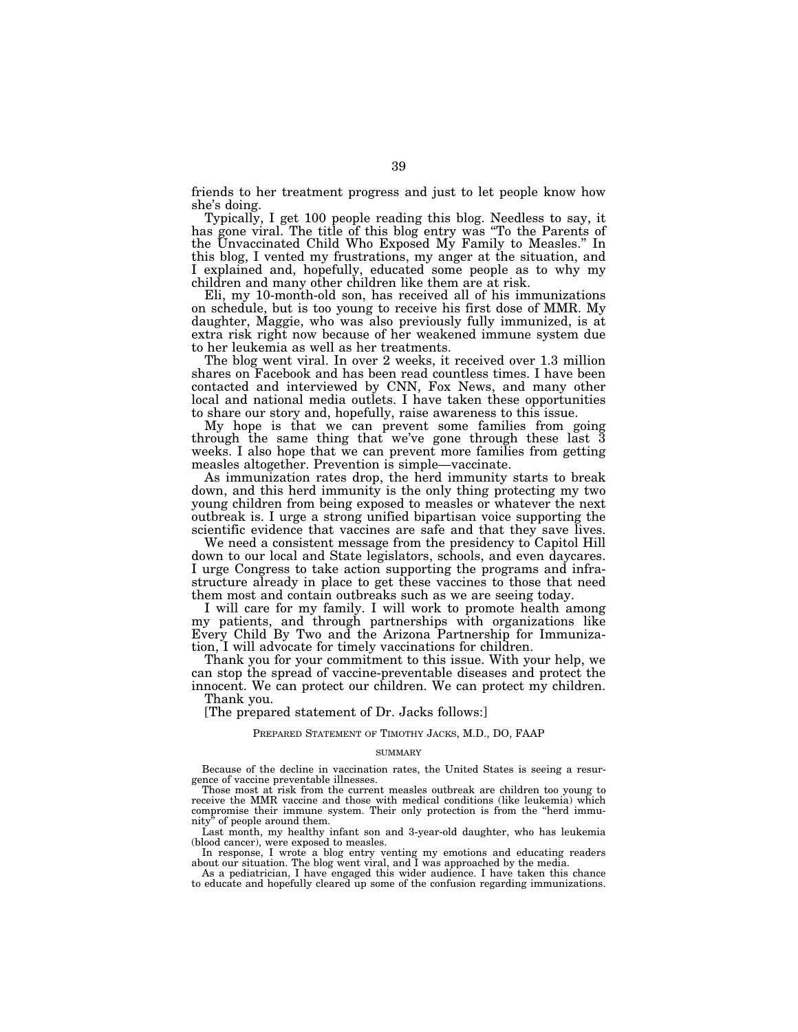friends to her treatment progress and just to let people know how she's doing.

Typically, I get 100 people reading this blog. Needless to say, it has gone viral. The title of this blog entry was "To the Parents of the Unvaccinated Child Who Exposed My Family to Measles.'' In this blog, I vented my frustrations, my anger at the situation, and I explained and, hopefully, educated some people as to why my children and many other children like them are at risk.

Eli, my 10-month-old son, has received all of his immunizations on schedule, but is too young to receive his first dose of MMR. My daughter, Maggie, who was also previously fully immunized, is at extra risk right now because of her weakened immune system due to her leukemia as well as her treatments.

The blog went viral. In over 2 weeks, it received over 1.3 million shares on Facebook and has been read countless times. I have been contacted and interviewed by CNN, Fox News, and many other local and national media outlets. I have taken these opportunities to share our story and, hopefully, raise awareness to this issue.

My hope is that we can prevent some families from going through the same thing that we've gone through these last 3 weeks. I also hope that we can prevent more families from getting measles altogether. Prevention is simple—vaccinate.

As immunization rates drop, the herd immunity starts to break down, and this herd immunity is the only thing protecting my two young children from being exposed to measles or whatever the next outbreak is. I urge a strong unified bipartisan voice supporting the scientific evidence that vaccines are safe and that they save lives.

We need a consistent message from the presidency to Capitol Hill down to our local and State legislators, schools, and even daycares. I urge Congress to take action supporting the programs and infrastructure already in place to get these vaccines to those that need them most and contain outbreaks such as we are seeing today.

I will care for my family. I will work to promote health among my patients, and through partnerships with organizations like Every Child By Two and the Arizona Partnership for Immunization, I will advocate for timely vaccinations for children.

Thank you for your commitment to this issue. With your help, we can stop the spread of vaccine-preventable diseases and protect the innocent. We can protect our children. We can protect my children. Thank you.

[The prepared statement of Dr. Jacks follows:]

### PREPARED STATEMENT OF TIMOTHY JACKS, M.D., DO, FAAP

## SUMMARY

Because of the decline in vaccination rates, the United States is seeing a resurgence of vaccine preventable illnesses.

Those most at risk from the current measles outbreak are children too young to receive the MMR vaccine and those with medical conditions (like leukemia) which compromise their immune system. Their only protection is from the ''herd immunity'' of people around them.

Last month, my healthy infant son and 3-year-old daughter, who has leukemia (blood cancer), were exposed to measles.

In response, I wrote a blog entry venting my emotions and educating readers about our situation. The blog went viral, and I was approached by the media.

As a pediatrician, I have engaged this wider audience. I have taken this chance to educate and hopefully cleared up some of the confusion regarding immunizations.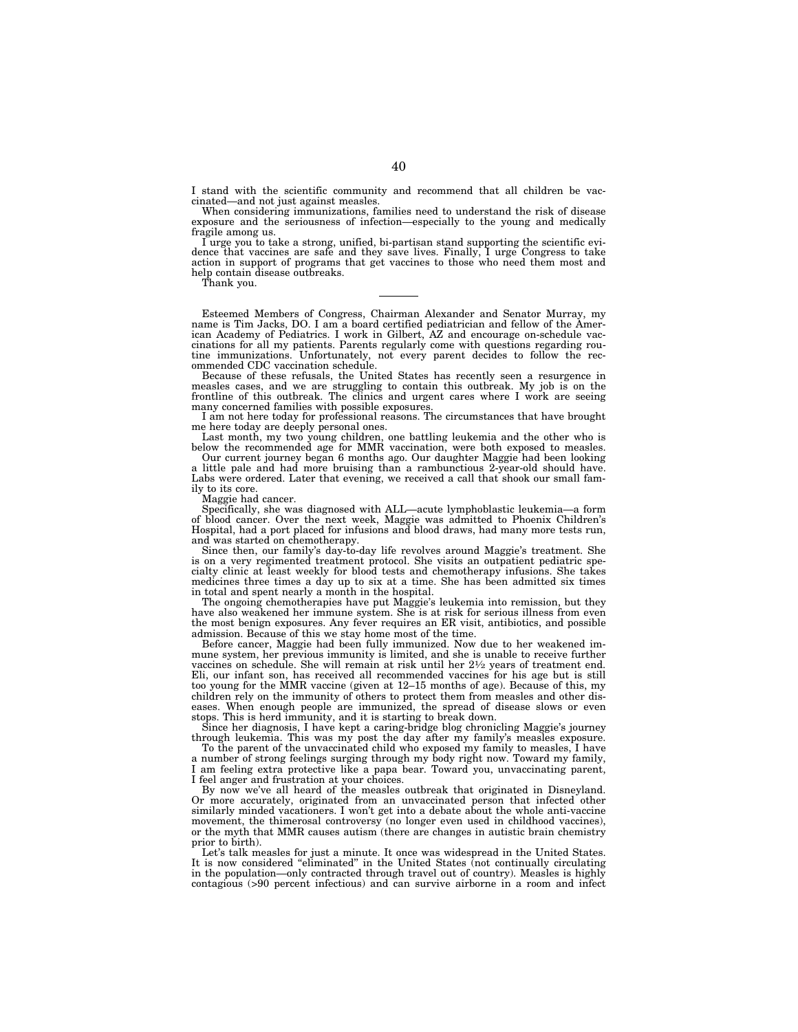I stand with the scientific community and recommend that all children be vaccinated—and not just against measles.

When considering immunizations, families need to understand the risk of disease exposure and the seriousness of infection—especially to the young and medically fragile among us.

I urge you to take a strong, unified, bi-partisan stand supporting the scientific evidence that vaccines are safe and they save lives. Finally, I urge Congress to take action in support of programs that get vaccines to those who need them most and help contain disease outbreaks.

Thank you.

Esteemed Members of Congress, Chairman Alexander and Senator Murray, my name is Tim Jacks, DO. I am a board certified pediatrician and fellow of the American Academy of Pediatrics. I work in Gilbert, AZ and encourage on-schedule vaccinations for all my patients. Parents regularly come with questions regarding routine immunizations. Unfortunately, not every parent decides to follow the recommended CDC vaccination schedule.

Because of these refusals, the United States has recently seen a resurgence in measles cases, and we are struggling to contain this outbreak. My job is on the frontline of this outbreak. The clinics and urgent cares where I work are seeing many concerned families with possible exposures.

I am not here today for professional reasons. The circumstances that have brought me here today are deeply personal ones.

Last month, my two young children, one battling leukemia and the other who is below the recommended age for MMR vaccination, were both exposed to measles.

Our current journey began 6 months ago. Our daughter Maggie had been looking a little pale and had more bruising than a rambunctious 2-year-old should have. Labs were ordered. Later that evening, we received a call that shook our small family to its core.

Maggie had cancer.

Specifically, she was diagnosed with ALL—acute lymphoblastic leukemia—a form of blood cancer. Over the next week, Maggie was admitted to Phoenix Children's Hospital, had a port placed for infusions and blood draws, had many more tests run, and was started on chemotherapy.

Since then, our family's day-to-day life revolves around Maggie's treatment. She is on a very regimented treatment protocol. She visits an outpatient pediatric spe-cialty clinic at least weekly for blood tests and chemotherapy infusions. She takes medicines three times a day up to six at a time. She has been admitted six times in total and spent nearly a month in the hospital.

The ongoing chemotherapies have put Maggie's leukemia into remission, but they have also weakened her immune system. She is at risk for serious illness from even the most benign exposures. Any fever requires an ER visit, antibiotics, and possible admission. Because of this we stay home most of the time.

Before cancer, Maggie had been fully immunized. Now due to her weakened immune system, her previous immunity is limited, and she is unable to receive further vaccines on schedule. She will remain at risk until her  $2\frac{1}{2}$  years of treatment end. Eli, our infant son, has received all recommended vaccines for his age but is still too young for the MMR vaccine (given at 12–15 months of age). Because of this, my children rely on the immunity of others to protect them from measles and other diseases. When enough people are immunized, the spread of disease slows or even stops. This is herd immunity, and it is starting to break down.

Since her diagnosis, I have kept a caring-bridge blog chronicling Maggie's journey through leukemia. This was my post the day after my family's measles exposure.

To the parent of the unvaccinated child who exposed my family to measles, I have a number of strong feelings surging through my body right now. Toward my family, I am feeling extra protective like a papa bear. Toward you, unvaccinating parent, I feel anger and frustration at your choices.

By now we've all heard of the measles outbreak that originated in Disneyland. Or more accurately, originated from an unvaccinated person that infected other similarly minded vacationers. I won't get into a debate about the whole anti-vaccine movement, the thimerosal controversy (no longer even used in childhood vaccines), or the myth that MMR causes autism (there are changes in autistic brain chemistry prior to birth).

Let's talk measles for just a minute. It once was widespread in the United States. It is now considered "eliminated" in the United States (not continually circulating in the population—only contracted through travel out of country). Measles is highly contagious (>90 percent infectious) and can survive airborne in a room and infect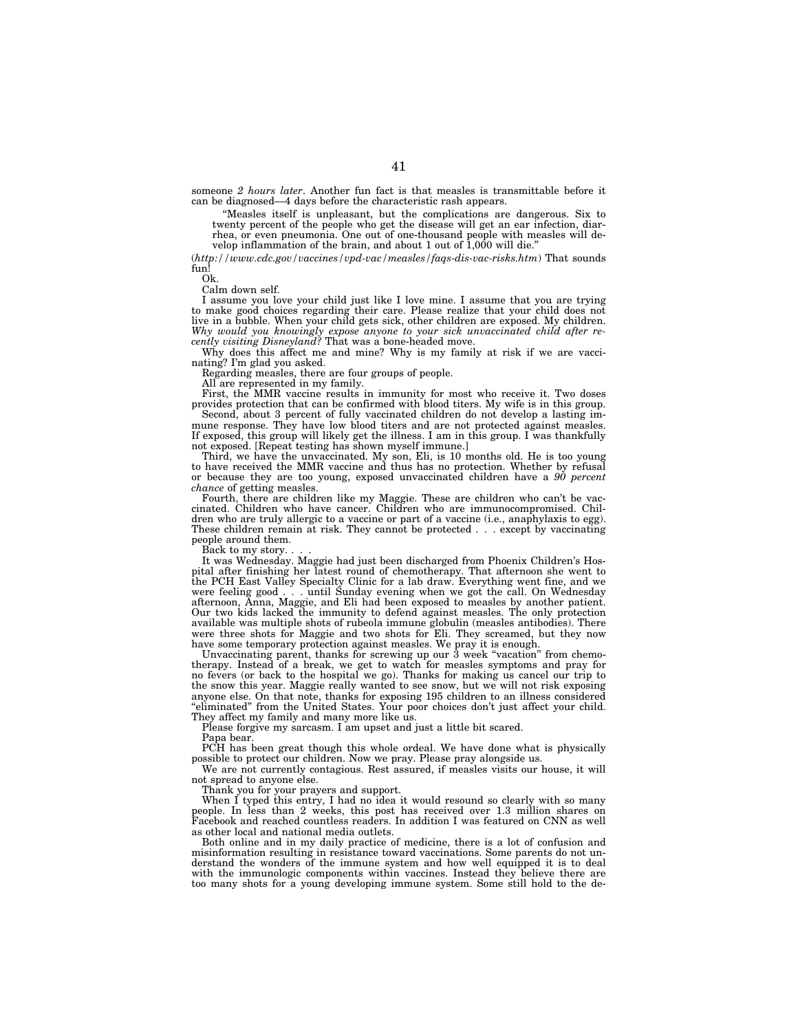someone *2 hours later*. Another fun fact is that measles is transmittable before it can be diagnosed—4 days before the characteristic rash appears.

''Measles itself is unpleasant, but the complications are dangerous. Six to twenty percent of the people who get the disease will get an ear infection, diarrhea, or even pneumonia. One out of one-thousand people with measles will develop inflammation of the brain, and about 1 out of 1,000 will die.''

(*http://www.cdc.gov/vaccines/vpd-vac/measles/faqs-dis-vac-risks.htm*) That sounds fun!

Ok.

Calm down self.

I assume you love your child just like I love mine. I assume that you are trying to make good choices regarding their care. Please realize that your child does not live in a bubble. When your child gets sick, other children are exposed. My children. *Why would you knowingly expose anyone to your sick unvaccinated child after recently visiting Disneyland?* That was a bone-headed move.

Why does this affect me and mine? Why is my family at risk if we are vaccinating? I'm glad you asked.

Regarding measles, there are four groups of people.

All are represented in my family.

First, the MMR vaccine results in immunity for most who receive it. Two doses provides protection that can be confirmed with blood titers. My wife is in this group. Second, about 3 percent of fully vaccinated children do not develop a lasting im-

mune response. They have low blood titers and are not protected against measles. If exposed, this group will likely get the illness. I am in this group. I was thankfully not exposed. [Repeat testing has shown myself immune.]

Third, we have the unvaccinated. My son, Eli, is 10 months old. He is too young to have received the MMR vaccine and thus has no protection. Whether by refusal or because they are too young, exposed unvaccinated children have a *90 percent chance* of getting measles.

Fourth, there are children like my Maggie. These are children who can't be vaccinated. Children who have cancer. Children who are immunocompromised. Children who are truly allergic to a vaccine or part of a vaccine (i.e., anaphylaxis to egg). These children remain at risk. They cannot be protected . . . except by vaccinating people around them.

Back to my story.

It was Wednesday. Maggie had just been discharged from Phoenix Children's Hospital after finishing her latest round of chemotherapy. That afternoon she went to the PCH East Valley Specialty Clinic for a lab draw. Everything went fine, and we were feeling good . . . until Sunday evening when we got the call. On Wednesday afternoon, Anna, Maggie, and Eli had been exposed to measles by another patient. Our two kids lacked the immunity to defend against measles. The only protection available was multiple shots of rubeola immune globulin (measles antibodies). There were three shots for Maggie and two shots for Eli. They screamed, but they now have some temporary protection against measles. We pray it is enough.

Unvaccinating parent, thanks for screwing up our 3 week ''vacation'' from chemotherapy. Instead of a break, we get to watch for measles symptoms and pray for no fevers (or back to the hospital we go). Thanks for making us cancel our trip to the snow this year. Maggie really wanted to see snow, but we will not risk exposing anyone else. On that note, thanks for exposing 195 children to an illness considered ''eliminated'' from the United States. Your poor choices don't just affect your child. They affect my family and many more like us.

Please forgive my sarcasm. I am upset and just a little bit scared.

Papa bear.

PCH has been great though this whole ordeal. We have done what is physically possible to protect our children. Now we pray. Please pray alongside us.

We are not currently contagious. Rest assured, if measles visits our house, it will not spread to anyone else.

Thank you for your prayers and support.

When I typed this entry, I had no idea it would resound so clearly with so many people. In less than 2 weeks, this post has received over 1.3 million shares on Facebook and reached countless readers. In addition I was featured on CNN as well as other local and national media outlets.

Both online and in my daily practice of medicine, there is a lot of confusion and misinformation resulting in resistance toward vaccinations. Some parents do not understand the wonders of the immune system and how well equipped it is to deal with the immunologic components within vaccines. Instead they believe there are too many shots for a young developing immune system. Some still hold to the de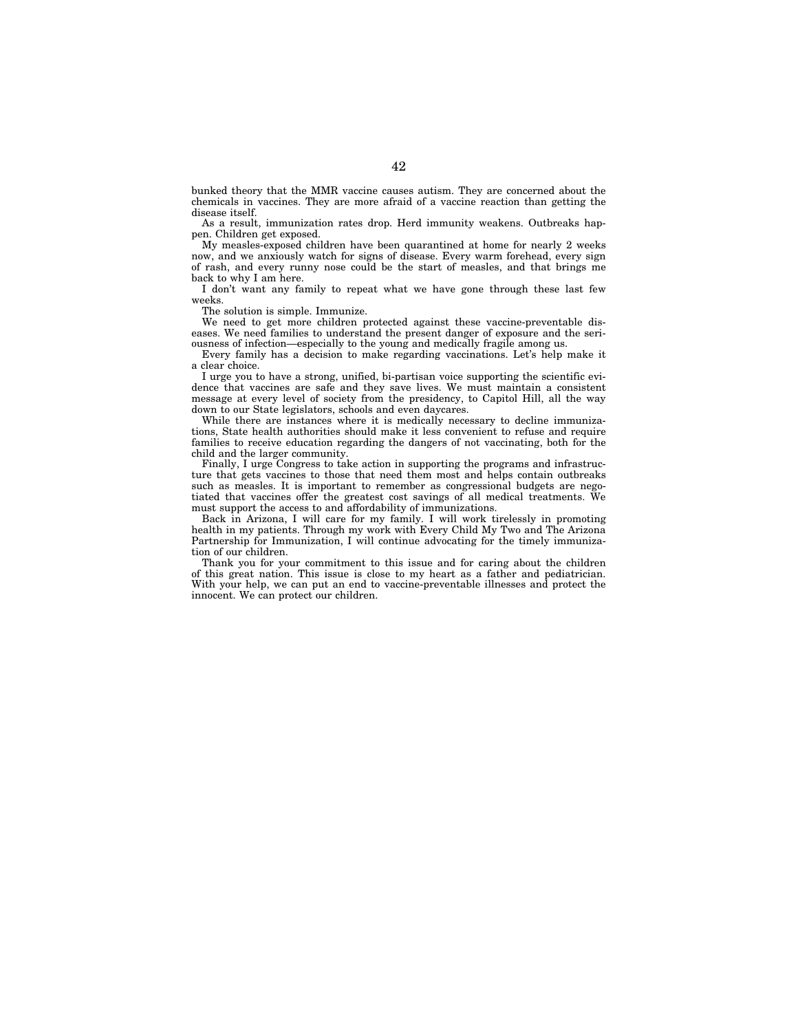bunked theory that the MMR vaccine causes autism. They are concerned about the chemicals in vaccines. They are more afraid of a vaccine reaction than getting the disease itself.

As a result, immunization rates drop. Herd immunity weakens. Outbreaks happen. Children get exposed.

My measles-exposed children have been quarantined at home for nearly 2 weeks now, and we anxiously watch for signs of disease. Every warm forehead, every sign of rash, and every runny nose could be the start of measles, and that brings me back to why I am here.

I don't want any family to repeat what we have gone through these last few weeks.

The solution is simple. Immunize.

We need to get more children protected against these vaccine-preventable diseases. We need families to understand the present danger of exposure and the seriousness of infection—especially to the young and medically fragile among us.

Every family has a decision to make regarding vaccinations. Let's help make it a clear choice.

I urge you to have a strong, unified, bi-partisan voice supporting the scientific evidence that vaccines are safe and they save lives. We must maintain a consistent message at every level of society from the presidency, to Capitol Hill, all the way down to our State legislators, schools and even daycares.

While there are instances where it is medically necessary to decline immunizations, State health authorities should make it less convenient to refuse and require families to receive education regarding the dangers of not vaccinating, both for the child and the larger community.

Finally, I urge Congress to take action in supporting the programs and infrastructure that gets vaccines to those that need them most and helps contain outbreaks such as measles. It is important to remember as congressional budgets are negotiated that vaccines offer the greatest cost savings of all medical treatments. We must support the access to and affordability of immunizations.

Back in Arizona, I will care for my family. I will work tirelessly in promoting health in my patients. Through my work with Every Child My Two and The Arizona Partnership for Immunization, I will continue advocating for the timely immunization of our children.

Thank you for your commitment to this issue and for caring about the children of this great nation. This issue is close to my heart as a father and pediatrician. With your help, we can put an end to vaccine-preventable illnesses and protect the innocent. We can protect our children.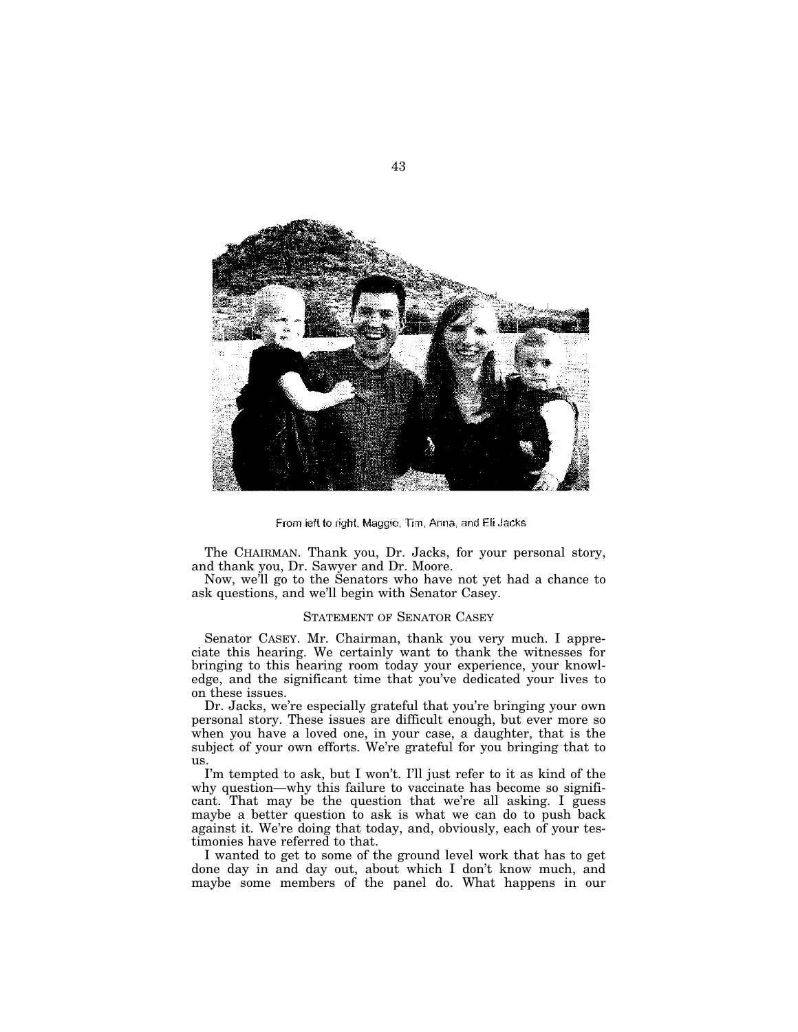

From left to right, Maggie, Tim, Anna, and Eli Jacks

The CHAIRMAN. Thank you, Dr. Jacks, for your personal story, and thank you, Dr. Sawyer and Dr. Moore.

Now, we'll go to the Senators who have not yet had a chance to ask questions, and we'll begin with Senator Casey.

# STATEMENT OF SENATOR CASEY

Senator CASEY. Mr. Chairman, thank you very much. I appreciate this hearing. We certainly want to thank the witnesses for bringing to this hearing room today your experience, your knowledge, and the significant time that you've dedicated your lives to on these issues.

Dr. Jacks, we're especially grateful that you're bringing your own personal story. These issues are difficult enough, but ever more so when you have a loved one, in your case, a daughter, that is the subject of your own efforts. We're grateful for you bringing that to us.

I'm tempted to ask, but I won't. I'll just refer to it as kind of the why question—why this failure to vaccinate has become so significant. That may be the question that we're all asking. I guess maybe a better question to ask is what we can do to push back against it. We're doing that today, and, obviously, each of your testimonies have referred to that.

I wanted to get to some of the ground level work that has to get done day in and day out, about which I don't know much, and maybe some members of the panel do. What happens in our

43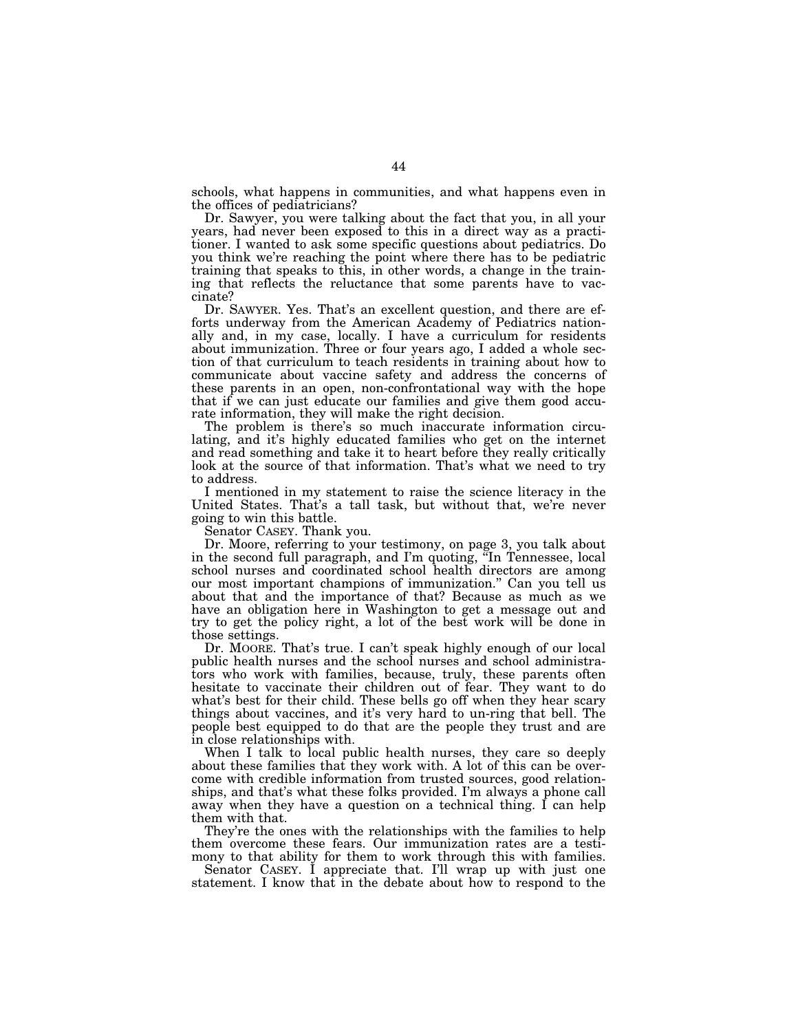schools, what happens in communities, and what happens even in the offices of pediatricians?

Dr. Sawyer, you were talking about the fact that you, in all your years, had never been exposed to this in a direct way as a practitioner. I wanted to ask some specific questions about pediatrics. Do you think we're reaching the point where there has to be pediatric training that speaks to this, in other words, a change in the training that reflects the reluctance that some parents have to vaccinate?

Dr. SAWYER. Yes. That's an excellent question, and there are efforts underway from the American Academy of Pediatrics nationally and, in my case, locally. I have a curriculum for residents about immunization. Three or four years ago, I added a whole section of that curriculum to teach residents in training about how to communicate about vaccine safety and address the concerns of these parents in an open, non-confrontational way with the hope that if we can just educate our families and give them good accurate information, they will make the right decision.

The problem is there's so much inaccurate information circulating, and it's highly educated families who get on the internet and read something and take it to heart before they really critically look at the source of that information. That's what we need to try to address.

I mentioned in my statement to raise the science literacy in the United States. That's a tall task, but without that, we're never going to win this battle.

Senator CASEY. Thank you.

Dr. Moore, referring to your testimony, on page 3, you talk about in the second full paragraph, and I'm quoting, ''In Tennessee, local school nurses and coordinated school health directors are among our most important champions of immunization.'' Can you tell us about that and the importance of that? Because as much as we have an obligation here in Washington to get a message out and try to get the policy right, a lot of the best work will be done in those settings.

Dr. MOORE. That's true. I can't speak highly enough of our local public health nurses and the school nurses and school administrators who work with families, because, truly, these parents often hesitate to vaccinate their children out of fear. They want to do what's best for their child. These bells go off when they hear scary things about vaccines, and it's very hard to un-ring that bell. The people best equipped to do that are the people they trust and are in close relationships with.

When I talk to local public health nurses, they care so deeply about these families that they work with. A lot of this can be overcome with credible information from trusted sources, good relationships, and that's what these folks provided. I'm always a phone call away when they have a question on a technical thing. I can help them with that.

They're the ones with the relationships with the families to help them overcome these fears. Our immunization rates are a testimony to that ability for them to work through this with families.

Senator CASEY. I appreciate that. I'll wrap up with just one statement. I know that in the debate about how to respond to the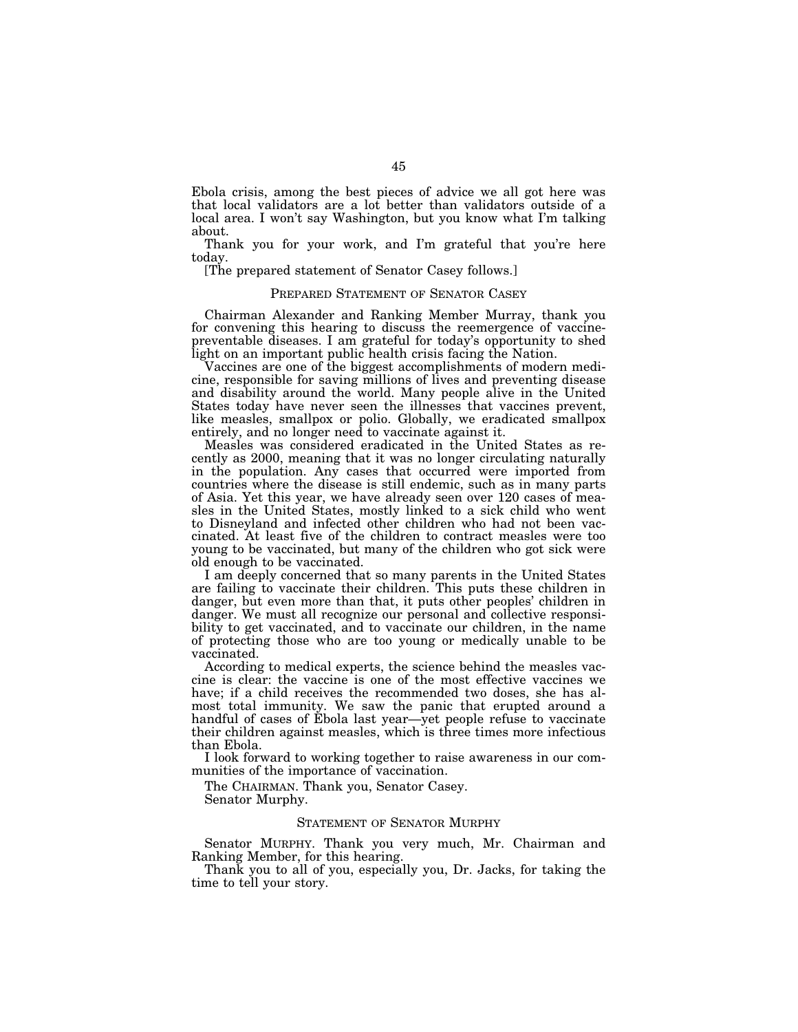Ebola crisis, among the best pieces of advice we all got here was that local validators are a lot better than validators outside of a local area. I won't say Washington, but you know what I'm talking about.

Thank you for your work, and I'm grateful that you're here today.

[The prepared statement of Senator Casey follows.]

# PREPARED STATEMENT OF SENATOR CASEY

Chairman Alexander and Ranking Member Murray, thank you for convening this hearing to discuss the reemergence of vaccinepreventable diseases. I am grateful for today's opportunity to shed light on an important public health crisis facing the Nation.

Vaccines are one of the biggest accomplishments of modern medicine, responsible for saving millions of lives and preventing disease and disability around the world. Many people alive in the United States today have never seen the illnesses that vaccines prevent, like measles, smallpox or polio. Globally, we eradicated smallpox entirely, and no longer need to vaccinate against it.

Measles was considered eradicated in the United States as recently as 2000, meaning that it was no longer circulating naturally in the population. Any cases that occurred were imported from countries where the disease is still endemic, such as in many parts of Asia. Yet this year, we have already seen over 120 cases of measles in the United States, mostly linked to a sick child who went to Disneyland and infected other children who had not been vaccinated. At least five of the children to contract measles were too young to be vaccinated, but many of the children who got sick were old enough to be vaccinated.

I am deeply concerned that so many parents in the United States are failing to vaccinate their children. This puts these children in danger, but even more than that, it puts other peoples' children in danger. We must all recognize our personal and collective responsibility to get vaccinated, and to vaccinate our children, in the name of protecting those who are too young or medically unable to be vaccinated.

According to medical experts, the science behind the measles vaccine is clear: the vaccine is one of the most effective vaccines we have; if a child receives the recommended two doses, she has almost total immunity. We saw the panic that erupted around a handful of cases of Ebola last year—yet people refuse to vaccinate their children against measles, which is three times more infectious than Ebola.

I look forward to working together to raise awareness in our communities of the importance of vaccination.

The CHAIRMAN. Thank you, Senator Casey. Senator Murphy.

# STATEMENT OF SENATOR MURPHY

Senator MURPHY. Thank you very much, Mr. Chairman and Ranking Member, for this hearing.

Thank you to all of you, especially you, Dr. Jacks, for taking the time to tell your story.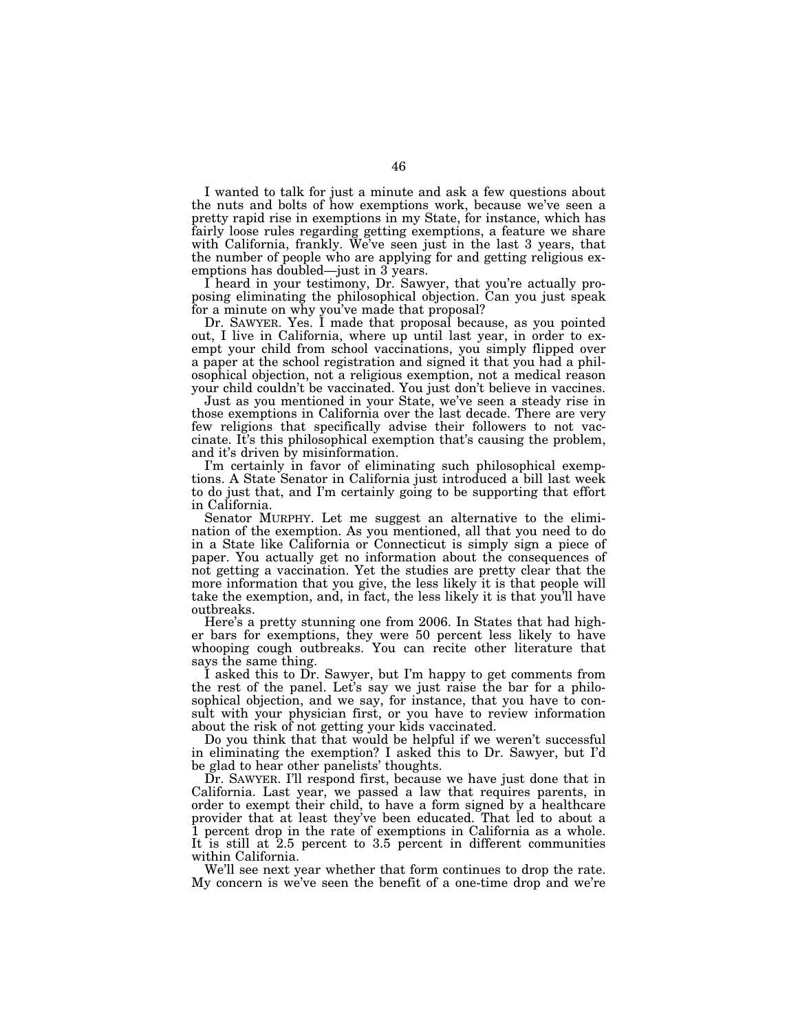I wanted to talk for just a minute and ask a few questions about the nuts and bolts of how exemptions work, because we've seen a pretty rapid rise in exemptions in my State, for instance, which has fairly loose rules regarding getting exemptions, a feature we share with California, frankly. We've seen just in the last 3 years, that the number of people who are applying for and getting religious exemptions has doubled—just in 3 years.

I heard in your testimony, Dr. Sawyer, that you're actually proposing eliminating the philosophical objection. Can you just speak for a minute on why you've made that proposal?

Dr. SAWYER. Yes. I made that proposal because, as you pointed out, I live in California, where up until last year, in order to exempt your child from school vaccinations, you simply flipped over a paper at the school registration and signed it that you had a philosophical objection, not a religious exemption, not a medical reason your child couldn't be vaccinated. You just don't believe in vaccines.

Just as you mentioned in your State, we've seen a steady rise in those exemptions in California over the last decade. There are very few religions that specifically advise their followers to not vaccinate. It's this philosophical exemption that's causing the problem, and it's driven by misinformation.

I'm certainly in favor of eliminating such philosophical exemptions. A State Senator in California just introduced a bill last week to do just that, and I'm certainly going to be supporting that effort in California.

Senator MURPHY. Let me suggest an alternative to the elimination of the exemption. As you mentioned, all that you need to do in a State like California or Connecticut is simply sign a piece of paper. You actually get no information about the consequences of not getting a vaccination. Yet the studies are pretty clear that the more information that you give, the less likely it is that people will take the exemption, and, in fact, the less likely it is that you'll have outbreaks.

Here's a pretty stunning one from 2006. In States that had higher bars for exemptions, they were 50 percent less likely to have whooping cough outbreaks. You can recite other literature that says the same thing.

I asked this to Dr. Sawyer, but I'm happy to get comments from the rest of the panel. Let's say we just raise the bar for a philosophical objection, and we say, for instance, that you have to consult with your physician first, or you have to review information about the risk of not getting your kids vaccinated.

Do you think that that would be helpful if we weren't successful in eliminating the exemption? I asked this to Dr. Sawyer, but I'd be glad to hear other panelists' thoughts.

Dr. SAWYER. I'll respond first, because we have just done that in California. Last year, we passed a law that requires parents, in order to exempt their child, to have a form signed by a healthcare provider that at least they've been educated. That led to about a 1 percent drop in the rate of exemptions in California as a whole. It is still at 2.5 percent to 3.5 percent in different communities within California.

We'll see next year whether that form continues to drop the rate. My concern is we've seen the benefit of a one-time drop and we're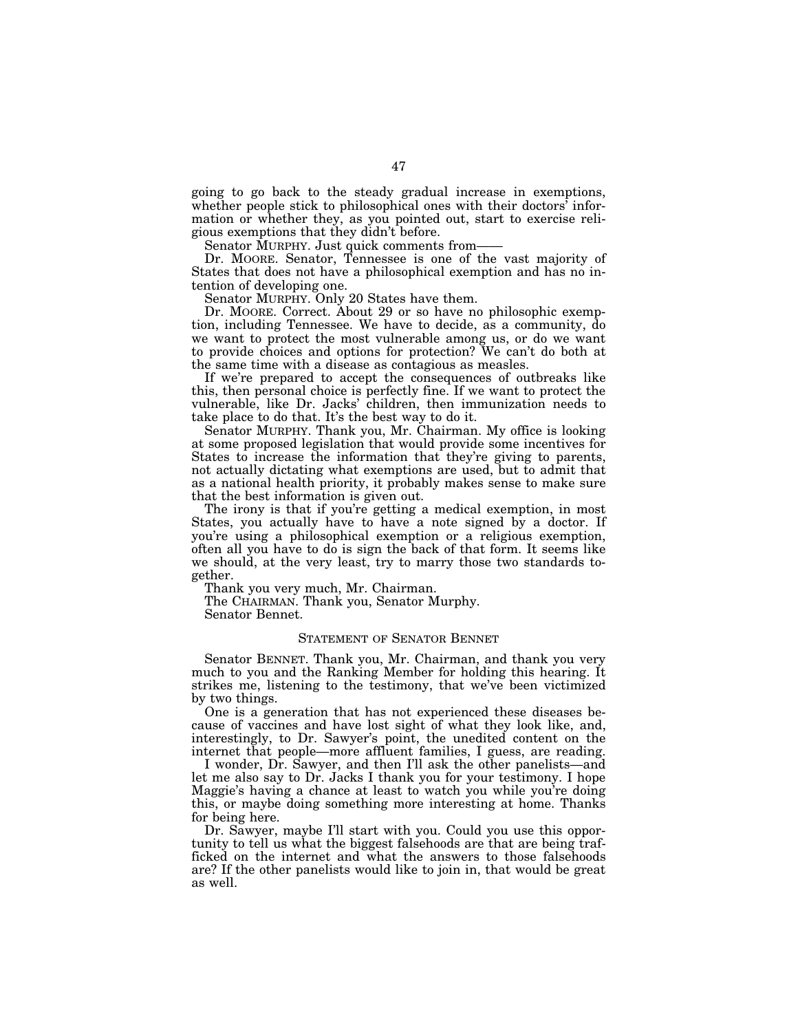going to go back to the steady gradual increase in exemptions, whether people stick to philosophical ones with their doctors<sup>7</sup> information or whether they, as you pointed out, start to exercise religious exemptions that they didn't before.

Senator MURPHY. Just quick comments from——

Dr. MOORE. Senator, Tennessee is one of the vast majority of States that does not have a philosophical exemption and has no intention of developing one.

Senator MURPHY. Only 20 States have them.

Dr. MOORE. Correct. About 29 or so have no philosophic exemption, including Tennessee. We have to decide, as a community, do we want to protect the most vulnerable among us, or do we want to provide choices and options for protection? We can't do both at the same time with a disease as contagious as measles.

If we're prepared to accept the consequences of outbreaks like this, then personal choice is perfectly fine. If we want to protect the vulnerable, like Dr. Jacks' children, then immunization needs to take place to do that. It's the best way to do it.

Senator MURPHY. Thank you, Mr. Chairman. My office is looking at some proposed legislation that would provide some incentives for States to increase the information that they're giving to parents, not actually dictating what exemptions are used, but to admit that as a national health priority, it probably makes sense to make sure that the best information is given out.

The irony is that if you're getting a medical exemption, in most States, you actually have to have a note signed by a doctor. If you're using a philosophical exemption or a religious exemption, often all you have to do is sign the back of that form. It seems like we should, at the very least, try to marry those two standards together.

Thank you very much, Mr. Chairman.

The CHAIRMAN. Thank you, Senator Murphy.

Senator Bennet.

## STATEMENT OF SENATOR BENNET

Senator BENNET. Thank you, Mr. Chairman, and thank you very much to you and the Ranking Member for holding this hearing. It strikes me, listening to the testimony, that we've been victimized by two things.

One is a generation that has not experienced these diseases because of vaccines and have lost sight of what they look like, and, interestingly, to Dr. Sawyer's point, the unedited content on the internet that people—more affluent families, I guess, are reading.

I wonder, Dr. Sawyer, and then I'll ask the other panelists—and let me also say to Dr. Jacks I thank you for your testimony. I hope Maggie's having a chance at least to watch you while you're doing this, or maybe doing something more interesting at home. Thanks for being here.

Dr. Sawyer, maybe I'll start with you. Could you use this opportunity to tell us what the biggest falsehoods are that are being trafficked on the internet and what the answers to those falsehoods are? If the other panelists would like to join in, that would be great as well.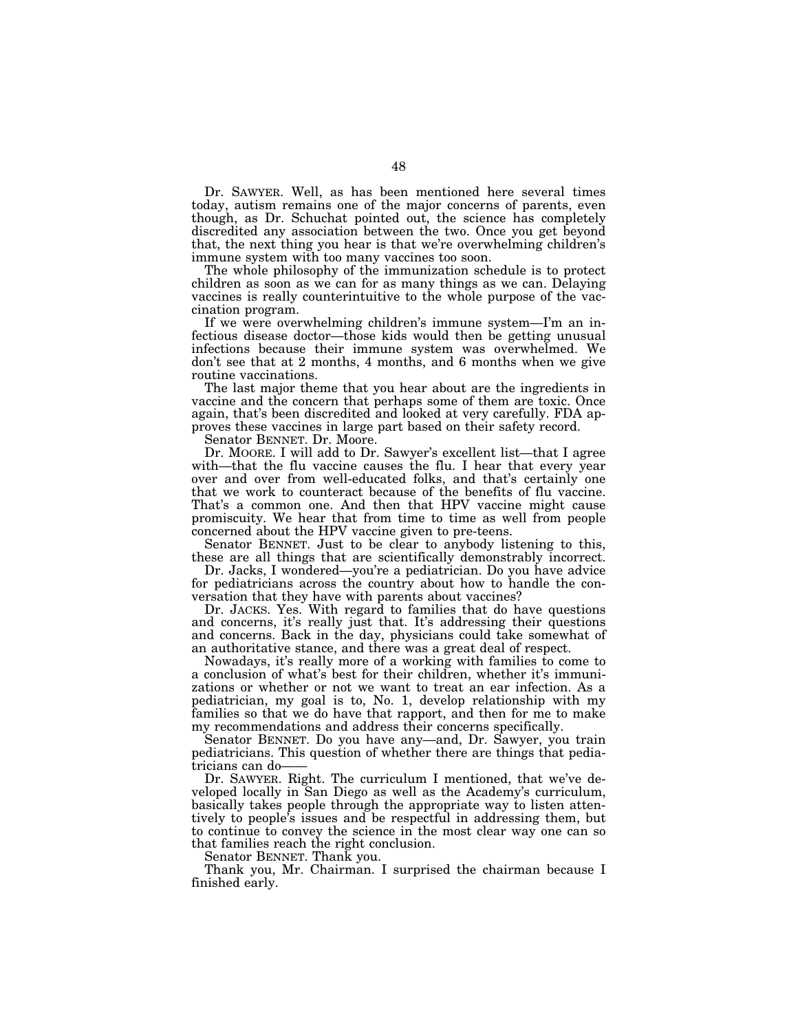Dr. SAWYER. Well, as has been mentioned here several times today, autism remains one of the major concerns of parents, even though, as Dr. Schuchat pointed out, the science has completely discredited any association between the two. Once you get beyond that, the next thing you hear is that we're overwhelming children's immune system with too many vaccines too soon.

The whole philosophy of the immunization schedule is to protect children as soon as we can for as many things as we can. Delaying vaccines is really counterintuitive to the whole purpose of the vaccination program.

If we were overwhelming children's immune system—I'm an infectious disease doctor—those kids would then be getting unusual infections because their immune system was overwhelmed. We don't see that at 2 months, 4 months, and 6 months when we give routine vaccinations.

The last major theme that you hear about are the ingredients in vaccine and the concern that perhaps some of them are toxic. Once again, that's been discredited and looked at very carefully. FDA approves these vaccines in large part based on their safety record.

Senator BENNET. Dr. Moore.

Dr. MOORE. I will add to Dr. Sawyer's excellent list—that I agree with—that the flu vaccine causes the flu. I hear that every year over and over from well-educated folks, and that's certainly one that we work to counteract because of the benefits of flu vaccine. That's a common one. And then that HPV vaccine might cause promiscuity. We hear that from time to time as well from people concerned about the HPV vaccine given to pre-teens.

Senator BENNET. Just to be clear to anybody listening to this, these are all things that are scientifically demonstrably incorrect.

Dr. Jacks, I wondered—you're a pediatrician. Do you have advice for pediatricians across the country about how to handle the conversation that they have with parents about vaccines?

Dr. JACKS. Yes. With regard to families that do have questions and concerns, it's really just that. It's addressing their questions and concerns. Back in the day, physicians could take somewhat of an authoritative stance, and there was a great deal of respect.

Nowadays, it's really more of a working with families to come to a conclusion of what's best for their children, whether it's immunizations or whether or not we want to treat an ear infection. As a pediatrician, my goal is to, No. 1, develop relationship with my families so that we do have that rapport, and then for me to make my recommendations and address their concerns specifically.

Senator BENNET. Do you have any—and, Dr. Sawyer, you train pediatricians. This question of whether there are things that pediatricians can do-

Dr. SAWYER. Right. The curriculum I mentioned, that we've developed locally in San Diego as well as the Academy's curriculum, basically takes people through the appropriate way to listen attentively to people's issues and be respectful in addressing them, but to continue to convey the science in the most clear way one can so that families reach the right conclusion.

Senator BENNET. Thank you.

Thank you, Mr. Chairman. I surprised the chairman because I finished early.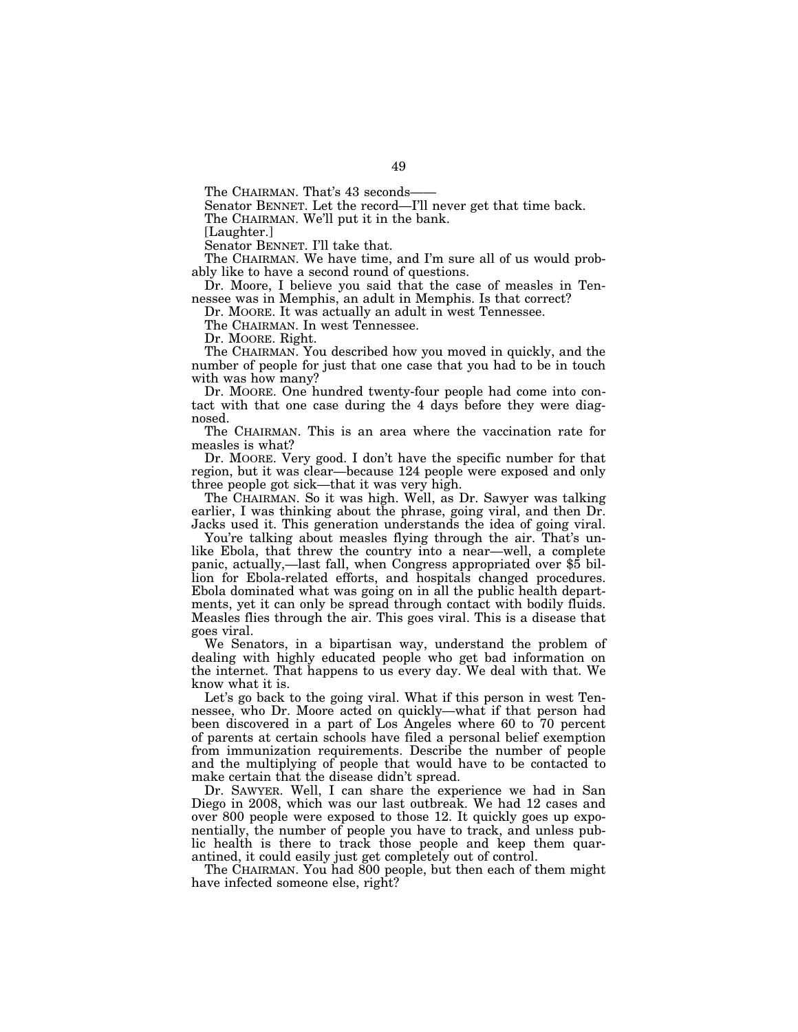The CHAIRMAN. That's 43 seconds-

Senator BENNET. Let the record—I'll never get that time back.

The CHAIRMAN. We'll put it in the bank.

[Laughter.]

Senator BENNET. I'll take that.

The CHAIRMAN. We have time, and I'm sure all of us would probably like to have a second round of questions.

Dr. Moore, I believe you said that the case of measles in Tennessee was in Memphis, an adult in Memphis. Is that correct?

Dr. MOORE. It was actually an adult in west Tennessee.

The CHAIRMAN. In west Tennessee.

Dr. MOORE. Right.

The CHAIRMAN. You described how you moved in quickly, and the number of people for just that one case that you had to be in touch with was how many?

Dr. MOORE. One hundred twenty-four people had come into contact with that one case during the 4 days before they were diagnosed.

The CHAIRMAN. This is an area where the vaccination rate for measles is what?

Dr. MOORE. Very good. I don't have the specific number for that region, but it was clear—because 124 people were exposed and only three people got sick—that it was very high.

The CHAIRMAN. So it was high. Well, as Dr. Sawyer was talking earlier, I was thinking about the phrase, going viral, and then Dr. Jacks used it. This generation understands the idea of going viral.

You're talking about measles flying through the air. That's unlike Ebola, that threw the country into a near—well, a complete panic, actually,—last fall, when Congress appropriated over \$5 billion for Ebola-related efforts, and hospitals changed procedures. Ebola dominated what was going on in all the public health departments, yet it can only be spread through contact with bodily fluids. Measles flies through the air. This goes viral. This is a disease that goes viral.

We Senators, in a bipartisan way, understand the problem of dealing with highly educated people who get bad information on the internet. That happens to us every day. We deal with that. We know what it is.

Let's go back to the going viral. What if this person in west Tennessee, who Dr. Moore acted on quickly—what if that person had been discovered in a part of Los Angeles where 60 to 70 percent of parents at certain schools have filed a personal belief exemption from immunization requirements. Describe the number of people and the multiplying of people that would have to be contacted to make certain that the disease didn't spread.

Dr. SAWYER. Well, I can share the experience we had in San Diego in 2008, which was our last outbreak. We had 12 cases and over 800 people were exposed to those 12. It quickly goes up exponentially, the number of people you have to track, and unless public health is there to track those people and keep them quarantined, it could easily just get completely out of control.

The CHAIRMAN. You had 800 people, but then each of them might have infected someone else, right?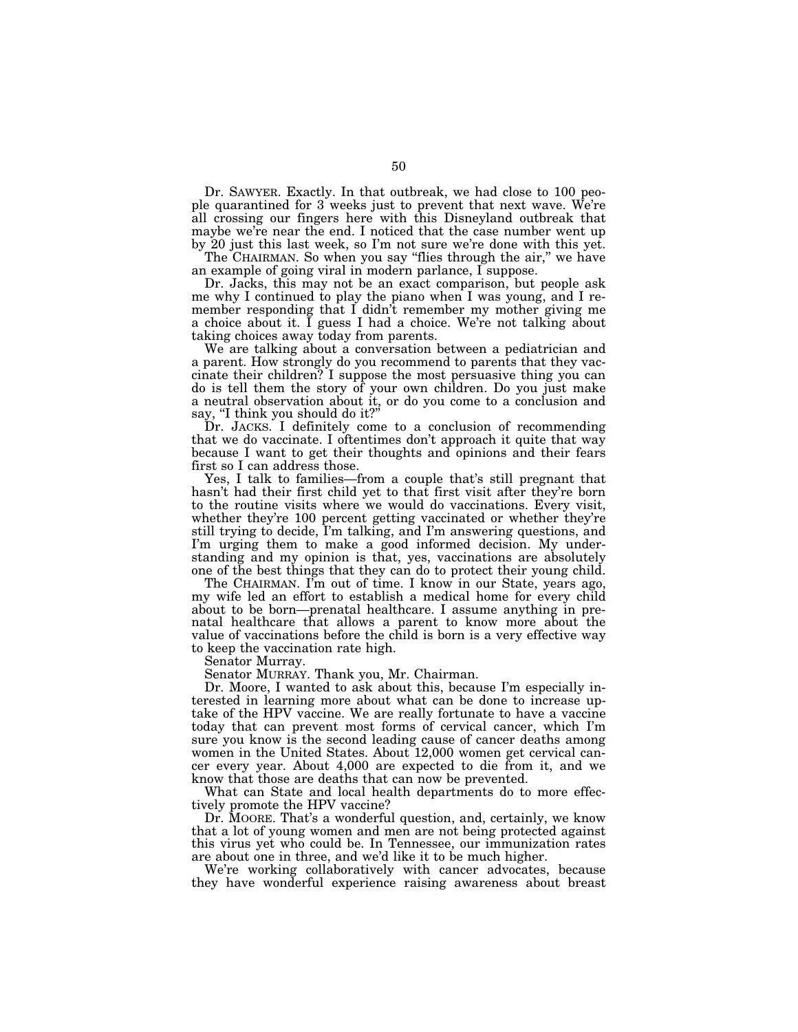Dr. SAWYER. Exactly. In that outbreak, we had close to 100 people quarantined for 3 weeks just to prevent that next wave. We're all crossing our fingers here with this Disneyland outbreak that maybe we're near the end. I noticed that the case number went up by 20 just this last week, so I'm not sure we're done with this yet.

The CHAIRMAN. So when you say ''flies through the air,'' we have an example of going viral in modern parlance, I suppose.

Dr. Jacks, this may not be an exact comparison, but people ask me why I continued to play the piano when I was young, and I remember responding that I didn't remember my mother giving me a choice about it. I guess I had a choice. We're not talking about taking choices away today from parents.

We are talking about a conversation between a pediatrician and a parent. How strongly do you recommend to parents that they vaccinate their children? I suppose the most persuasive thing you can do is tell them the story of your own children. Do you just make a neutral observation about it, or do you come to a conclusion and say, "I think you should do it?"

Dr. JACKS. I definitely come to a conclusion of recommending that we do vaccinate. I oftentimes don't approach it quite that way because I want to get their thoughts and opinions and their fears first so I can address those.

Yes, I talk to families—from a couple that's still pregnant that hasn't had their first child yet to that first visit after they're born to the routine visits where we would do vaccinations. Every visit, whether they're 100 percent getting vaccinated or whether they're still trying to decide, I'm talking, and I'm answering questions, and I'm urging them to make a good informed decision. My understanding and my opinion is that, yes, vaccinations are absolutely one of the best things that they can do to protect their young child.

The CHAIRMAN. I'm out of time. I know in our State, years ago, my wife led an effort to establish a medical home for every child about to be born—prenatal healthcare. I assume anything in prenatal healthcare that allows a parent to know more about the value of vaccinations before the child is born is a very effective way to keep the vaccination rate high.

Senator Murray.

Senator MURRAY. Thank you, Mr. Chairman.

Dr. Moore, I wanted to ask about this, because I'm especially interested in learning more about what can be done to increase uptake of the HPV vaccine. We are really fortunate to have a vaccine today that can prevent most forms of cervical cancer, which I'm sure you know is the second leading cause of cancer deaths among women in the United States. About 12,000 women get cervical cancer every year. About 4,000 are expected to die from it, and we know that those are deaths that can now be prevented.

What can State and local health departments do to more effectively promote the HPV vaccine?

Dr. MOORE. That's a wonderful question, and, certainly, we know that a lot of young women and men are not being protected against this virus yet who could be. In Tennessee, our immunization rates are about one in three, and we'd like it to be much higher.

We're working collaboratively with cancer advocates, because they have wonderful experience raising awareness about breast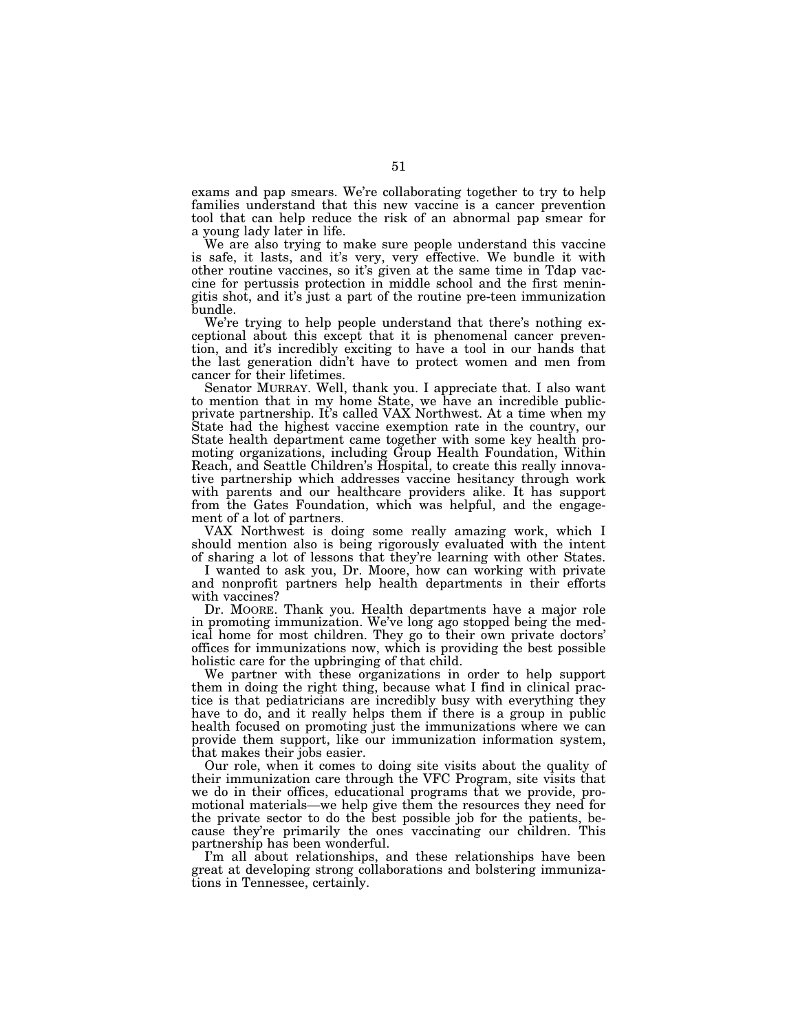exams and pap smears. We're collaborating together to try to help families understand that this new vaccine is a cancer prevention tool that can help reduce the risk of an abnormal pap smear for a young lady later in life.

We are also trying to make sure people understand this vaccine is safe, it lasts, and it's very, very effective. We bundle it with other routine vaccines, so it's given at the same time in Tdap vaccine for pertussis protection in middle school and the first meningitis shot, and it's just a part of the routine pre-teen immunization bundle.

We're trying to help people understand that there's nothing exceptional about this except that it is phenomenal cancer prevention, and it's incredibly exciting to have a tool in our hands that the last generation didn't have to protect women and men from cancer for their lifetimes.

Senator MURRAY. Well, thank you. I appreciate that. I also want to mention that in my home State, we have an incredible publicprivate partnership. It's called VAX Northwest. At a time when my State had the highest vaccine exemption rate in the country, our State health department came together with some key health promoting organizations, including Group Health Foundation, Within Reach, and Seattle Children's Hospital, to create this really innovative partnership which addresses vaccine hesitancy through work with parents and our healthcare providers alike. It has support from the Gates Foundation, which was helpful, and the engagement of a lot of partners.

VAX Northwest is doing some really amazing work, which I should mention also is being rigorously evaluated with the intent of sharing a lot of lessons that they're learning with other States.

I wanted to ask you, Dr. Moore, how can working with private and nonprofit partners help health departments in their efforts with vaccines?

Dr. MOORE. Thank you. Health departments have a major role in promoting immunization. We've long ago stopped being the medical home for most children. They go to their own private doctors' offices for immunizations now, which is providing the best possible holistic care for the upbringing of that child.

We partner with these organizations in order to help support them in doing the right thing, because what I find in clinical practice is that pediatricians are incredibly busy with everything they have to do, and it really helps them if there is a group in public health focused on promoting just the immunizations where we can provide them support, like our immunization information system, that makes their jobs easier.

Our role, when it comes to doing site visits about the quality of their immunization care through the VFC Program, site visits that we do in their offices, educational programs that we provide, promotional materials—we help give them the resources they need for the private sector to do the best possible job for the patients, because they're primarily the ones vaccinating our children. This partnership has been wonderful.

I'm all about relationships, and these relationships have been great at developing strong collaborations and bolstering immunizations in Tennessee, certainly.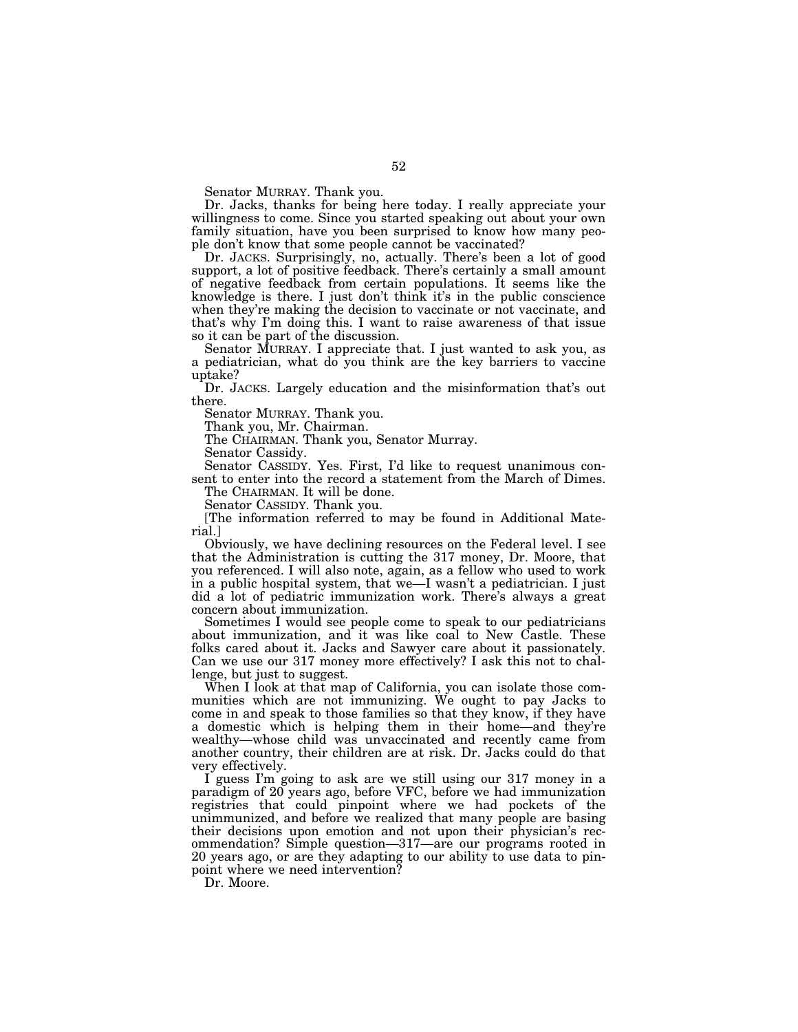Senator MURRAY. Thank you.

Dr. Jacks, thanks for being here today. I really appreciate your willingness to come. Since you started speaking out about your own family situation, have you been surprised to know how many people don't know that some people cannot be vaccinated?

Dr. JACKS. Surprisingly, no, actually. There's been a lot of good support, a lot of positive feedback. There's certainly a small amount of negative feedback from certain populations. It seems like the knowledge is there. I just don't think it's in the public conscience when they're making the decision to vaccinate or not vaccinate, and that's why I'm doing this. I want to raise awareness of that issue so it can be part of the discussion.

Senator MURRAY. I appreciate that. I just wanted to ask you, as a pediatrician, what do you think are the key barriers to vaccine uptake?

Dr. JACKS. Largely education and the misinformation that's out there.

Senator MURRAY. Thank you.

Thank you, Mr. Chairman.

The CHAIRMAN. Thank you, Senator Murray.

Senator Cassidy.

Senator CASSIDY. Yes. First, I'd like to request unanimous consent to enter into the record a statement from the March of Dimes.

The CHAIRMAN. It will be done.

Senator CASSIDY. Thank you.

[The information referred to may be found in Additional Material.]

Obviously, we have declining resources on the Federal level. I see that the Administration is cutting the 317 money, Dr. Moore, that you referenced. I will also note, again, as a fellow who used to work in a public hospital system, that we—I wasn't a pediatrician. I just did a lot of pediatric immunization work. There's always a great concern about immunization.

Sometimes I would see people come to speak to our pediatricians about immunization, and it was like coal to New Castle. These folks cared about it. Jacks and Sawyer care about it passionately. Can we use our 317 money more effectively? I ask this not to challenge, but just to suggest.

When I look at that map of California, you can isolate those communities which are not immunizing. We ought to pay Jacks to come in and speak to those families so that they know, if they have a domestic which is helping them in their home—and they're wealthy—whose child was unvaccinated and recently came from another country, their children are at risk. Dr. Jacks could do that very effectively.

I guess I'm going to ask are we still using our 317 money in a paradigm of 20 years ago, before VFC, before we had immunization registries that could pinpoint where we had pockets of the unimmunized, and before we realized that many people are basing their decisions upon emotion and not upon their physician's recommendation? Simple question—317—are our programs rooted in 20 years ago, or are they adapting to our ability to use data to pinpoint where we need intervention?

Dr. Moore.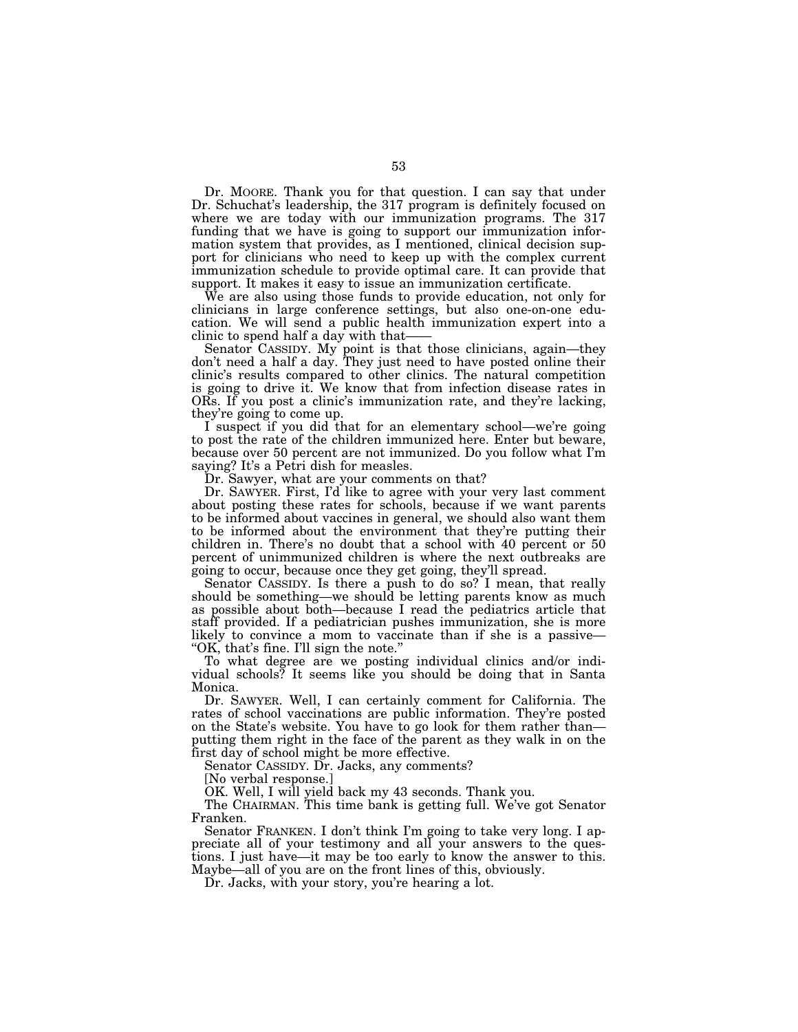Dr. MOORE. Thank you for that question. I can say that under Dr. Schuchat's leadership, the 317 program is definitely focused on where we are today with our immunization programs. The 317 funding that we have is going to support our immunization information system that provides, as I mentioned, clinical decision support for clinicians who need to keep up with the complex current immunization schedule to provide optimal care. It can provide that support. It makes it easy to issue an immunization certificate.

We are also using those funds to provide education, not only for clinicians in large conference settings, but also one-on-one education. We will send a public health immunization expert into a clinic to spend half a day with that-

Senator CASSIDY. My point is that those clinicians, again—they don't need a half a day. They just need to have posted online their clinic's results compared to other clinics. The natural competition is going to drive it. We know that from infection disease rates in ORs. If you post a clinic's immunization rate, and they're lacking, they're going to come up.

I suspect if you did that for an elementary school—we're going to post the rate of the children immunized here. Enter but beware, because over 50 percent are not immunized. Do you follow what I'm saying? It's a Petri dish for measles.

Dr. Sawyer, what are your comments on that?

Dr. SAWYER. First, I'd like to agree with your very last comment about posting these rates for schools, because if we want parents to be informed about vaccines in general, we should also want them to be informed about the environment that they're putting their children in. There's no doubt that a school with 40 percent or 50 percent of unimmunized children is where the next outbreaks are going to occur, because once they get going, they'll spread.

Senator CASSIDY. Is there a push to do so? I mean, that really should be something—we should be letting parents know as much as possible about both—because I read the pediatrics article that staff provided. If a pediatrician pushes immunization, she is more likely to convince a mom to vaccinate than if she is a passive— ''OK, that's fine. I'll sign the note.''

To what degree are we posting individual clinics and/or individual schools? It seems like you should be doing that in Santa Monica.

Dr. SAWYER. Well, I can certainly comment for California. The rates of school vaccinations are public information. They're posted on the State's website. You have to go look for them rather than putting them right in the face of the parent as they walk in on the first day of school might be more effective.

Senator CASSIDY. Dr. Jacks, any comments?

[No verbal response.]

OK. Well, I will yield back my 43 seconds. Thank you.

The CHAIRMAN. This time bank is getting full. We've got Senator Franken.

Senator FRANKEN. I don't think I'm going to take very long. I appreciate all of your testimony and all your answers to the questions. I just have—it may be too early to know the answer to this. Maybe—all of you are on the front lines of this, obviously.

Dr. Jacks, with your story, you're hearing a lot.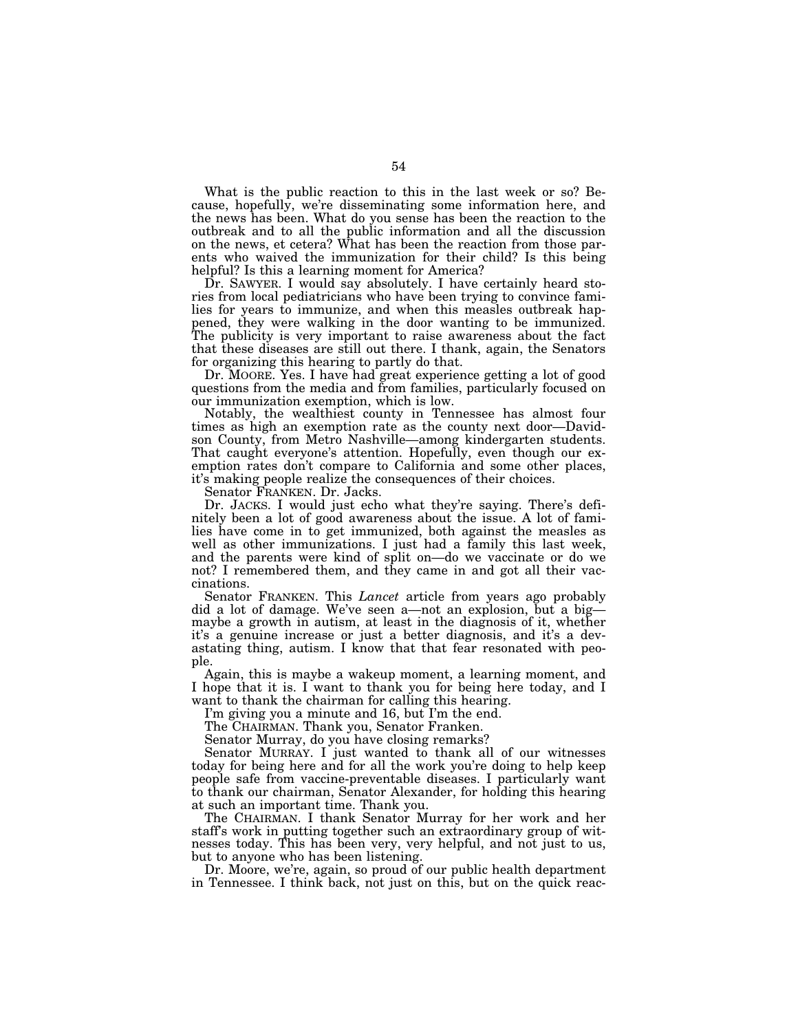What is the public reaction to this in the last week or so? Because, hopefully, we're disseminating some information here, and the news has been. What do you sense has been the reaction to the outbreak and to all the public information and all the discussion on the news, et cetera? What has been the reaction from those parents who waived the immunization for their child? Is this being helpful? Is this a learning moment for America?

Dr. SAWYER. I would say absolutely. I have certainly heard stories from local pediatricians who have been trying to convince families for years to immunize, and when this measles outbreak happened, they were walking in the door wanting to be immunized. The publicity is very important to raise awareness about the fact that these diseases are still out there. I thank, again, the Senators for organizing this hearing to partly do that.

Dr. MOORE. Yes. I have had great experience getting a lot of good questions from the media and from families, particularly focused on our immunization exemption, which is low.

Notably, the wealthiest county in Tennessee has almost four times as high an exemption rate as the county next door—Davidson County, from Metro Nashville—among kindergarten students. That caught everyone's attention. Hopefully, even though our exemption rates don't compare to California and some other places, it's making people realize the consequences of their choices.

Senator FRANKEN. Dr. Jacks.

Dr. JACKS. I would just echo what they're saying. There's definitely been a lot of good awareness about the issue. A lot of families have come in to get immunized, both against the measles as well as other immunizations. I just had a family this last week, and the parents were kind of split on—do we vaccinate or do we not? I remembered them, and they came in and got all their vaccinations.

Senator FRANKEN. This *Lancet* article from years ago probably did a lot of damage. We've seen a—not an explosion, but a big maybe a growth in autism, at least in the diagnosis of it, whether it's a genuine increase or just a better diagnosis, and it's a devastating thing, autism. I know that that fear resonated with people.

Again, this is maybe a wakeup moment, a learning moment, and I hope that it is. I want to thank you for being here today, and I want to thank the chairman for calling this hearing.

I'm giving you a minute and 16, but I'm the end.

The CHAIRMAN. Thank you, Senator Franken.

Senator Murray, do you have closing remarks?

Senator MURRAY. I just wanted to thank all of our witnesses today for being here and for all the work you're doing to help keep people safe from vaccine-preventable diseases. I particularly want to thank our chairman, Senator Alexander, for holding this hearing at such an important time. Thank you.

The CHAIRMAN. I thank Senator Murray for her work and her staff's work in putting together such an extraordinary group of witnesses today. This has been very, very helpful, and not just to us, but to anyone who has been listening.

Dr. Moore, we're, again, so proud of our public health department in Tennessee. I think back, not just on this, but on the quick reac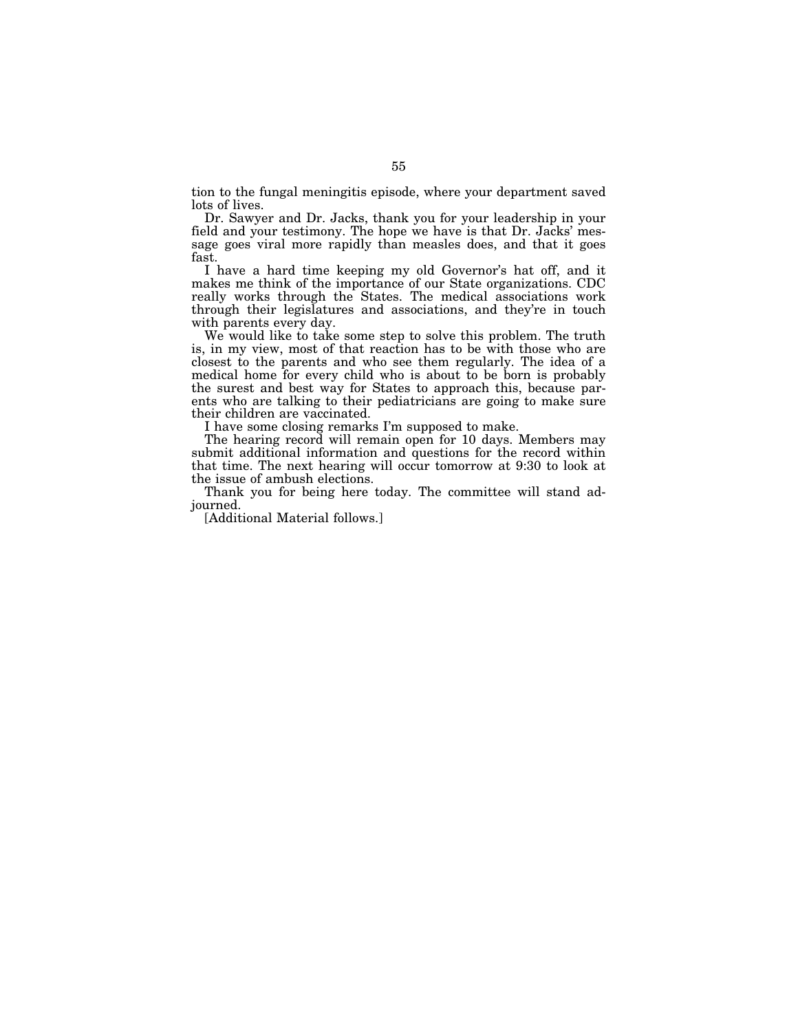tion to the fungal meningitis episode, where your department saved lots of lives.

Dr. Sawyer and Dr. Jacks, thank you for your leadership in your field and your testimony. The hope we have is that Dr. Jacks' message goes viral more rapidly than measles does, and that it goes fast.

I have a hard time keeping my old Governor's hat off, and it makes me think of the importance of our State organizations. CDC really works through the States. The medical associations work through their legislatures and associations, and they're in touch with parents every day.

We would like to take some step to solve this problem. The truth is, in my view, most of that reaction has to be with those who are closest to the parents and who see them regularly. The idea of a medical home for every child who is about to be born is probably the surest and best way for States to approach this, because parents who are talking to their pediatricians are going to make sure their children are vaccinated.

I have some closing remarks I'm supposed to make.

The hearing record will remain open for 10 days. Members may submit additional information and questions for the record within that time. The next hearing will occur tomorrow at 9:30 to look at the issue of ambush elections.

Thank you for being here today. The committee will stand adjourned.

[Additional Material follows.]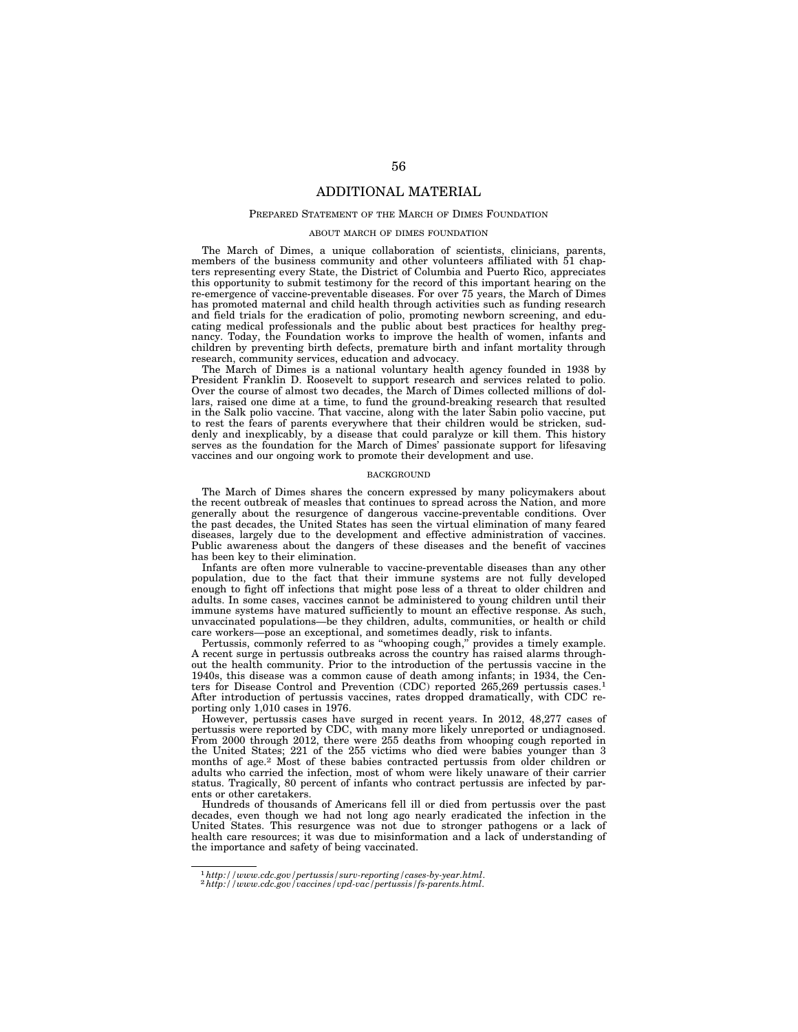# ADDITIONAL MATERIAL

## PREPARED STATEMENT OF THE MARCH OF DIMES FOUNDATION

#### ABOUT MARCH OF DIMES FOUNDATION

The March of Dimes, a unique collaboration of scientists, clinicians, parents, members of the business community and other volunteers affiliated with 51 chapters representing every State, the District of Columbia and Puerto Rico, appreciates this opportunity to submit testimony for the record of this important hearing on the re-emergence of vaccine-preventable diseases. For over 75 years, the March of Dimes has promoted maternal and child health through activities such as funding research and field trials for the eradication of polio, promoting newborn screening, and educating medical professionals and the public about best practices for healthy pregnancy. Today, the Foundation works to improve the health of women, infants and children by preventing birth defects, premature birth and infant mortality through research, community services, education and advocacy.

The March of Dimes is a national voluntary health agency founded in 1938 by President Franklin D. Roosevelt to support research and services related to polio. Over the course of almost two decades, the March of Dimes collected millions of dollars, raised one dime at a time, to fund the ground-breaking research that resulted in the Salk polio vaccine. That vaccine, along with the later Sabin polio vaccine, put to rest the fears of parents everywhere that their children would be stricken, suddenly and inexplicably, by a disease that could paralyze or kill them. This history serves as the foundation for the March of Dimes' passionate support for lifesaving vaccines and our ongoing work to promote their development and use.

#### BACKGROUND

The March of Dimes shares the concern expressed by many policymakers about the recent outbreak of measles that continues to spread across the Nation, and more generally about the resurgence of dangerous vaccine-preventable conditions. Over the past decades, the United States has seen the virtual elimination of many feared diseases, largely due to the development and effective administration of vaccines. Public awareness about the dangers of these diseases and the benefit of vaccines has been key to their elimination.

Infants are often more vulnerable to vaccine-preventable diseases than any other population, due to the fact that their immune systems are not fully developed enough to fight off infections that might pose less of a threat to older children and adults. In some cases, vaccines cannot be administered to young children until their immune systems have matured sufficiently to mount an effective response. As such, unvaccinated populations—be they children, adults, communities, or health or child care workers—pose an exceptional, and sometimes deadly, risk to infants.

Pertussis, commonly referred to as ''whooping cough,'' provides a timely example. A recent surge in pertussis outbreaks across the country has raised alarms throughout the health community. Prior to the introduction of the pertussis vaccine in the 1940s, this disease was a common cause of death among infants; in 1934, the Centers for Disease Control and Prevention (CDC) reported 265,269 pertussis cases.1 After introduction of pertussis vaccines, rates dropped dramatically, with CDC reporting only 1,010 cases in 1976.

However, pertussis cases have surged in recent years. In 2012, 48,277 cases of pertussis were reported by CDC, with many more likely unreported or undiagnosed. From 2000 through 2012, there were 255 deaths from whooping cough reported in the United States; 221 of the 255 victims who died were babies younger than 3 months of age.<sup>2</sup> Most of these babies contracted pertussis from older children or adults who carried the infection, most of whom were likely unaware of their carrier status. Tragically, 80 percent of infants who contract pertussis are infected by parents or other caretakers.

Hundreds of thousands of Americans fell ill or died from pertussis over the past decades, even though we had not long ago nearly eradicated the infection in the United States. This resurgence was not due to stronger pathogens or a lack of health care resources; it was due to misinformation and a lack of understanding of the importance and safety of being vaccinated.

<sup>1</sup>*http://www.cdc.gov/pertussis/surv-reporting/cases-by-year.html*. 2*http://www.cdc.gov/vaccines/vpd-vac/pertussis/fs-parents.html*.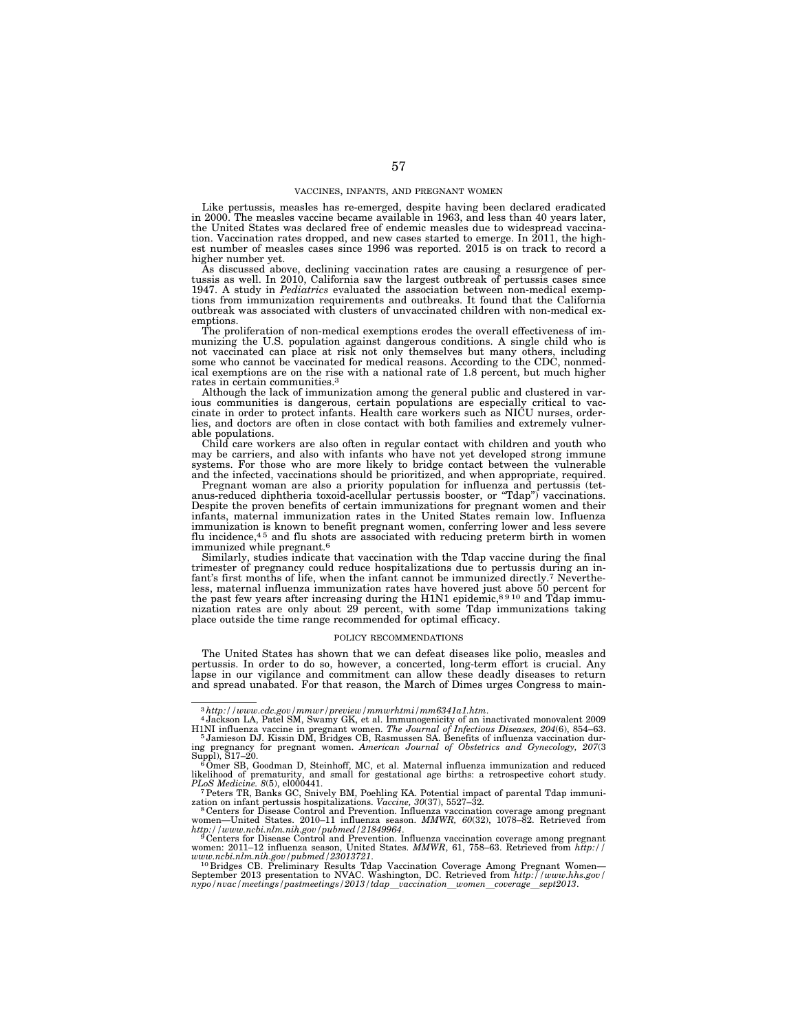## VACCINES, INFANTS, AND PREGNANT WOMEN

Like pertussis, measles has re-emerged, despite having been declared eradicated in 2000. The measles vaccine became available in 1963, and less than 40 years later, the United States was declared free of endemic measles due to widespread vaccination. Vaccination rates dropped, and new cases started to emerge. In 2011, the highest number of measles cases since 1996 was reported. 2015 is on track to record a higher number yet.

As discussed above, declining vaccination rates are causing a resurgence of pertussis as well. In 2010, California saw the largest outbreak of pertussis cases since 1947. A study in *Pediatrics* evaluated the association between non-medical exemptions from immunization requirements and outbreaks. It found that the California outbreak was associated with clusters of unvaccinated children with non-medical exemptions.

The proliferation of non-medical exemptions erodes the overall effectiveness of immunizing the U.S. population against dangerous conditions. A single child who is<br>not vaccinated can place at risk not only themselves but many others, including<br>some who cannot be vaccinated for medical reasons. According ical exemptions are on the rise with a national rate of 1.8 percent, but much higher rates in certain communities.<sup>3</sup>

Although the lack of immunization among the general public and clustered in various communities is dangerous, certain populations are especially critical to vaccinate in order to protect infants. Health care workers such as NICU nurses, orderlies, and doctors are often in close contact with both families and extremely vulnerable populations. Child care workers are also often in regular contact with children and youth who

may be carriers, and also with infants who have not yet developed strong immune systems. For those who are more likely to bridge contact between the vulnerable and the infected, vaccinations should be prioritized, and when appropriate, required.

Pregnant woman are also a priority population for influenza and pertussis (tetanus-reduced diphtheria toxoid-acellular pertussis booster, or ''Tdap'') vaccinations. Despite the proven benefits of certain immunizations for pregnant women and their infants, maternal immunization rates in the United States remain low. Influenza immunization is known to benefit pregnant women, conferring lower and less severe flu incidence,<sup>45</sup> and flu shots are associated with reducing preterm birth in women immunized while pregnant.6

Similarly, studies indicate that vaccination with the Tdap vaccine during the final trimester of pregnancy could reduce hospitalizations due to pertussis during an infant's first months of life, when the infant cannot be immunized directly.7 Nevertheless, maternal influenza immunization rates have hovered just above 50 percent for the past few years after increasing during the H1N1 epidemic,<sup>8910</sup> and Tdap immunization rates are only about 29 percent, with some Tdap immunizations taking place outside the time range recommended for optimal efficacy.

#### POLICY RECOMMENDATIONS

The United States has shown that we can defeat diseases like polio, measles and pertussis. In order to do so, however, a concerted, long-term effort is crucial. Any lapse in our vigilance and commitment can allow these deadly diseases to return and spread unabated. For that reason, the March of Dimes urges Congress to main-

<sup>3</sup>*http://www.cdc.gov/mmwr/preview/mmwrhtmi/mm6341a1.htm*. 4 Jackson LA, Patel SM, Swamy GK, et al. Immunogenicity of an inactivated monovalent 2009

H1NI influenza vaccine in pregnant women. *The Journal of Infectious Diseases, 204*(6), 854–63. 5 Jamieson DJ. Kissin DM, Bridges CB, Rasmussen SA. Benefits of influenza vaccination dur-<sup>5</sup> Jamieson DJ. Kissin DM, Bridges CB, Rasmussen SA. Benefits of influenza vaccination during pregnancy for pregnant women. *American Journal of Obstetrics and Gynecology, 207(3* Suppl), S17–20

Suppl), S17–20.<br><sup>6</sup> Omer SB, Goodman D, Steinhoff, MC, et al. Maternal influenza immunization and reduced<br>likelihood of prematurity, and small for gestational age births: a retrospective cohort study.

*PLoS Medicine. 8*(5), el000441. 7Peters TR, Banks GC, Snively BM, Poehling KA. Potential impact of parental Tdap immuni-

zation on infant pertussis hospitalizations. *Vaccine, 30*(37), 5527–32.<br><sup>8</sup> Centers for Disease Control and Prevention. Influenza vaccination coverage among pregnant women—United States. 2010–11 influenza season. MMWR, 60(32), 1078–82. Retrieved from<br>http://www.ncbi.nlm.nih.gov/pubmed/21849964.<br>Scenters for Disease Control and Prevention. Influenza vaccination coverage among pregnant

women: 2011–12 influenza season, United States. *MMWR*, 61, 758–63. Retrieved from *http://*<br>www.ncbi.nlm.nih.gov/pubmed/23013721.<br><sup>10</sup>Bridges CB. Preliminary Results Tdap Vaccination Coverage Among Pregnant Women—<br>Septemb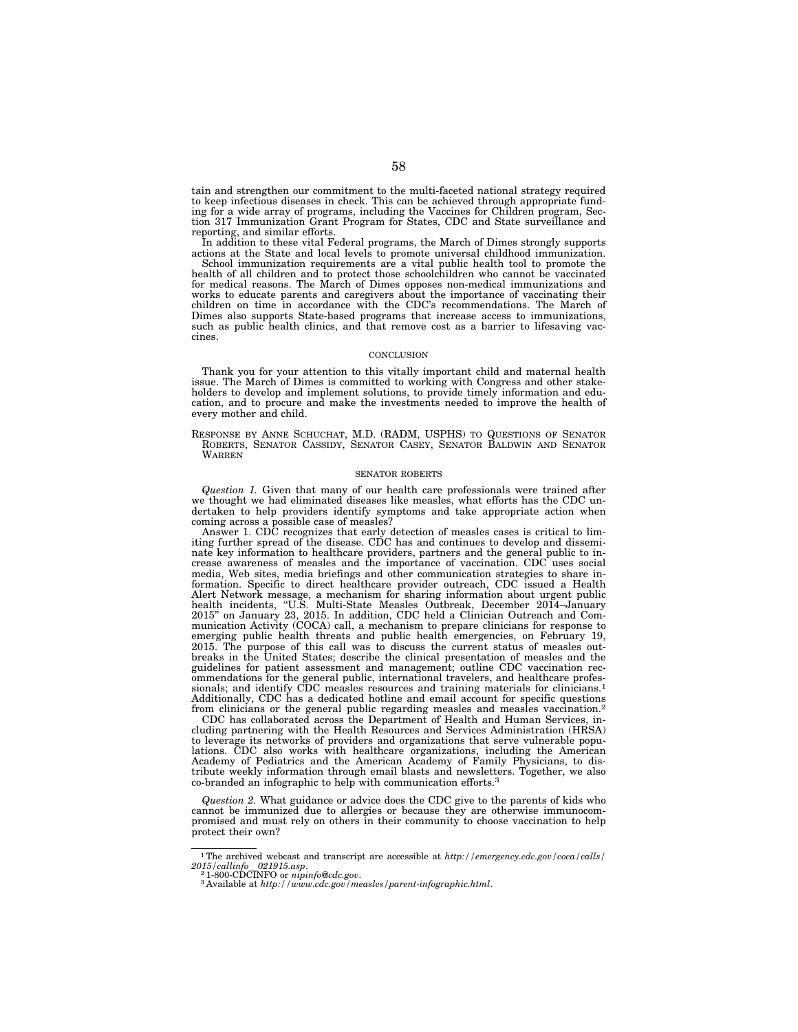tain and strengthen our commitment to the multi-faceted national strategy required to keep infectious diseases in check. This can be achieved through appropriate funding for a wide array of programs, including the Vaccines for Children program, Section 317 Immunization Grant Program for States, CDC and State surveillance and reporting, and similar efforts.

In addition to these vital Federal programs, the March of Dimes strongly supports actions at the State and local levels to promote universal childhood immunization.

School immunization requirements are a vital public health tool to promote the health of all children and to protect those schoolchildren who cannot be vaccinated for medical reasons. The March of Dimes opposes non-medical immunizations and works to educate parents and caregivers about the importance of vaccinating their children on time in accordance with the CDC's recommendations. The March of Dimes also supports State-based programs that increase access to immunizations, such as public health clinics, and that remove cost as a barrier to lifesaving vaccines.

## **CONCLUSION**

Thank you for your attention to this vitally important child and maternal health issue. The March of Dimes is committed to working with Congress and other stakeholders to develop and implement solutions, to provide timely information and education, and to procure and make the investments needed to improve the health of every mother and child.

RESPONSE BY ANNE SCHUCHAT, M.D. (RADM, USPHS) TO QUESTIONS OF SENATOR ROBERTS, SENATOR CASSIDY, SENATOR CASEY, SENATOR BALDWIN AND SENATOR WARREN

#### SENATOR ROBERTS

*Question 1.* Given that many of our health care professionals were trained after we thought we had eliminated diseases like measles, what efforts has the CDC undertaken to help providers identify symptoms and take appropriate action when coming across a possible case of measles?

Answer 1. CDC recognizes that early detection of measles cases is critical to limiting further spread of the disease. CDC has and continues to develop and disseminate key information to healthcare providers, partners and the general public to increase awareness of measles and the importance of vaccination. CDC uses social media, Web sites, media briefings and other communication strategies to share information. Specific to direct healthcare provider outreach, CDC issued a Health Alert Network message, a mechanism for sharing information about urgent public health incidents, ''U.S. Multi-State Measles Outbreak, December 2014–January 2015'' on January 23, 2015. In addition, CDC held a Clinician Outreach and Communication Activity (COCA) call, a mechanism to prepare clinicians for response to emerging public health threats and public health emergencies, on February 19, 2015. The purpose of this call was to discuss the current status of measles outbreaks in the United States; describe the clinical presentation of measles and the guidelines for patient assessment and management; outline CDC vaccination recommendations for the general public, international travelers, and healthcare professionals; and identify CDC measles resources and training materials for clinicians.<sup>1</sup> Additionally, CDC has a dedicated hotline and email account for specific questions

from clinicians or the general public regarding measles and measles vaccination.<sup>2</sup> CDC has collaborated across the Department of Health and Human Services, including partnering with the Health Resources and Services Administration (HRSA) to leverage its networks of providers and organizations that serve vulnerable populations. CDC also works with healthcare organizations, including the American Academy of Pediatrics and the American Academy of Family Physicians, to distribute weekly information through email blasts and newsletters. Together, we also co-branded an infographic to help with communication efforts.3

*Question 2.* What guidance or advice does the CDC give to the parents of kids who cannot be immunized due to allergies or because they are otherwise immunocompromised and must rely on others in their community to choose vaccination to help protect their own?

<sup>1</sup>The archived webcast and transcript are accessible at *http://emergency.cdc.gov/coca/calls/* 

*<sup>2015/</sup>callinfo*l*021915.asp*. 2 1-800-CDCINFO or *nipinfo@cdc.gov*. 3 Available at *http://www.cdc.gov/measles/parent-infographic.html*.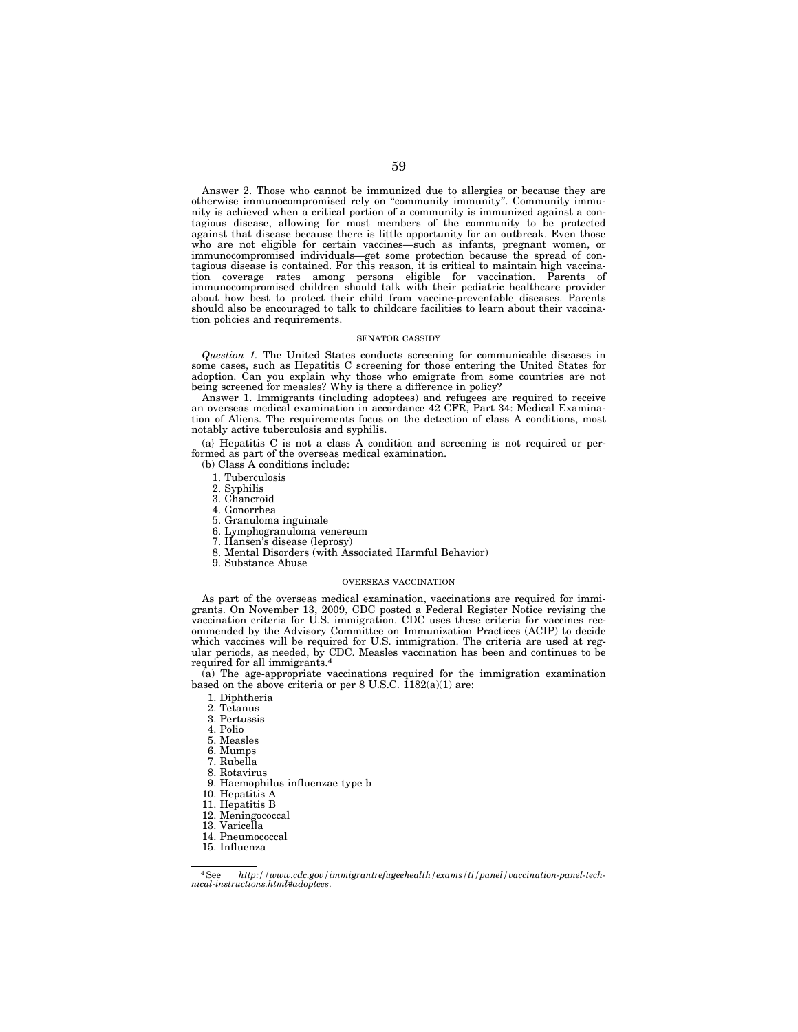Answer 2. Those who cannot be immunized due to allergies or because they are otherwise immunocompromised rely on ''community immunity''. Community immunity is achieved when a critical portion of a community is immunized against a contagious disease, allowing for most members of the community to be protected against that disease because there is little opportunity for an outbreak. Even those who are not eligible for certain vaccines—such as infants, pregnant women, or immunocompromised individuals—get some protection because the spread of contagious disease is contained. For this reason, it is critical to maintain high vaccination coverage rates among persons eligible for vaccination. Parents of immunocompromised children should talk with their pediatric healthcare provider about how best to protect their child from vaccine-preventable diseases. Parents should also be encouraged to talk to childcare facilities to learn about their vaccination policies and requirements.

## SENATOR CASSIDY

*Question 1.* The United States conducts screening for communicable diseases in some cases, such as Hepatitis C screening for those entering the United States for adoption. Can you explain why those who emigrate from some countries are not being screened for measles? Why is there a difference in policy?

Answer 1. Immigrants (including adoptees) and refugees are required to receive an overseas medical examination in accordance 42 CFR, Part 34: Medical Examination of Aliens. The requirements focus on the detection of class A conditions, most notably active tuberculosis and syphilis.

(a} Hepatitis C is not a class A condition and screening is not required or performed as part of the overseas medical examination.

(b) Class A conditions include:

- 1. Tuberculosis
- 2. Syphilis
- 3. Chancroid
- 4. Gonorrhea
- 5. Granuloma inguinale
- 6. Lymphogranuloma venereum
- 7. Hansen's disease (leprosy)
- 8. Mental Disorders (with Associated Harmful Behavior)
- 9. Substance Abuse

# OVERSEAS VACCINATION

As part of the overseas medical examination, vaccinations are required for immigrants. On November 13, 2009, CDC posted a Federal Register Notice revising the vaccination criteria for U.S. immigration. CDC uses these criteria for vaccines recommended by the Advisory Committee on Immunization Practices (ACIP) to decide which vaccines will be required for U.S. immigration. The criteria are used at regular periods, as needed, by CDC. Measles vaccination has been and continues to be required for all immigrants.4

(a) The age-appropriate vaccinations required for the immigration examination based on the above criteria or per 8 U.S.C.  $1182(a)(1)$  are:

- 1. Diphtheria
- 2. Tetanus
- 3. Pertussis
- 4. Polio
- 5. Measles
- 6. Mumps
- 7. Rubella
- 8. Rotavirus
- 9. Haemophilus influenzae type b
- 10. Hepatitis A
- 11. Hepatitis B
- 12. Meningococcal
- 13. Varicella
- 14. Pneumococcal
- 
- 15. Influenza

<sup>4</sup>See *http://www.cdc.gov/immigrantrefugeehealth/exams/ti/panel/vaccination-panel-tech-nical-instructions.html#adoptees*.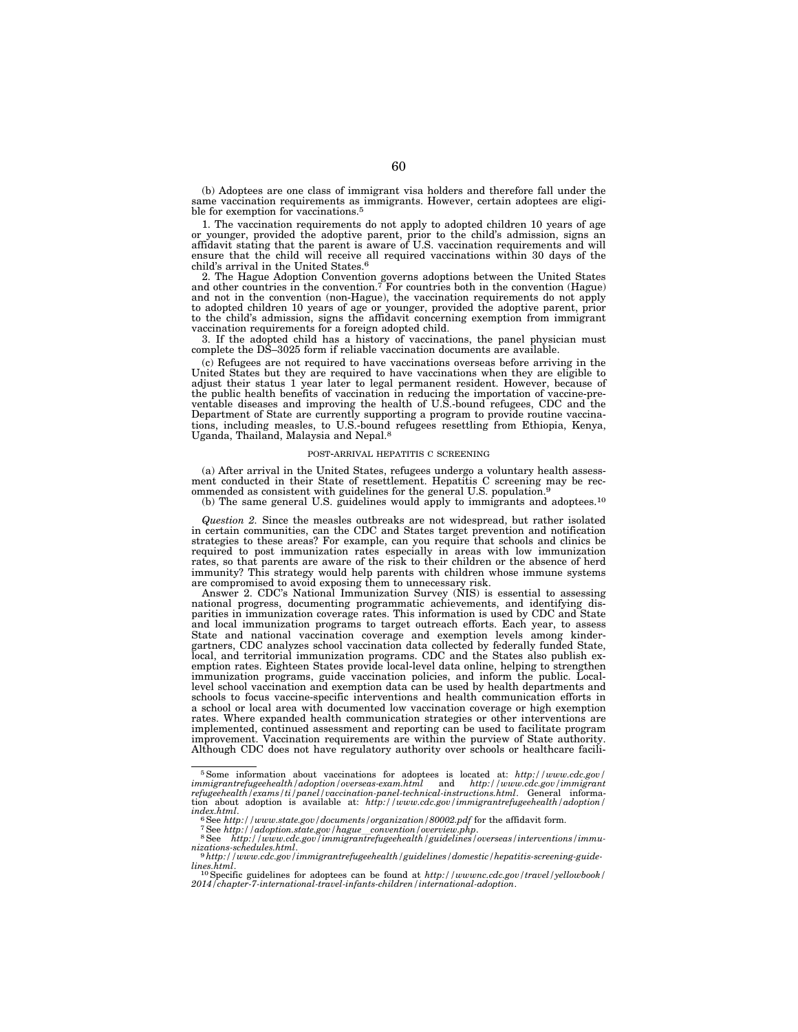(b) Adoptees are one class of immigrant visa holders and therefore fall under the same vaccination requirements as immigrants. However, certain adoptees are eligible for exemption for vaccinations.<sup>5</sup>

1. The vaccination requirements do not apply to adopted children 10 years of age or younger, provided the adoptive parent, prior to the child's admission, signs an affidavit stating that the parent is aware of U.S. vaccination requirements and will ensure that the child will receive all required vaccinations within 30 days of the child's arrival in the United States.6

2. The Hague Adoption Convention governs adoptions between the United States and other countries in the convention.7 For countries both in the convention (Hague) and not in the convention (non-Hague), the vaccination requirements do not apply to adopted children 10 years of age or younger, provided the adoptive parent, prior to the child's admission, signs the affidavit concerning exemption from immigrant vaccination requirements for a foreign adopted child.

3. If the adopted child has a history of vaccinations, the panel physician must complete the DS–3025 form if reliable vaccination documents are available.

(c) Refugees are not required to have vaccinations overseas before arriving in the United States but they are required to have vaccinations when they are eligible to adjust their status 1 year later to legal permanent resident. However, because of the public health benefits of vaccination in reducing the importation of vaccine-preventable diseases and improving the health of U.S.-bound refugees, CDC and the Department of State are currently supporting a program to provide routine vaccinations, including measles, to U.S.-bound refugees resettling from Ethiopia, Kenya, Uganda, Thailand, Malaysia and Nepal.8

## POST-ARRIVAL HEPATITIS C SCREENING

(a) After arrival in the United States, refugees undergo a voluntary health assessment conducted in their State of resettlement. Hepatitis C screening may be recommended as consistent with guidelines for the general U.S. population.<sup>9</sup>

(b) The same general U.S. guidelines would apply to immigrants and adoptees.10

*Question 2.* Since the measles outbreaks are not widespread, but rather isolated in certain communities, can the CDC and States target prevention and notification strategies to these areas? For example, can you require that schools and clinics be required to post immunization rates especially in areas with low immunization rates, so that parents are aware of the risk to their children or the absence of herd immunity? This strategy would help parents with children whose immune systems are compromised to avoid exposing them to unnecessary risk.

Answer 2. CDC's National Immunization Survey (NIS) is essential to assessing national progress, documenting programmatic achievements, and identifying disparities in immunization coverage rates. This information is used by CDC and State and local immunization programs to target outreach efforts. Each year, to assess State and national vaccination coverage and exemption levels among kindergartners, CDC analyzes school vaccination data collected by federally funded State, local, and territorial immunization programs. CDC and the States also publish exemption rates. Eighteen States provide local-level data online, helping to strengthen immunization programs, guide vaccination policies, and inform the public. Locallevel school vaccination and exemption data can be used by health departments and schools to focus vaccine-specific interventions and health communication efforts in a school or local area with documented low vaccination coverage or high exemption rates. Where expanded health communication strategies or other interventions are implemented, continued assessment and reporting can be used to facilitate program improvement. Vaccination requirements are within the purview of State authority. Although CDC does not have regulatory authority over schools or healthcare facili-

<sup>5</sup>Some information about vaccinations for adoptees is located at: *http://www.cdc.gov/ immigrantrefugeehealth/adoption/overseas-exam.html* and *http://www.cdc.gov/immigrant refugeehealth/exams/ti/panel/vaccination-panel-technical-instructions.html*. General informa-tion about adoption is available at: *http://www.cdc.gov/immigrantrefugeehealth/adoption/* 

 $\label{thm:main} \begin{array}{l} index.html.\\ \ ^6\text{See} \ http://www.state.gov/documents/organization/80002.pdf \ \text{for the \textit{affidavit form}}.\\ \ ^7\text{See} \ http://adoption.state.gov/hague\_convention/overview.php.\\ \ ^8\text{See} \http://www.cdc.gov/language\_convention/overview.php.\\ \end{array}$ 

*nizations-schedules.html*. 9*http://www.cdc.gov/immigrantrefugeehealth/guidelines/domestic/hepatitis-screening-guide-*

lines.html.<br><sup>10</sup>Specific guidelines for adoptees can be found at *http://wwwnc.cdc.gov/travel/yellowbook/*<br>2014/chapter-7-international-travel-infants-children/international-adoption.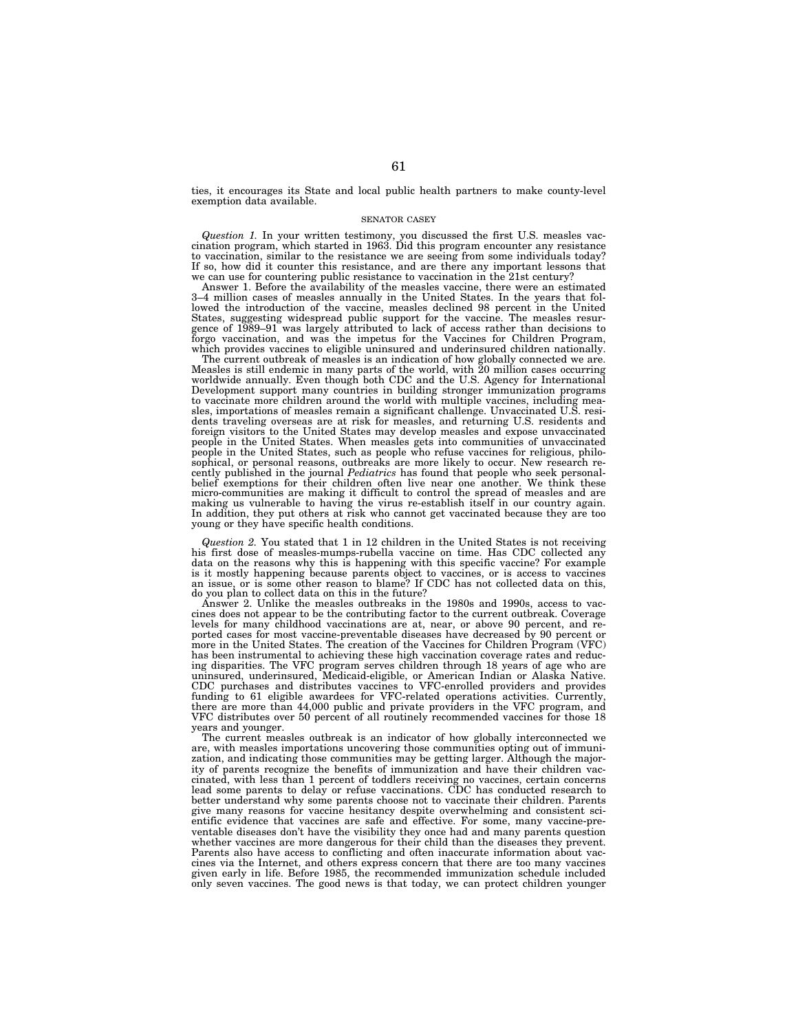ties, it encourages its State and local public health partners to make county-level exemption data available.

## SENATOR CASEY

*Question 1.* In your written testimony, you discussed the first U.S. measles vaccination program, which started in 1963. Did this program encounter any resistance to vaccination, similar to the resistance we are seeing from some individuals today? If so, how did it counter this resistance, and are there any important lessons that we can use for countering public resistance to vaccination in the 21st century?

Answer 1. Before the availability of the measles vaccine, there were an estimated 3–4 million cases of measles annually in the United States. In the years that followed the introduction of the vaccine, measles declined 98 percent in the United States, suggesting widespread public support for the vaccine. The measles resurgence of 1989–91 was largely attributed to lack of access rather than decisions to forgo vaccination, and was the impetus for the Vaccines for Children Program, which provides vaccines to eligible uninsured and underinsured children nationally.

The current outbreak of measles is an indication of how globally connected we are.<br>Measles is still endemic in many parts of the world, with 20 million cases occurring<br>worldwide annually. Even though both CDC and the U.S. Development support many countries in building stronger immunization programs to vaccinate more children around the world with multiple vaccines, including mea-sles, importations of measles remain a significant challenge. Unvaccinated U.S. residents traveling overseas are at risk for measles, and returning U.S. residents and foreign visitors to the United States may develop measles and expose unvaccinated people in the United States. When measles gets into communities of unvaccinated people in the United States, such as people who refuse vaccines for religious, philosophical, or personal reasons, outbreaks are more likely to occur. New research re-cently published in the journal *Pediatrics* has found that people who seek personalbelief exemptions for their children often live near one another. We think these micro-communities are making it difficult to control the spread of measles and are making us vulnerable to having the virus re-establish itself in our country again. In addition, they put others at risk who cannot get vaccinated because they are too young or they have specific health conditions.

*Question 2.* You stated that 1 in 12 children in the United States is not receiving his first dose of measles-mumps-rubella vaccine on time. Has CDC collected any data on the reasons why this is happening with this specific vaccine? For example is it mostly happening because parents object to vaccines, or is access to vaccines an issue, or is some other reason to blame? If CDC has not collected data on this, do you plan to collect data on this in the future?

Answer 2. Unlike the measles outbreaks in the 1980s and 1990s, access to vaccines does not appear to be the contributing factor to the current outbreak. Coverage levels for many childhood vaccinations are at, near, or above 90 percent, and reported cases for most vaccine-preventable diseases have decreased by 90 percent or more in the United States. The creation of the Vaccines for Children Program (VFC) has been instrumental to achieving these high vaccination coverage rates and reducing disparities. The VFC program serves children through 18 years of age who are uninsured, underinsured, Medicaid-eligible, or American Indian or Alaska Native.<br>CDC purchases and distributes vaccines to VFC-enrolled providers and provides<br>funding to 61 eligible awardees for VFC-related operations acti there are more than 44,000 public and private providers in the VFC program, and VFC distributes over 50 percent of all routinely recommended vaccines for those 18 years and younger.

The current measles outbreak is an indicator of how globally interconnected we are, with measles importations uncovering those communities opting out of immunization, and indicating those communities may be getting larger. Although the majority of parents recognize the benefits of immunization and have their children vaccinated, with less than 1 percent of toddlers receiving no vaccines, certain concerns lead some parents to delay or refuse vaccinations. CDC has conducted research to better understand why some parents choose not to vaccinate their children. Parents give many reasons for vaccine hesitancy despite overwhelming and consistent scientific evidence that vaccines are safe and effective. For some, many vaccine-preventable diseases don't have the visibility they once had and many parents question whether vaccines are more dangerous for their child than the diseases they prevent. Parents also have access to conflicting and often inaccurate information about vaccines via the Internet, and others express concern that there are too many vaccines given early in life. Before 1985, the recommended immunization schedule included only seven vaccines. The good news is that today, we can protect children younger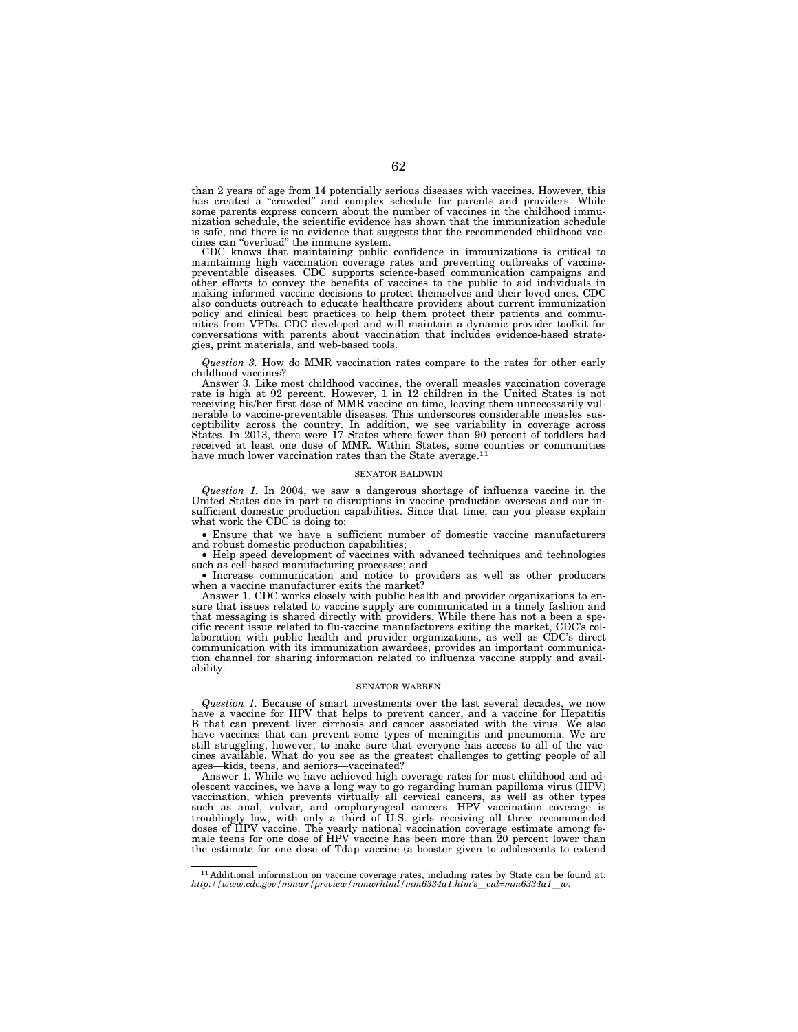than 2 years of age from 14 potentially serious diseases with vaccines. However, this has created a "crowded" and complex schedule for parents and providers. While some parents express concern about the number of vaccines in the childhood immunization schedule, the scientific evidence has shown that the immunization schedule is safe, and there is no evidence that suggests that the recommended childhood vac-cines can ''overload'' the immune system.

CDC knows that maintaining public confidence in immunizations is critical to maintaining high vaccination coverage rates and preventing outbreaks of vaccinepreventable diseases. CDC supports science-based communication campaigns and other efforts to convey the benefits of vaccines to the public to aid individuals in making informed vaccine decisions to protect themselves and their loved ones. CDC also conducts outreach to educate healthcare providers about current immunization policy and clinical best practices to help them protect their patients and communities from VPDs. CDC developed and will maintain a dynamic provider toolkit for<br>conversations with parents about vaccination that includes ev gies, print materials, and web-based tools.

*Question 3.* How do MMR vaccination rates compare to the rates for other early childhood vaccines?

Answer 3. Like most childhood vaccines, the overall measles vaccination coverage rate is high at 92 percent. However, 1 in 12 children in the United States is not receiving his/her first dose of MMR vaccine on time, leaving them unnecessarily vulnerable to vaccine-preventable diseases. This underscores considerable measles susceptibility across the country. In addition, we see variability in coverage across<br>States. In 2013, there were 17 States where fewer than 90 percent of toddlers had<br>received at least one dose of MMR. Within States, some co have much lower vaccination rates than the State average.<sup>11</sup>

#### SENATOR BALDWIN

*Question 1.* In 2004, we saw a dangerous shortage of influenza vaccine in the United States due in part to disruptions in vaccine production overseas and our insufficient domestic production capabilities. Since that time, can you please explain what work the CDC is doing to:

• Ensure that we have a sufficient number of domestic vaccine manufacturers

• Help speed development of vaccines with advanced techniques and technologies such as cell-based manufacturing processes; and  $\cdot$ 

 $\bullet$  Increase communication and notice to providers as well as other producers when a vaccine manufacturer exits the market?

Answer 1. CDC works closely with public health and provider organizations to ensure that issues related to vaccine supply are communicated in a timely fashion and that messaging is shared directly with providers. While there has not a been a specific recent issue related to flu-vaccine manufacturers exiting the market, CDC's collaboration with public health and provider organizations, as well as CDC's direct communication with its immunization awardees, provides an important communication channel for sharing information related to influenza vaccine supply and availability.

#### SENATOR WARREN

*Question 1.* Because of smart investments over the last several decades, we now have a vaccine for HPV that helps to prevent cancer, and a vaccine for Hepatitis B that can prevent liver cirrhosis and cancer associated with the virus. We also have vaccines that can prevent some types of meningitis and pneumonia. We are still struggling, however, to make sure that everyone has access to all of the vaccines available. What do you see as the greatest challenges to getting people of all ages—kids, teens, and seniors—vaccinated?

Answer 1. While we have achieved high coverage rates for most childhood and adolescent vaccines, we have a long way to go regarding human papilloma virus (HPV) vaccination, which prevents virtually all cervical cancers, as well as other types such as anal, vulvar, and oropharyngeal cancers. HPV vaccination coverage is troublingly low, with only a third of U.S. girls receiving all three recommended doses of HPV vaccine. The yearly national vaccination coverage estimate among female teens for one dose of HPV vaccine has been more than 20 percent lower than the estimate for one dose of Tdap vaccine (a booster given to adolescents to extend

<sup>&</sup>lt;sup>11</sup> Additional information on vaccine coverage rates, including rates by State can be found at:<br>*http://www.cdc.gov/mmwr/preview/mmwrhtml/mm6334a1.htm's\_cid=mm6334a1\_w*.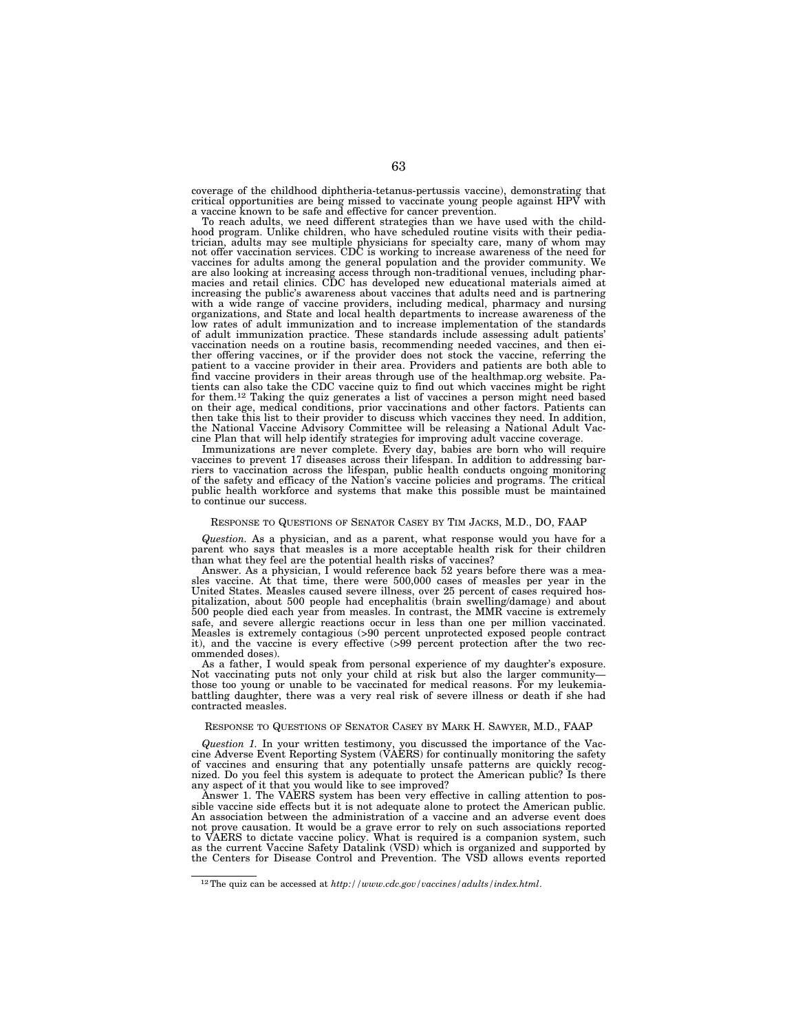coverage of the childhood diphtheria-tetanus-pertussis vaccine), demonstrating that critical opportunities are being missed to vaccinate young people against HPV with a vaccine known to be safe and effective for cancer prevention.

To reach adults, we need different strategies than we have used with the childhood program. Unlike children, who have scheduled routine visits with their pediatrician, adults may see multiple physicians for specialty care, many of whom may not offer vaccination services. CDC is working to increase awareness of the need for vaccines for adults among the general population and the provider community. We are also looking at increasing access through non-traditional venues, including pharmacies and retail clinics. CDC has developed new education increasing the public's awareness about vaccines that adults need and is partnering with a wide range of vaccine providers, including medical, pharmacy and nursing organizations, and State and local health departments to increase awareness of the low rates of adult immunization and to increase implementation of the standards of adult immunization practice. These standards include assessing adult patients' vaccination needs on a routine basis, recommending needed vaccines, and then either offering vaccines, or if the provider does not stock the vaccine, referring the patient to a vaccine provider in their area. Providers and patients are both able to find vaccine providers in their areas through use of the healthmap.org website. Patients can also take the CDC vaccine quiz to find out which vaccines might be right for them.12 Taking the quiz generates a list of vaccines a person might need based on their age, medical conditions, prior vaccinations and other factors. Patients can then take this list to their provider to discuss which vaccines they need. In addition, the National Vaccine Advisory Committee will be releasing a National Adult Vaccine Plan that will help identify strategies for improving adult vaccine coverage.

Immunizations are never complete. Every day, babies are born who will require vaccines to prevent 17 diseases across their lifespan. In addition to addressing barriers to vaccination across the lifespan, public health conducts ongoing monitoring of the safety and efficacy of the Nation's vaccine policies and programs. The critical public health workforce and systems that make this possible must be maintained to continue our success.

## RESPONSE TO QUESTIONS OF SENATOR CASEY BY TIM JACKS, M.D., DO, FAAP

*Question.* As a physician, and as a parent, what response would you have for a parent who says that measles is a more acceptable health risk for their children than what they feel are the potential health risks of vaccines?

Answer. As a physician, I would reference back 52 years before there was a measles vaccine. At that time, there were 500,000 cases of measles per year in the United States. Measles caused severe illness, over 25 percent of cases required hospitalization, about 500 people had encephalitis (brain swelling/damage) and about 500 people died each year from measles. In contrast, the MMR vaccine is extremely safe, and severe allergic reactions occur in less than one per million vaccinated. Measles is extremely contagious (>90 percent unprotected exposed people contract it), and the vaccine is every effective (>99 percent protection after the two recommended doses).

As a father, I would speak from personal experience of my daughter's exposure. Not vaccinating puts not only your child at risk but also the larger community those too young or unable to be vaccinated for medical reasons. For my leukemiabattling daughter, there was a very real risk of severe illness or death if she had contracted measles.

## RESPONSE TO QUESTIONS OF SENATOR CASEY BY MARK H. SAWYER, M.D., FAAP

*Question 1.* In your written testimony, you discussed the importance of the Vaccine Adverse Event Reporting System (VAERS) for continually monitoring the safety of vaccines and ensuring that any potentially unsafe patterns are quickly recognized. Do you feel this system is adequate to protect the American public? Is there any aspect of it that you would like to see improved?

Answer 1. The VAERS system has been very effective in calling attention to possible vaccine side effects but it is not adequate alone to protect the American public. An association between the administration of a vaccine and an adverse event does not prove causation. It would be a grave error to rely on such associations reported to VAERS to dictate vaccine policy. What is required is a companion system, such as the current Vaccine Safety Datalink (VSD) which is organized and supported by the Centers for Disease Control and Prevention. The VSD allows events reported

<sup>12</sup>The quiz can be accessed at *http://www.cdc.gov/vaccines/adults/index.html*.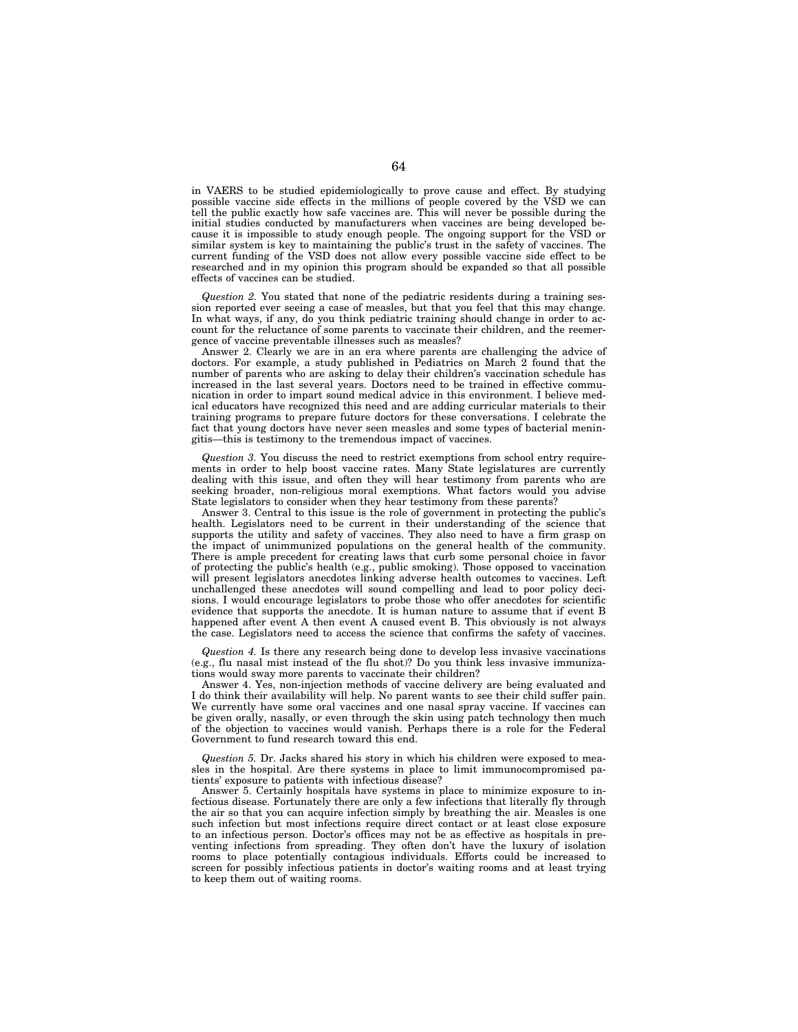in VAERS to be studied epidemiologically to prove cause and effect. By studying possible vaccine side effects in the millions of people covered by the VSD we can tell the public exactly how safe vaccines are. This will never be possible during the initial studies conducted by manufacturers when vaccines are being developed because it is impossible to study enough people. The ongoing support for the VSD or similar system is key to maintaining the public's trust in the safety of vaccines. The current funding of the VSD does not allow every possible vaccine side effect to be researched and in my opinion this program should be expanded so that all possible effects of vaccines can be studied.

*Question 2.* You stated that none of the pediatric residents during a training session reported ever seeing a case of measles, but that you feel that this may change. In what ways, if any, do you think pediatric training should change in order to account for the reluctance of some parents to vaccinate their children, and the reemergence of vaccine preventable illnesses such as measles?

Answer 2. Clearly we are in an era where parents are challenging the advice of doctors. For example, a study published in Pediatrics on March 2 found that the number of parents who are asking to delay their children's vaccination schedule has increased in the last several years. Doctors need to be trained in effective communication in order to impart sound medical advice in this environment. I believe medical educators have recognized this need and are adding curricular materials to their training programs to prepare future doctors for these conversations. I celebrate the fact that young doctors have never seen measles and some types of bacterial meningitis—this is testimony to the tremendous impact of vaccines.

*Question 3.* You discuss the need to restrict exemptions from school entry requirements in order to help boost vaccine rates. Many State legislatures are currently dealing with this issue, and often they will hear testimony from parents who are seeking broader, non-religious moral exemptions. What factors would you advise State legislators to consider when they hear testimony from these parents?

Answer 3. Central to this issue is the role of government in protecting the public's health. Legislators need to be current in their understanding of the science that supports the utility and safety of vaccines. They also need to have a firm grasp on the impact of unimmunized populations on the general health of the community. There is ample precedent for creating laws that curb some personal choice in favor of protecting the public's health (e.g., public smoking). Those opposed to vaccination will present legislators anecdotes linking adverse health outcomes to vaccines. Left unchallenged these anecdotes will sound compelling and lead to poor policy decisions. I would encourage legislators to probe those who offer anecdotes for scientific evidence that supports the anecdote. It is human nature to assume that if event B happened after event A then event A caused event B. This obviously is not always the case. Legislators need to access the science that confirms the safety of vaccines.

*Question 4.* Is there any research being done to develop less invasive vaccinations (e.g., flu nasal mist instead of the flu shot)? Do you think less invasive immunizations would sway more parents to vaccinate their children?

Answer 4. Yes, non-injection methods of vaccine delivery are being evaluated and I do think their availability will help. No parent wants to see their child suffer pain. We currently have some oral vaccines and one nasal spray vaccine. If vaccines can be given orally, nasally, or even through the skin using patch technology then much of the objection to vaccines would vanish. Perhaps there is a role for the Federal Government to fund research toward this end.

*Question 5.* Dr. Jacks shared his story in which his children were exposed to measles in the hospital. Are there systems in place to limit immunocompromised patients' exposure to patients with infectious disease?

Answer 5. Certainly hospitals have systems in place to minimize exposure to infectious disease. Fortunately there are only a few infections that literally fly through the air so that you can acquire infection simply by breathing the air. Measles is one such infection but most infections require direct contact or at least close exposure to an infectious person. Doctor's offices may not be as effective as hospitals in preventing infections from spreading. They often don't have the luxury of isolation rooms to place potentially contagious individuals. Efforts could be increased to screen for possibly infectious patients in doctor's waiting rooms and at least trying to keep them out of waiting rooms.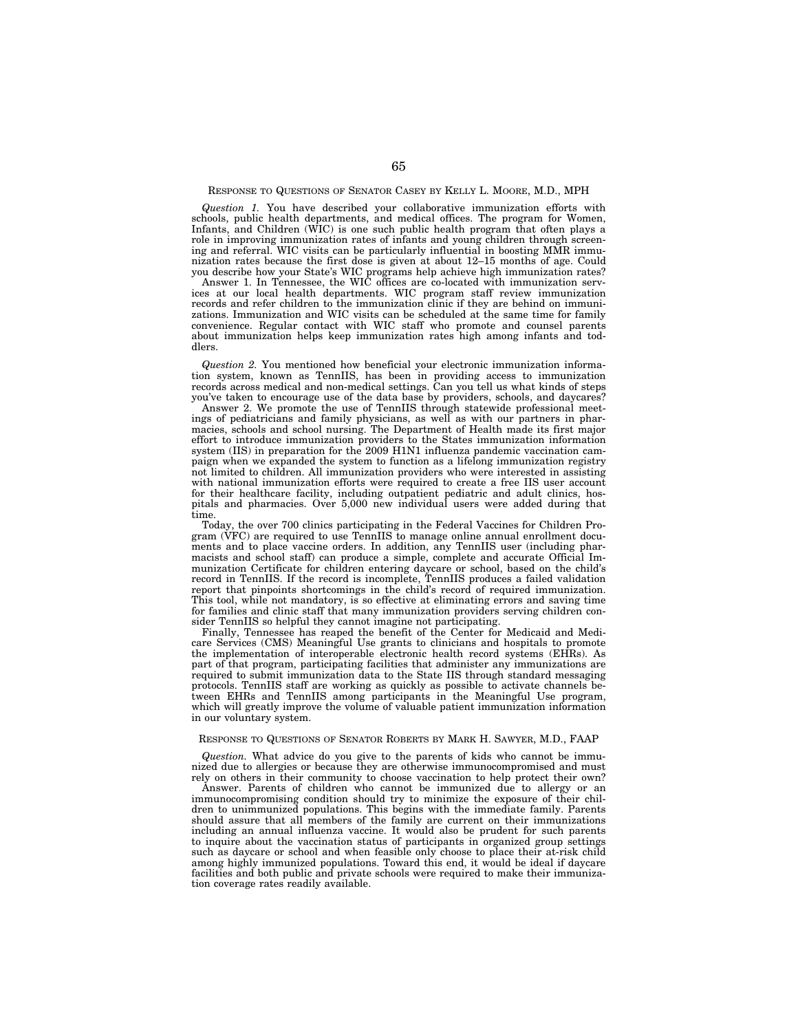## RESPONSE TO QUESTIONS OF SENATOR CASEY BY KELLY L. MOORE, M.D., MPH

*Question 1.* You have described your collaborative immunization efforts with schools, public health departments, and medical offices. The program for Women, Infants, and Children (WIC) is one such public health program that often plays a role in improving immunization rates of infants and young children through screening and referral. WIC visits can be particularly influential in boosting MMR immunization rates because the first dose is given at about 12–15 months of age. Could you describe how your State's WIC programs help achieve high immunization rates?

Answer 1. In Tennessee, the WIC offices are co-located with immunization services at our local health departments. WIC program staff review immunization records and refer children to the immunization clinic if they are behind on immunizations. Immunization and WIC visits can be scheduled at the same time for family convenience. Regular contact with WIC staff who promote and counsel parents about immunization helps keep immunization rates high among infants and toddlers.

*Question 2.* You mentioned how beneficial your electronic immunization information system, known as TennIIS, has been in providing access to immunization records across medical and non-medical settings. Can you tell us what kinds of steps you've taken to encourage use of the data base by providers, schools, and daycares?

Answer 2. We promote the use of TennIIS through statewide professional meetings of pediatricians and family physicians, as well as with our partners in pharmacies, schools and school nursing. The Department of Health made its first major effort to introduce immunization providers to the States immunization information system (IIS) in preparation for the 2009 H1N1 influenza pandemic vaccination campaign when we expanded the system to function as a lifelong immunization registry not limited to children. All immunization providers who were interested in assisting with national immunization efforts were required to create a free IIS user account for their healthcare facility, including outpatient pediatric and adult clinics, hospitals and pharmacies. Over 5,000 new individual users were added during that time.

Today, the over 700 clinics participating in the Federal Vaccines for Children Program  $(\check{VFC})$  are required to use TennIIS to manage online annual enrollment documents and to place vaccine orders. In addition, any TennIIS user (including pharmacists and school staff) can produce a simple, complete and accurate Official Immunization Certificate for children entering daycare or school, based on the child's record in TennIIS. If the record is incomplete, TennIIS produces a failed validation report that pinpoints shortcomings in the child's record of required immunization. This tool, while not mandatory, is so effective at eliminating errors and saving time for families and clinic staff that many immunization providers serving children consider TennIIS so helpful they cannot imagine not participating.

Finally, Tennessee has reaped the benefit of the Center for Medicaid and Medicare Services (CMS) Meaningful Use grants to clinicians and hospitals to promote the implementation of interoperable electronic health record systems (EHRs). As part of that program, participating facilities that administer any immunizations are required to submit immunization data to the State IIS through standard messaging protocols. TennIIS staff are working as quickly as possible to activate channels between EHRs and TennIIS among participants in the Meaningful Use program, which will greatly improve the volume of valuable patient immunization information in our voluntary system.

## RESPONSE TO QUESTIONS OF SENATOR ROBERTS BY MARK H. SAWYER, M.D., FAAP

*Question.* What advice do you give to the parents of kids who cannot be immunized due to allergies or because they are otherwise immunocompromised and must rely on others in their community to choose vaccination to help protect their own?

Answer. Parents of children who cannot be immunized due to allergy or an immunocompromising condition should try to minimize the exposure of their children to unimmunized populations. This begins with the immediate family. Parents should assure that all members of the family are current on their immunizations including an annual influenza vaccine. It would also be prudent for such parents to inquire about the vaccination status of participants in organized group settings such as daycare or school and when feasible only choose to place their at-risk child among highly immunized populations. Toward this end, it would be ideal if daycare facilities and both public and private schools were required to make their immunization coverage rates readily available.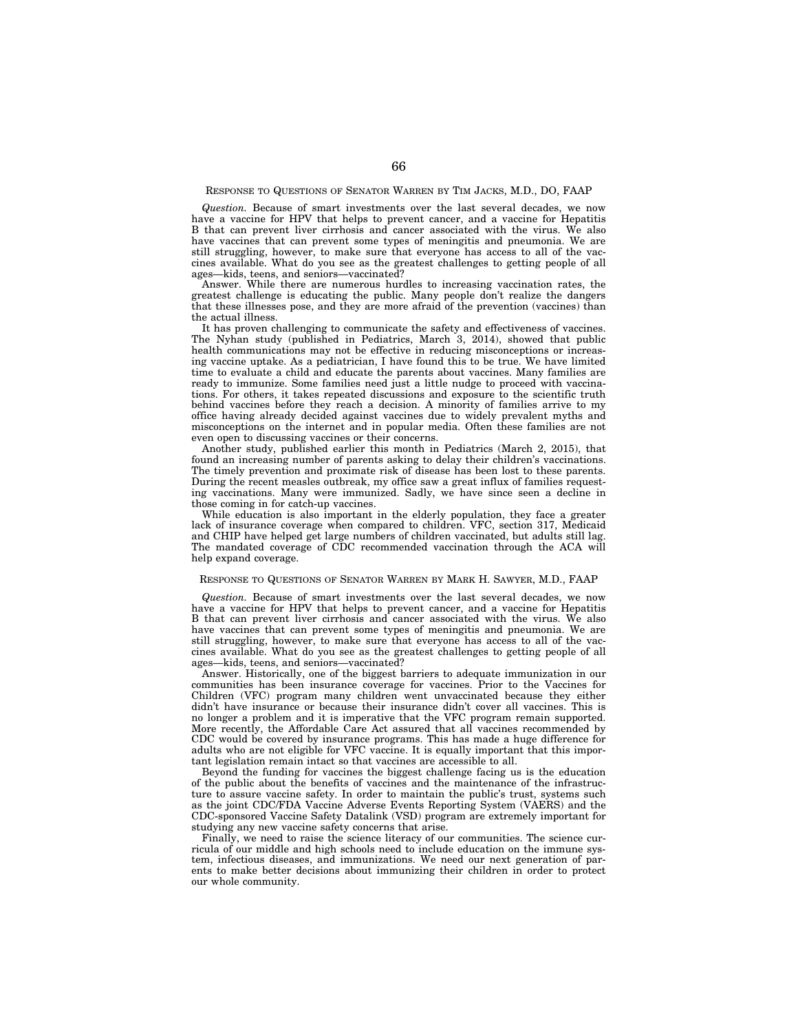## RESPONSE TO QUESTIONS OF SENATOR WARREN BY TIM JACKS, M.D., DO, FAAP

*Question.* Because of smart investments over the last several decades, we now have a vaccine for HPV that helps to prevent cancer, and a vaccine for Hepatitis B that can prevent liver cirrhosis and cancer associated with the virus. We also have vaccines that can prevent some types of meningitis and pneumonia. We are still struggling, however, to make sure that everyone has access to all of the vaccines available. What do you see as the greatest challenges to getting people of all ages—kids, teens, and seniors—vaccinated?

Answer. While there are numerous hurdles to increasing vaccination rates, the greatest challenge is educating the public. Many people don't realize the dangers that these illnesses pose, and they are more afraid of the prevention (vaccines) than the actual illness.

It has proven challenging to communicate the safety and effectiveness of vaccines. The Nyhan study (published in Pediatrics, March 3, 2014), showed that public health communications may not be effective in reducing misconceptions or increasing vaccine uptake. As a pediatrician, I have found this to be true. We have limited time to evaluate a child and educate the parents about vaccines. Many families are ready to immunize. Some families need just a little nudge to proceed with vaccinations. For others, it takes repeated discussions and exposure to the scientific truth behind vaccines before they reach a decision. A minority of families arrive to my office having already decided against vaccines due to widely prevalent myths and misconceptions on the internet and in popular media. Often these families are not even open to discussing vaccines or their concerns.

Another study, published earlier this month in Pediatrics (March 2, 2015), that found an increasing number of parents asking to delay their children's vaccinations. The timely prevention and proximate risk of disease has been lost to these parents. During the recent measles outbreak, my office saw a great influx of families requesting vaccinations. Many were immunized. Sadly, we have since seen a decline in those coming in for catch-up vaccines.

While education is also important in the elderly population, they face a greater lack of insurance coverage when compared to children. VFC, section 317, Medicaid and CHIP have helped get large numbers of children vaccinated, but adults still lag. The mandated coverage of CDC recommended vaccination through the ACA will help expand coverage.

## RESPONSE TO QUESTIONS OF SENATOR WARREN BY MARK H. SAWYER, M.D., FAAP

*Question.* Because of smart investments over the last several decades, we now have a vaccine for HPV that helps to prevent cancer, and a vaccine for Hepatitis B that can prevent liver cirrhosis and cancer associated with the virus. We also have vaccines that can prevent some types of meningitis and pneumonia. We are still struggling, however, to make sure that everyone has access to all of the vaccines available. What do you see as the greatest challenges to getting people of all ages—kids, teens, and seniors—vaccinated?

Answer. Historically, one of the biggest barriers to adequate immunization in our communities has been insurance coverage for vaccines. Prior to the Vaccines for Children (VFC) program many children went unvaccinated because they either didn't have insurance or because their insurance didn't cover all vaccines. This is no longer a problem and it is imperative that the VFC program remain supported. More recently, the Affordable Care Act assured that all vaccines recommended by CDC would be covered by insurance programs. This has made a huge difference for adults who are not eligible for VFC vaccine. It is equally important that this important legislation remain intact so that vaccines are accessible to all.

Beyond the funding for vaccines the biggest challenge facing us is the education of the public about the benefits of vaccines and the maintenance of the infrastructure to assure vaccine safety. In order to maintain the public's trust, systems such as the joint CDC/FDA Vaccine Adverse Events Reporting System (VAERS) and the CDC-sponsored Vaccine Safety Datalink (VSD) program are extremely important for studying any new vaccine safety concerns that arise.

Finally, we need to raise the science literacy of our communities. The science curricula of our middle and high schools need to include education on the immune system, infectious diseases, and immunizations. We need our next generation of parents to make better decisions about immunizing their children in order to protect our whole community.